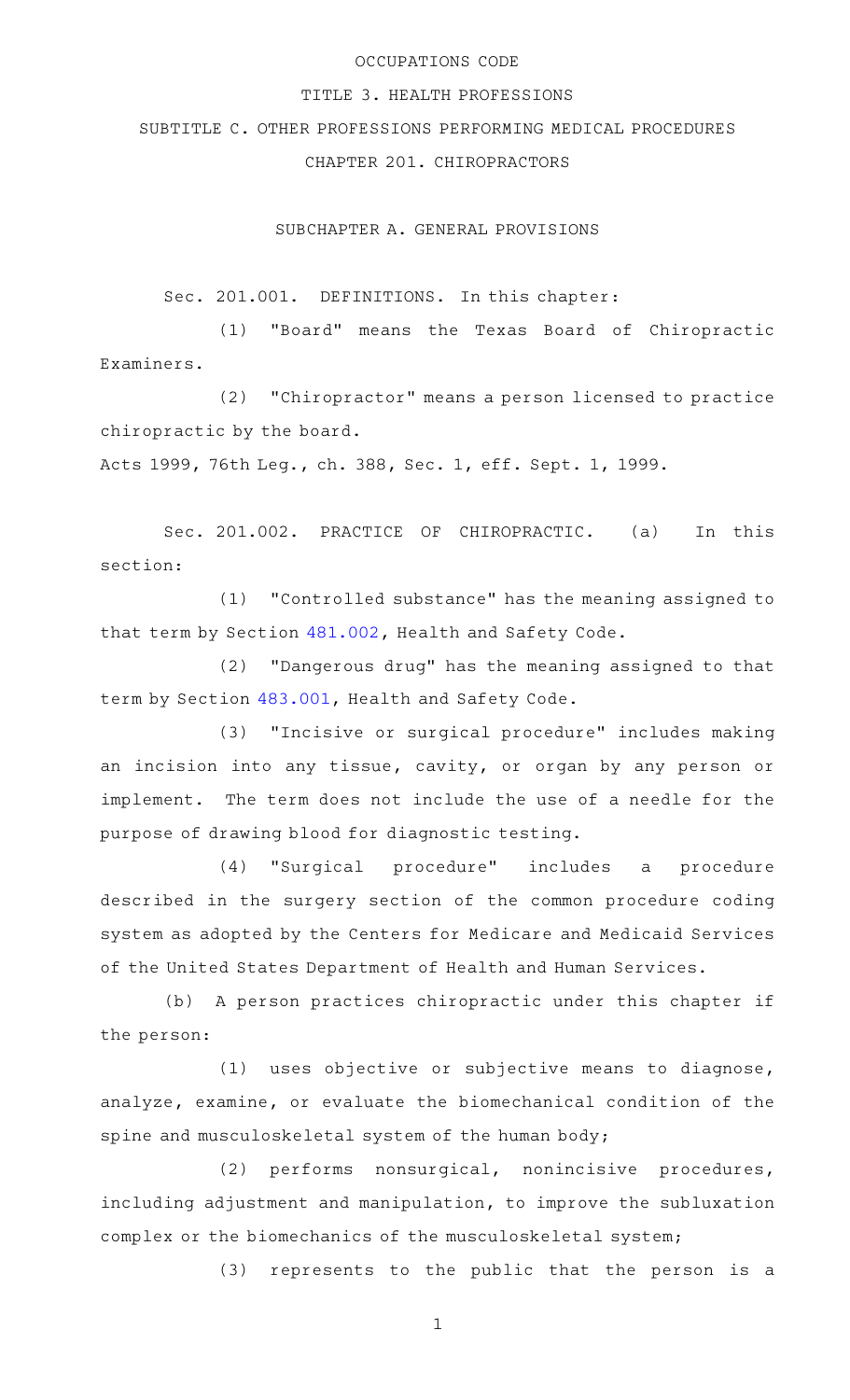### OCCUPATIONS CODE

### TITLE 3. HEALTH PROFESSIONS

SUBTITLE C. OTHER PROFESSIONS PERFORMING MEDICAL PROCEDURES

CHAPTER 201. CHIROPRACTORS

SUBCHAPTER A. GENERAL PROVISIONS

Sec. 201.001. DEFINITIONS. In this chapter:

(1) "Board" means the Texas Board of Chiropractic Examiners.

(2) "Chiropractor" means a person licensed to practice chiropractic by the board.

Acts 1999, 76th Leg., ch. 388, Sec. 1, eff. Sept. 1, 1999.

Sec. 201.002. PRACTICE OF CHIROPRACTIC. (a) In this section:

(1) "Controlled substance" has the meaning assigned to that term by Section [481.002](http://www.statutes.legis.state.tx.us/GetStatute.aspx?Code=HS&Value=481.002), Health and Safety Code.

(2) "Dangerous drug" has the meaning assigned to that term by Section [483.001](http://www.statutes.legis.state.tx.us/GetStatute.aspx?Code=HS&Value=483.001), Health and Safety Code.

(3) "Incisive or surgical procedure" includes making an incision into any tissue, cavity, or organ by any person or implement. The term does not include the use of a needle for the purpose of drawing blood for diagnostic testing.

(4) "Surgical procedure" includes a procedure described in the surgery section of the common procedure coding system as adopted by the Centers for Medicare and Medicaid Services of the United States Department of Health and Human Services.

(b) A person practices chiropractic under this chapter if the person:

(1) uses objective or subjective means to diagnose, analyze, examine, or evaluate the biomechanical condition of the spine and musculoskeletal system of the human body;

(2) performs nonsurgical, nonincisive procedures, including adjustment and manipulation, to improve the subluxation complex or the biomechanics of the musculoskeletal system;

(3) represents to the public that the person is a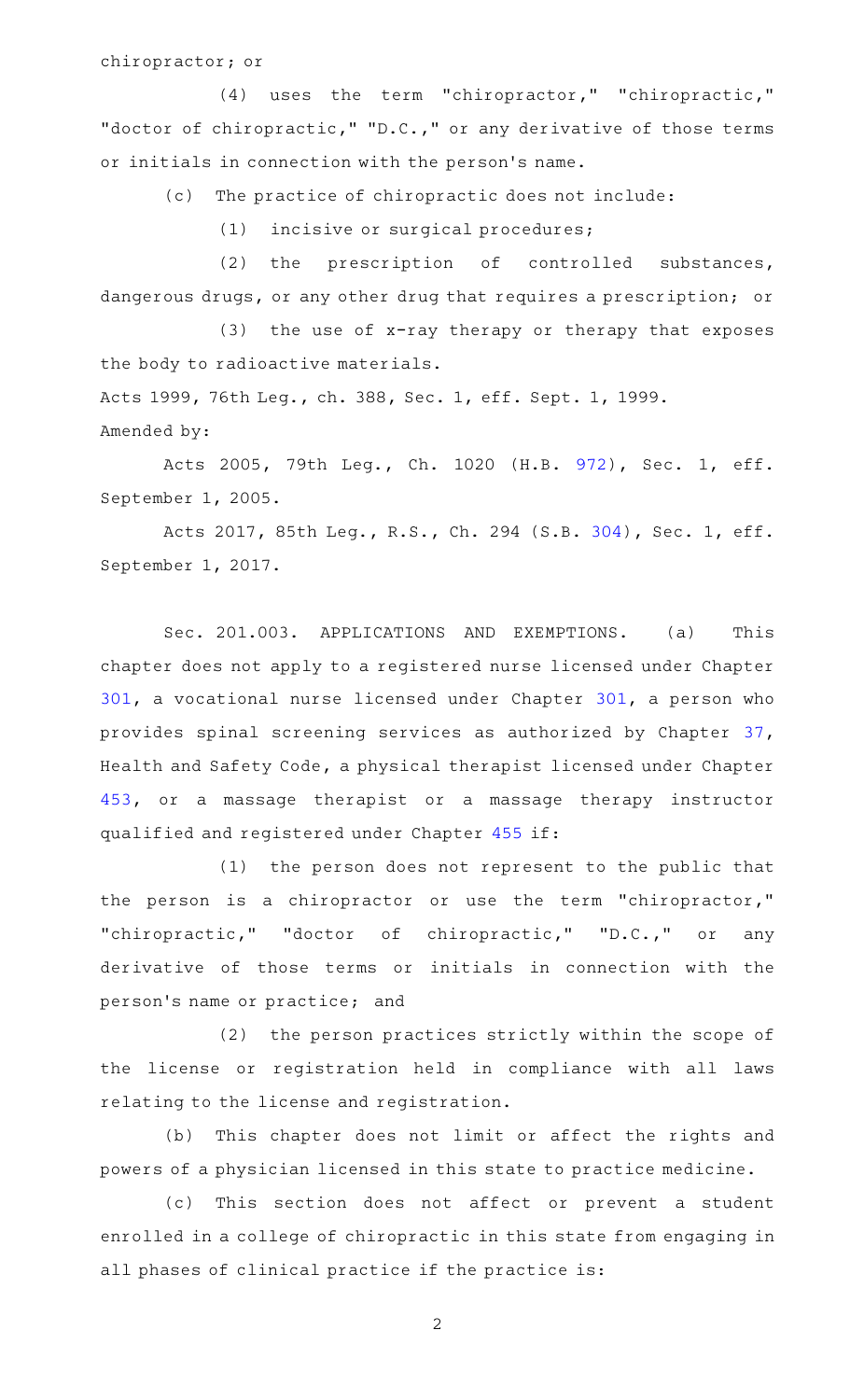#### chiropractor; or

(4) uses the term "chiropractor," "chiropractic," "doctor of chiropractic," "D.C.," or any derivative of those terms or initials in connection with the person 's name.

(c) The practice of chiropractic does not include:

 $(1)$  incisive or surgical procedures;

 $(2)$  the prescription of controlled substances, dangerous drugs, or any other drug that requires a prescription; or

(3) the use of  $x$ -ray therapy or therapy that exposes the body to radioactive materials.

Acts 1999, 76th Leg., ch. 388, Sec. 1, eff. Sept. 1, 1999. Amended by:

Acts 2005, 79th Leg., Ch. 1020 (H.B. [972](http://www.legis.state.tx.us/tlodocs/79R/billtext/html/HB00972F.HTM)), Sec. 1, eff. September 1, 2005.

Acts 2017, 85th Leg., R.S., Ch. 294 (S.B. [304](http://www.legis.state.tx.us/tlodocs/85R/billtext/html/SB00304F.HTM)), Sec. 1, eff. September 1, 2017.

Sec. 201.003. APPLICATIONS AND EXEMPTIONS. (a) This chapter does not apply to a registered nurse licensed under Chapter [301,](http://www.statutes.legis.state.tx.us/GetStatute.aspx?Code=OC&Value=301) a vocational nurse licensed under Chapter [301](http://www.statutes.legis.state.tx.us/GetStatute.aspx?Code=OC&Value=301), a person who provides spinal screening services as authorized by Chapter [37](http://www.statutes.legis.state.tx.us/GetStatute.aspx?Code=HS&Value=37), Health and Safety Code, a physical therapist licensed under Chapter [453,](http://www.statutes.legis.state.tx.us/GetStatute.aspx?Code=OC&Value=453) or a massage therapist or a massage therapy instructor qualified and registered under Chapter [455](http://www.statutes.legis.state.tx.us/GetStatute.aspx?Code=OC&Value=455) if:

(1) the person does not represent to the public that the person is a chiropractor or use the term "chiropractor," "chiropractic," "doctor of chiropractic," "D.C.," or any derivative of those terms or initials in connection with the person 's name or practice; and

(2) the person practices strictly within the scope of the license or registration held in compliance with all laws relating to the license and registration.

(b) This chapter does not limit or affect the rights and powers of a physician licensed in this state to practice medicine.

(c) This section does not affect or prevent a student enrolled in a college of chiropractic in this state from engaging in all phases of clinical practice if the practice is: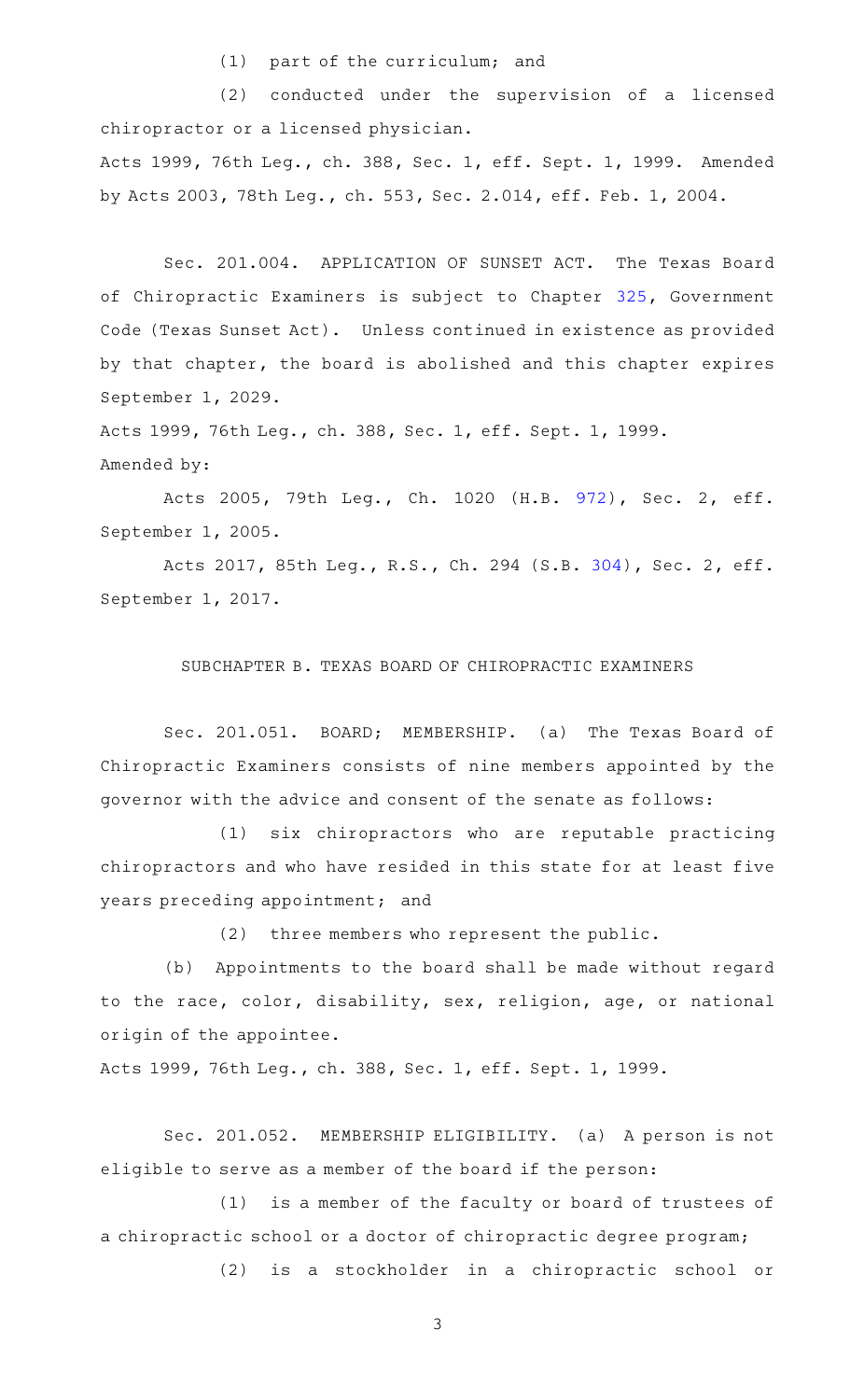$(1)$  part of the curriculum; and

(2) conducted under the supervision of a licensed chiropractor or a licensed physician. Acts 1999, 76th Leg., ch. 388, Sec. 1, eff. Sept. 1, 1999. Amended by Acts 2003, 78th Leg., ch. 553, Sec. 2.014, eff. Feb. 1, 2004.

Sec. 201.004. APPLICATION OF SUNSET ACT. The Texas Board of Chiropractic Examiners is subject to Chapter [325](http://www.statutes.legis.state.tx.us/GetStatute.aspx?Code=GV&Value=325), Government Code (Texas Sunset Act). Unless continued in existence as provided by that chapter, the board is abolished and this chapter expires September 1, 2029.

Acts 1999, 76th Leg., ch. 388, Sec. 1, eff. Sept. 1, 1999. Amended by:

Acts 2005, 79th Leg., Ch. 1020 (H.B. [972](http://www.legis.state.tx.us/tlodocs/79R/billtext/html/HB00972F.HTM)), Sec. 2, eff. September 1, 2005.

Acts 2017, 85th Leg., R.S., Ch. 294 (S.B. [304](http://www.legis.state.tx.us/tlodocs/85R/billtext/html/SB00304F.HTM)), Sec. 2, eff. September 1, 2017.

# SUBCHAPTER B. TEXAS BOARD OF CHIROPRACTIC EXAMINERS

Sec. 201.051. BOARD; MEMBERSHIP. (a) The Texas Board of Chiropractic Examiners consists of nine members appointed by the governor with the advice and consent of the senate as follows:

(1) six chiropractors who are reputable practicing chiropractors and who have resided in this state for at least five years preceding appointment; and

 $(2)$  three members who represent the public.

(b) Appointments to the board shall be made without regard to the race, color, disability, sex, religion, age, or national origin of the appointee.

Acts 1999, 76th Leg., ch. 388, Sec. 1, eff. Sept. 1, 1999.

Sec. 201.052. MEMBERSHIP ELIGIBILITY. (a) A person is not eligible to serve as a member of the board if the person:

(1) is a member of the faculty or board of trustees of a chiropractic school or a doctor of chiropractic degree program;

(2) is a stockholder in a chiropractic school or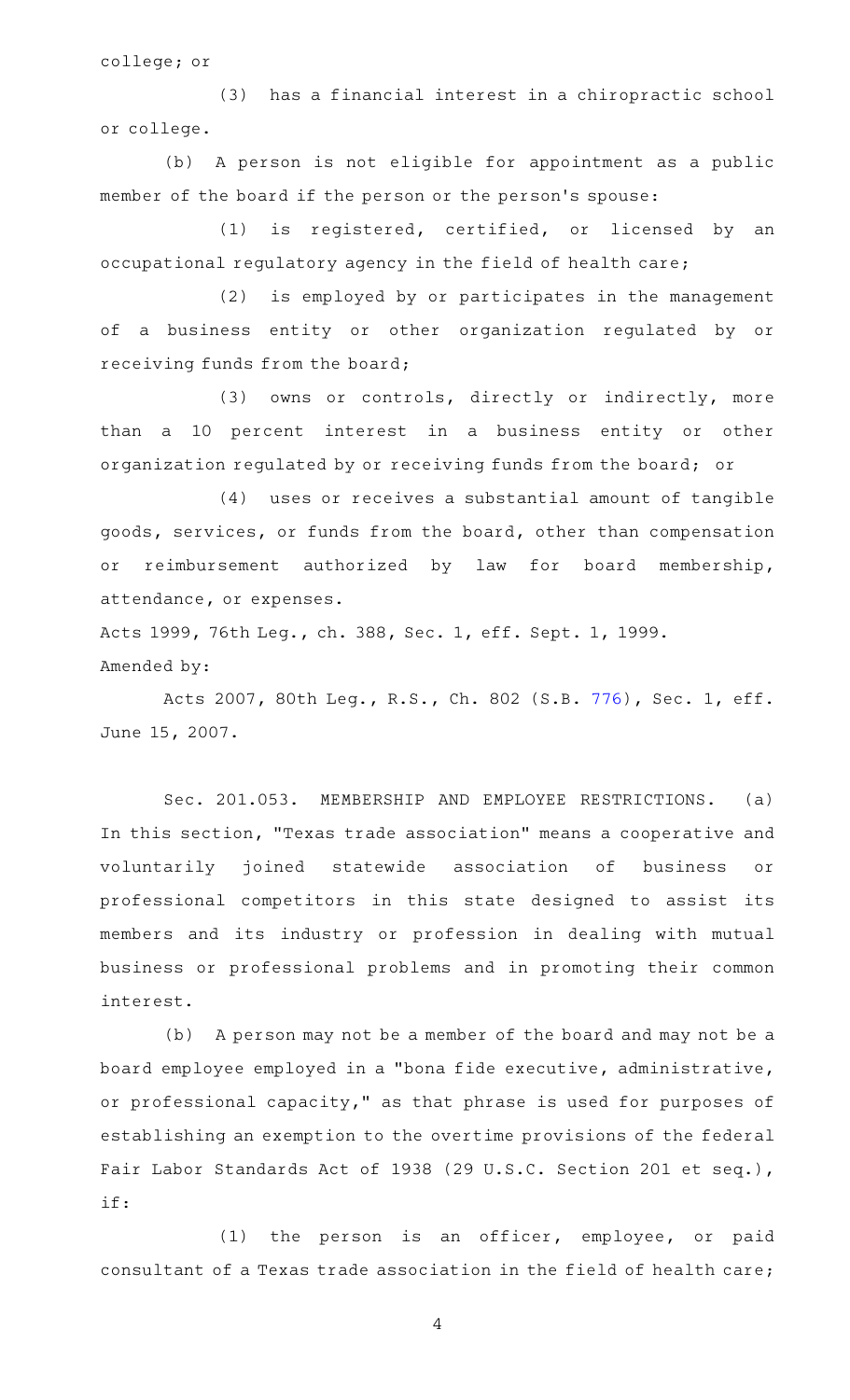college; or

(3) has a financial interest in a chiropractic school or college.

(b) A person is not eligible for appointment as a public member of the board if the person or the person 's spouse:

(1) is registered, certified, or licensed by an occupational regulatory agency in the field of health care;

(2) is employed by or participates in the management of a business entity or other organization regulated by or receiving funds from the board;

(3) owns or controls, directly or indirectly, more than a 10 percent interest in a business entity or other organization regulated by or receiving funds from the board; or

(4) uses or receives a substantial amount of tangible goods, services, or funds from the board, other than compensation or reimbursement authorized by law for board membership, attendance, or expenses.

Acts 1999, 76th Leg., ch. 388, Sec. 1, eff. Sept. 1, 1999. Amended by:

Acts 2007, 80th Leg., R.S., Ch. 802 (S.B. [776](http://www.legis.state.tx.us/tlodocs/80R/billtext/html/SB00776F.HTM)), Sec. 1, eff. June 15, 2007.

Sec. 201.053. MEMBERSHIP AND EMPLOYEE RESTRICTIONS. (a) In this section, "Texas trade association" means a cooperative and voluntarily joined statewide association of business or professional competitors in this state designed to assist its members and its industry or profession in dealing with mutual business or professional problems and in promoting their common interest.

(b) A person may not be a member of the board and may not be a board employee employed in a "bona fide executive, administrative, or professional capacity," as that phrase is used for purposes of establishing an exemption to the overtime provisions of the federal Fair Labor Standards Act of 1938 (29 U.S.C. Section 201 et seq.), if:

(1) the person is an officer, employee, or paid consultant of a Texas trade association in the field of health care;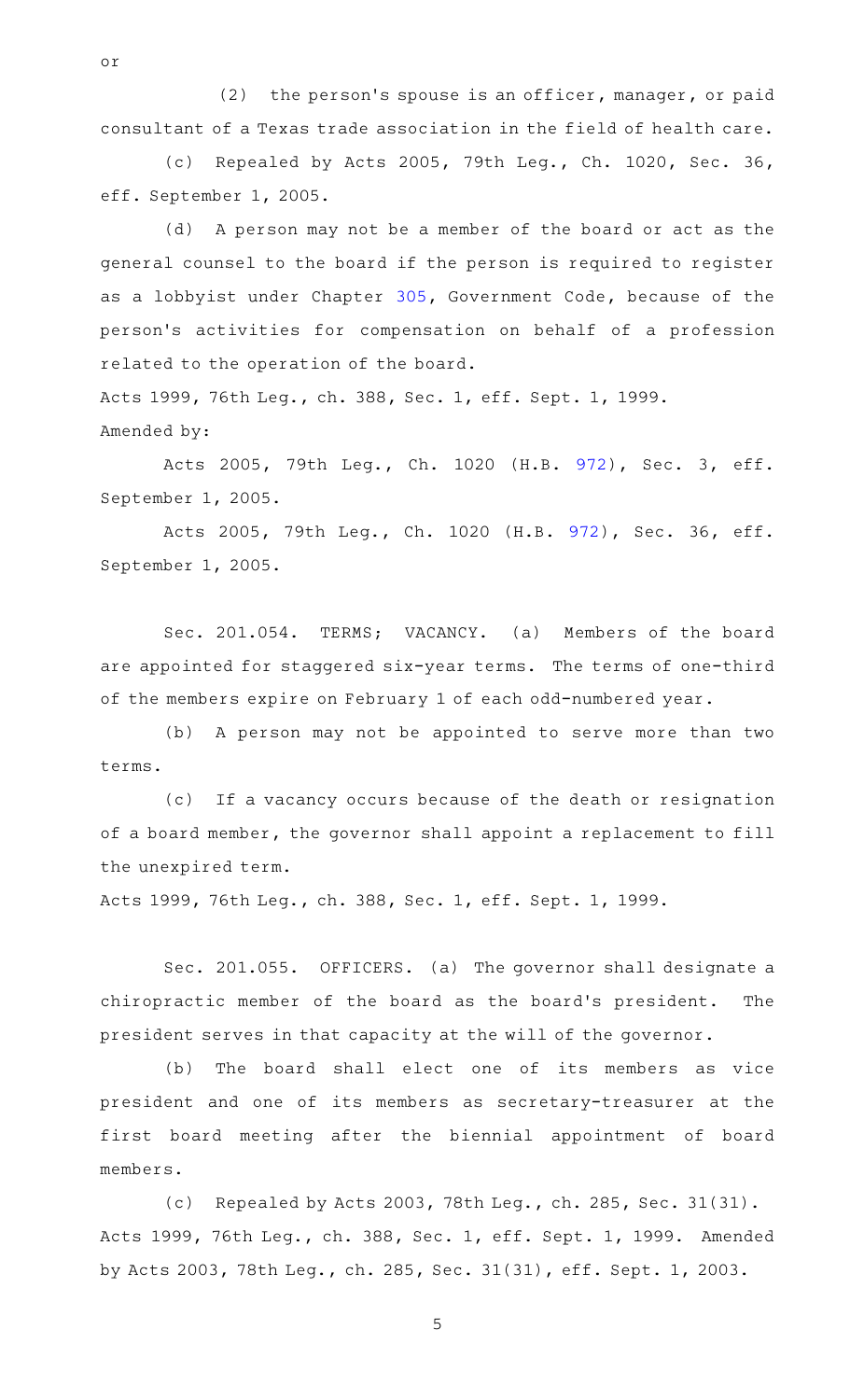$(2)$  the person's spouse is an officer, manager, or paid consultant of a Texas trade association in the field of health care.

or

(c) Repealed by Acts 2005, 79th Leg., Ch. 1020, Sec. 36, eff. September 1, 2005.

(d) A person may not be a member of the board or act as the general counsel to the board if the person is required to register as a lobbyist under Chapter [305](http://www.statutes.legis.state.tx.us/GetStatute.aspx?Code=GV&Value=305), Government Code, because of the person 's activities for compensation on behalf of a profession related to the operation of the board.

Acts 1999, 76th Leg., ch. 388, Sec. 1, eff. Sept. 1, 1999. Amended by:

Acts 2005, 79th Leg., Ch. 1020 (H.B. [972](http://www.legis.state.tx.us/tlodocs/79R/billtext/html/HB00972F.HTM)), Sec. 3, eff. September 1, 2005.

Acts 2005, 79th Leg., Ch. 1020 (H.B. [972\)](http://www.legis.state.tx.us/tlodocs/79R/billtext/html/HB00972F.HTM), Sec. 36, eff. September 1, 2005.

Sec. 201.054. TERMS; VACANCY. (a) Members of the board are appointed for staggered six-year terms. The terms of one-third of the members expire on February 1 of each odd-numbered year.

(b) A person may not be appointed to serve more than two terms.

(c) If a vacancy occurs because of the death or resignation of a board member, the governor shall appoint a replacement to fill the unexpired term.

Acts 1999, 76th Leg., ch. 388, Sec. 1, eff. Sept. 1, 1999.

Sec. 201.055. OFFICERS. (a) The governor shall designate a chiropractic member of the board as the board's president. The president serves in that capacity at the will of the governor.

(b) The board shall elect one of its members as vice president and one of its members as secretary-treasurer at the first board meeting after the biennial appointment of board members.

(c) Repealed by Acts 2003, 78th Leg., ch. 285, Sec. 31(31). Acts 1999, 76th Leg., ch. 388, Sec. 1, eff. Sept. 1, 1999. Amended by Acts 2003, 78th Leg., ch. 285, Sec. 31(31), eff. Sept. 1, 2003.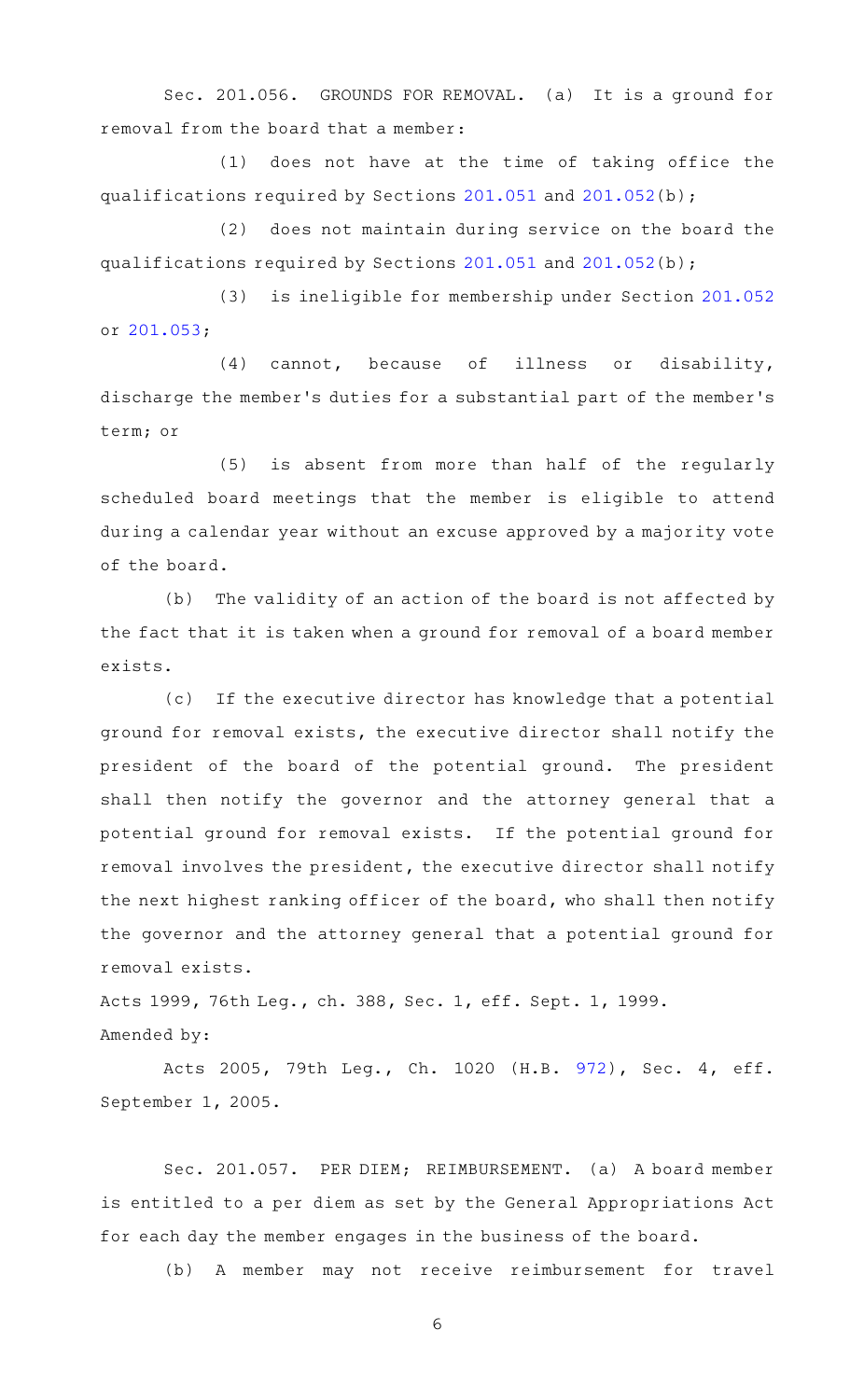Sec. 201.056. GROUNDS FOR REMOVAL. (a) It is a ground for removal from the board that a member:

 $(1)$  does not have at the time of taking office the qualifications required by Sections [201.051](http://www.statutes.legis.state.tx.us/GetStatute.aspx?Code=OC&Value=201.051) and [201.052](http://www.statutes.legis.state.tx.us/GetStatute.aspx?Code=OC&Value=201.052)(b);

(2) does not maintain during service on the board the qualifications required by Sections [201.051](http://www.statutes.legis.state.tx.us/GetStatute.aspx?Code=OC&Value=201.051) and [201.052](http://www.statutes.legis.state.tx.us/GetStatute.aspx?Code=OC&Value=201.052)(b);

(3) is ineligible for membership under Section [201.052](http://www.statutes.legis.state.tx.us/GetStatute.aspx?Code=OC&Value=201.052) or [201.053;](http://www.statutes.legis.state.tx.us/GetStatute.aspx?Code=OC&Value=201.053)

 $(4)$  cannot, because of illness or disability, discharge the member 's duties for a substantial part of the member 's term; or

(5) is absent from more than half of the regularly scheduled board meetings that the member is eligible to attend during a calendar year without an excuse approved by a majority vote of the board.

(b) The validity of an action of the board is not affected by the fact that it is taken when a ground for removal of a board member exists.

(c) If the executive director has knowledge that a potential ground for removal exists, the executive director shall notify the president of the board of the potential ground. The president shall then notify the governor and the attorney general that a potential ground for removal exists. If the potential ground for removal involves the president, the executive director shall notify the next highest ranking officer of the board, who shall then notify the governor and the attorney general that a potential ground for removal exists.

Acts 1999, 76th Leg., ch. 388, Sec. 1, eff. Sept. 1, 1999. Amended by:

Acts 2005, 79th Leg., Ch. 1020 (H.B. [972](http://www.legis.state.tx.us/tlodocs/79R/billtext/html/HB00972F.HTM)), Sec. 4, eff. September 1, 2005.

Sec. 201.057. PER DIEM; REIMBURSEMENT. (a) A board member is entitled to a per diem as set by the General Appropriations Act for each day the member engages in the business of the board.

(b) A member may not receive reimbursement for travel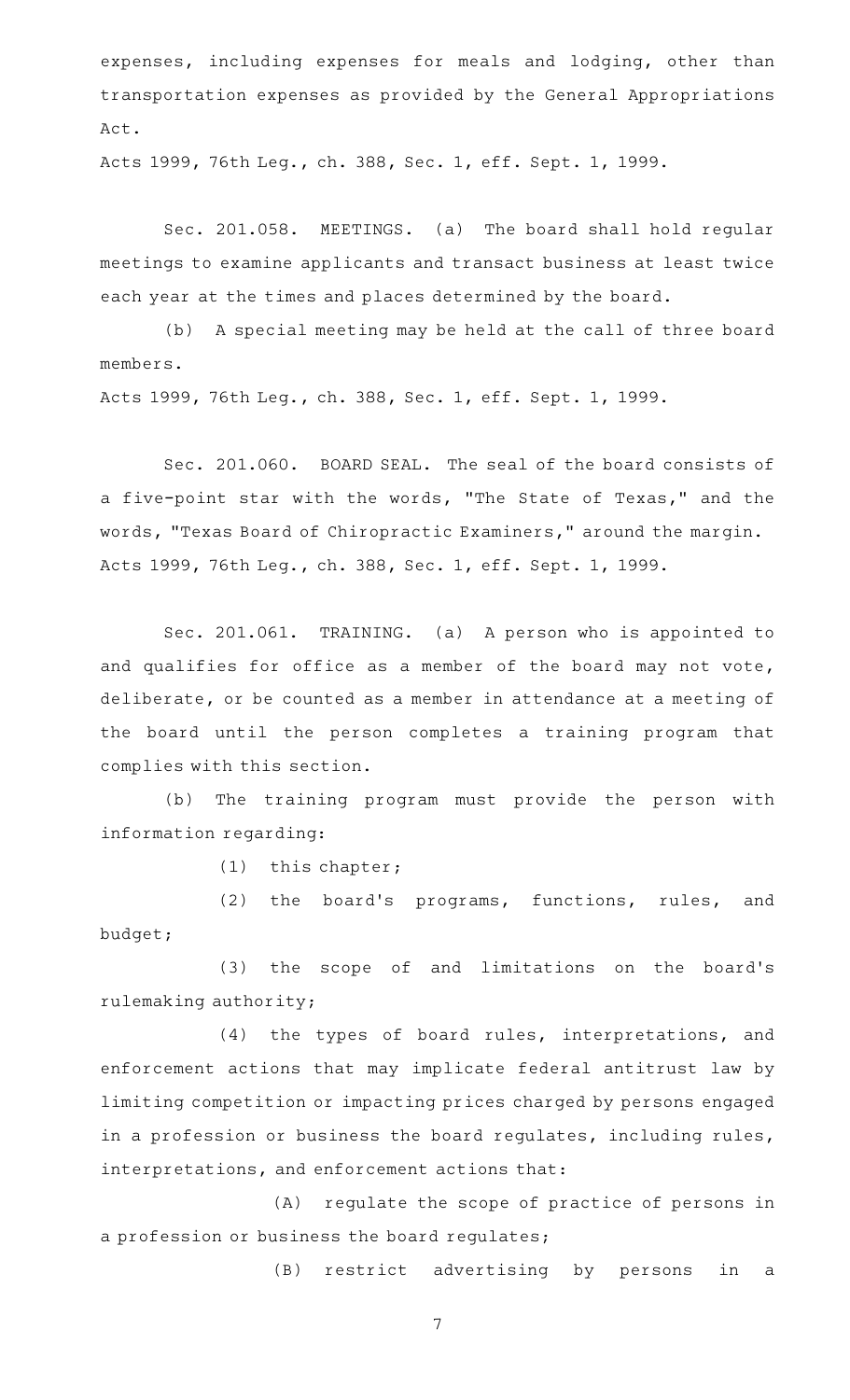expenses, including expenses for meals and lodging, other than transportation expenses as provided by the General Appropriations Act.

Acts 1999, 76th Leg., ch. 388, Sec. 1, eff. Sept. 1, 1999.

Sec. 201.058. MEETINGS. (a) The board shall hold regular meetings to examine applicants and transact business at least twice each year at the times and places determined by the board.

(b) A special meeting may be held at the call of three board members.

Acts 1999, 76th Leg., ch. 388, Sec. 1, eff. Sept. 1, 1999.

Sec. 201.060. BOARD SEAL. The seal of the board consists of a five-point star with the words, "The State of Texas," and the words, "Texas Board of Chiropractic Examiners," around the margin. Acts 1999, 76th Leg., ch. 388, Sec. 1, eff. Sept. 1, 1999.

Sec. 201.061. TRAINING. (a) A person who is appointed to and qualifies for office as a member of the board may not vote, deliberate, or be counted as a member in attendance at a meeting of the board until the person completes a training program that complies with this section.

(b) The training program must provide the person with information regarding:

 $(1)$  this chapter;

(2) the board's programs, functions, rules, and budget;

(3) the scope of and limitations on the board's rulemaking authority;

(4) the types of board rules, interpretations, and enforcement actions that may implicate federal antitrust law by limiting competition or impacting prices charged by persons engaged in a profession or business the board regulates, including rules, interpretations, and enforcement actions that:

(A) regulate the scope of practice of persons in a profession or business the board regulates;

(B) restrict advertising by persons in a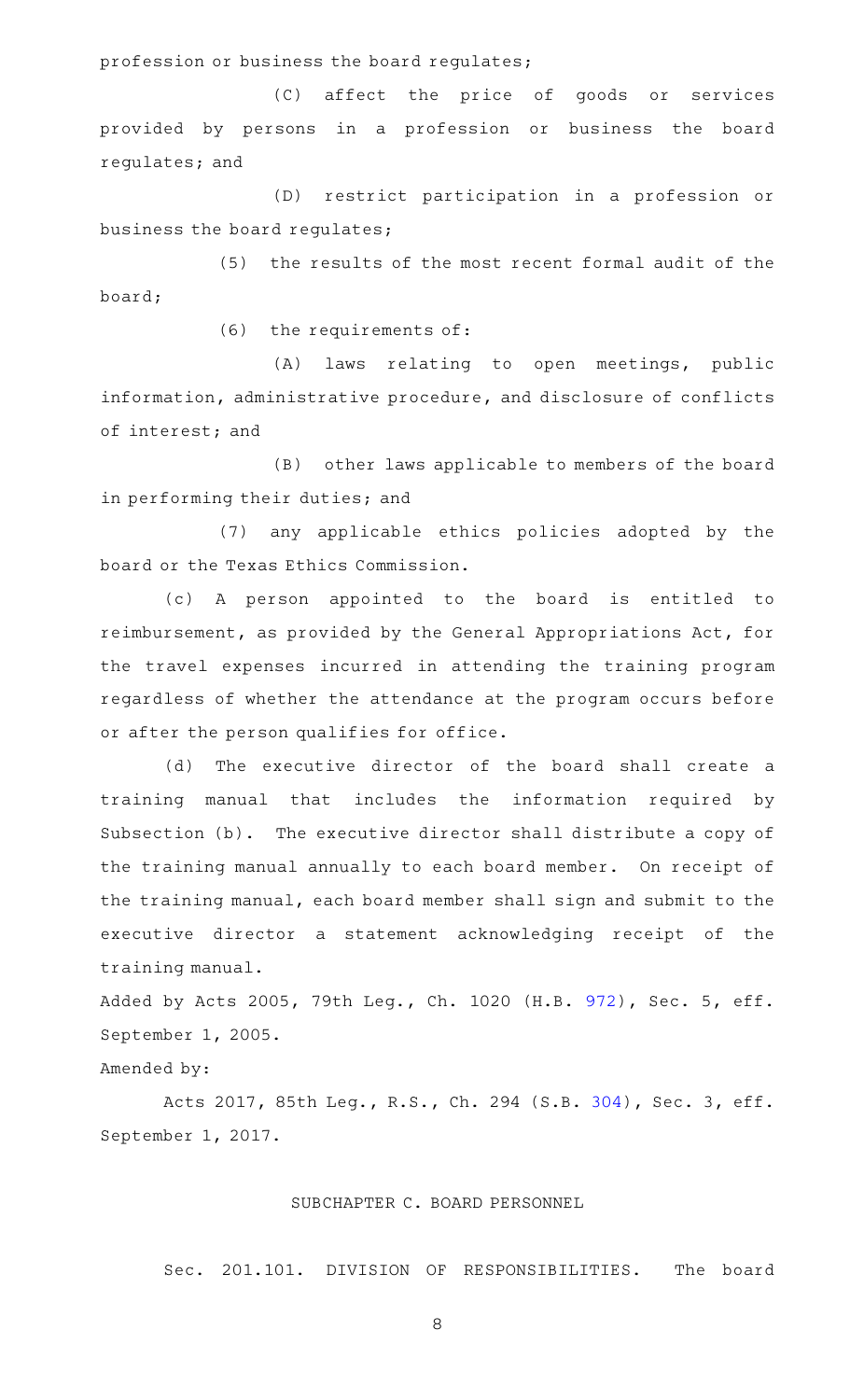profession or business the board regulates;

(C) affect the price of goods or services provided by persons in a profession or business the board regulates; and

(D) restrict participation in a profession or business the board regulates;

(5) the results of the most recent formal audit of the board;

 $(6)$  the requirements of:

(A) laws relating to open meetings, public information, administrative procedure, and disclosure of conflicts of interest; and

(B) other laws applicable to members of the board in performing their duties; and

(7) any applicable ethics policies adopted by the board or the Texas Ethics Commission.

(c)AAA person appointed to the board is entitled to reimbursement, as provided by the General Appropriations Act, for the travel expenses incurred in attending the training program regardless of whether the attendance at the program occurs before or after the person qualifies for office.

(d) The executive director of the board shall create a training manual that includes the information required by Subsection (b). The executive director shall distribute a copy of the training manual annually to each board member. On receipt of the training manual, each board member shall sign and submit to the executive director a statement acknowledging receipt of the training manual.

Added by Acts 2005, 79th Leg., Ch. 1020 (H.B. [972](http://www.legis.state.tx.us/tlodocs/79R/billtext/html/HB00972F.HTM)), Sec. 5, eff. September 1, 2005.

Amended by:

Acts 2017, 85th Leg., R.S., Ch. 294 (S.B. [304](http://www.legis.state.tx.us/tlodocs/85R/billtext/html/SB00304F.HTM)), Sec. 3, eff. September 1, 2017.

# SUBCHAPTER C. BOARD PERSONNEL

Sec. 201.101. DIVISION OF RESPONSIBILITIES. The board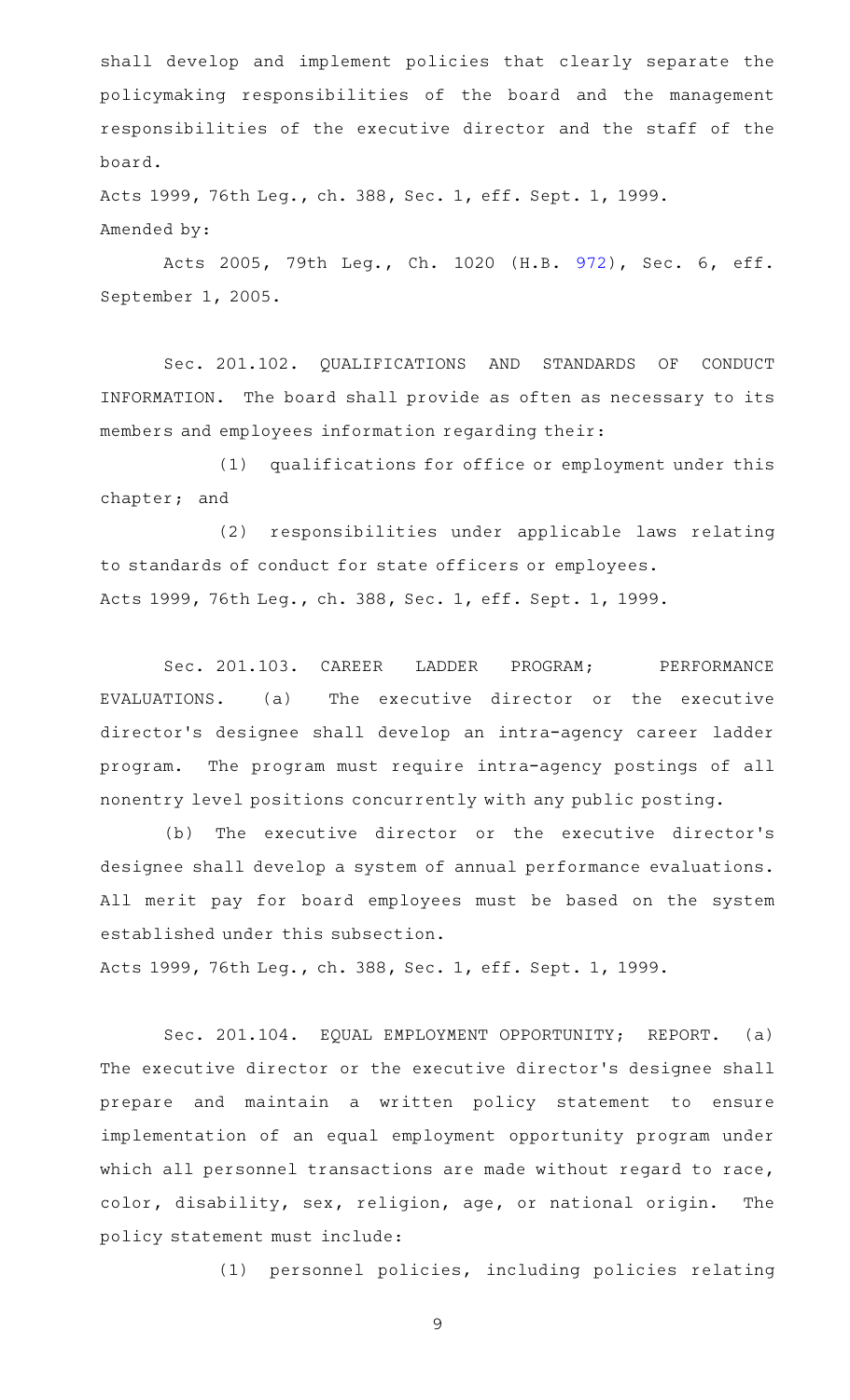shall develop and implement policies that clearly separate the policymaking responsibilities of the board and the management responsibilities of the executive director and the staff of the board.

Acts 1999, 76th Leg., ch. 388, Sec. 1, eff. Sept. 1, 1999. Amended by:

Acts 2005, 79th Leg., Ch. 1020 (H.B. [972](http://www.legis.state.tx.us/tlodocs/79R/billtext/html/HB00972F.HTM)), Sec. 6, eff. September 1, 2005.

Sec. 201.102. QUALIFICATIONS AND STANDARDS OF CONDUCT INFORMATION. The board shall provide as often as necessary to its members and employees information regarding their:

(1) qualifications for office or employment under this chapter; and

(2) responsibilities under applicable laws relating to standards of conduct for state officers or employees. Acts 1999, 76th Leg., ch. 388, Sec. 1, eff. Sept. 1, 1999.

Sec. 201.103. CAREER LADDER PROGRAM; PERFORMANCE EVALUATIONS. (a) The executive director or the executive director 's designee shall develop an intra-agency career ladder program. The program must require intra-agency postings of all nonentry level positions concurrently with any public posting.

(b) The executive director or the executive director's designee shall develop a system of annual performance evaluations. All merit pay for board employees must be based on the system established under this subsection.

Acts 1999, 76th Leg., ch. 388, Sec. 1, eff. Sept. 1, 1999.

Sec. 201.104. EQUAL EMPLOYMENT OPPORTUNITY; REPORT. (a) The executive director or the executive director 's designee shall prepare and maintain a written policy statement to ensure implementation of an equal employment opportunity program under which all personnel transactions are made without regard to race, color, disability, sex, religion, age, or national origin. The policy statement must include:

(1) personnel policies, including policies relating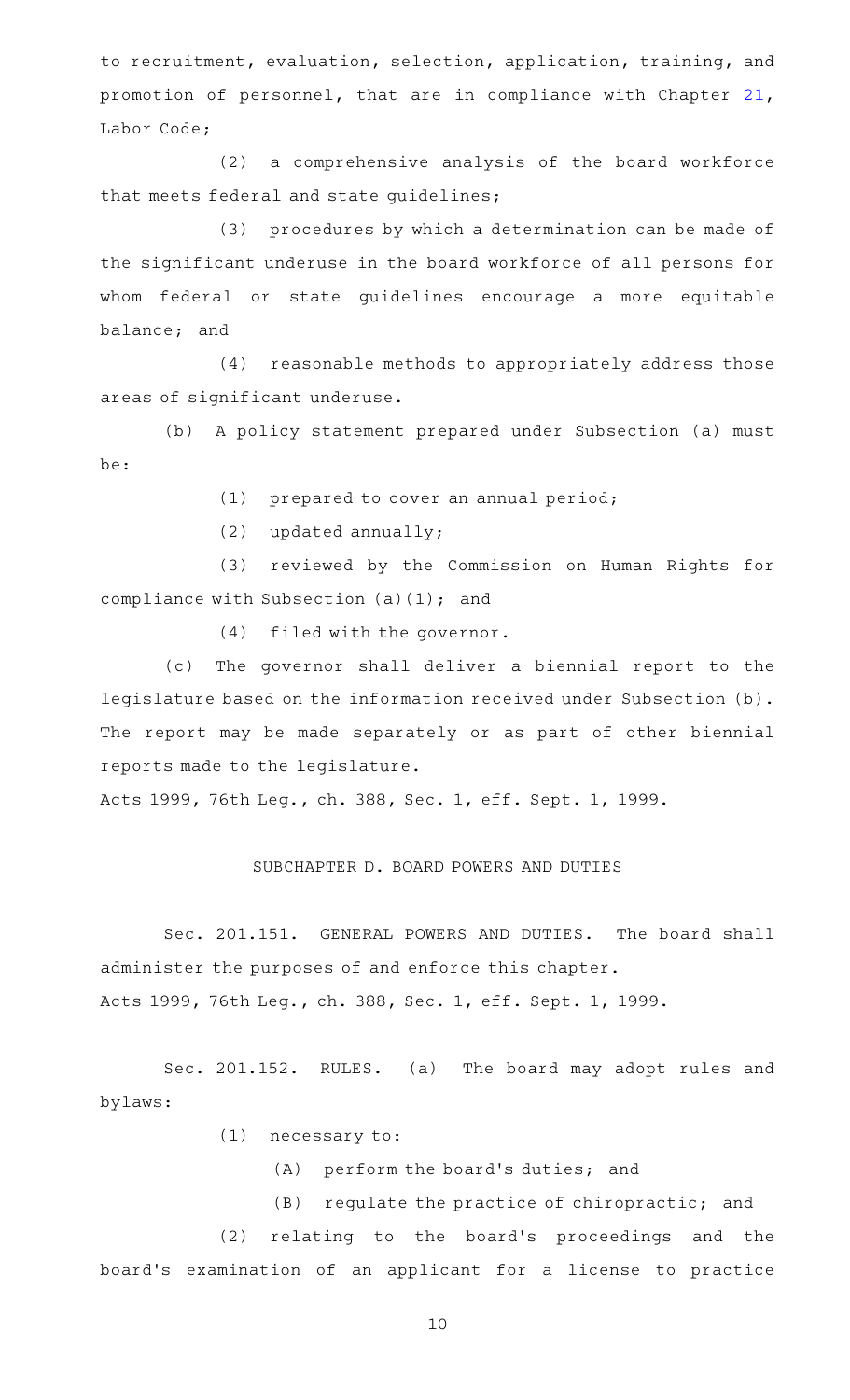to recruitment, evaluation, selection, application, training, and promotion of personnel, that are in compliance with Chapter [21](http://www.statutes.legis.state.tx.us/GetStatute.aspx?Code=LA&Value=21), Labor Code;

 $(2)$  a comprehensive analysis of the board workforce that meets federal and state guidelines;

(3) procedures by which a determination can be made of the significant underuse in the board workforce of all persons for whom federal or state guidelines encourage a more equitable balance; and

(4) reasonable methods to appropriately address those areas of significant underuse.

(b) A policy statement prepared under Subsection (a) must be:

 $(1)$  prepared to cover an annual period;

 $(2)$  updated annually;

(3) reviewed by the Commission on Human Rights for compliance with Subsection (a)(1); and

 $(4)$  filed with the governor.

(c) The governor shall deliver a biennial report to the legislature based on the information received under Subsection (b). The report may be made separately or as part of other biennial reports made to the legislature.

Acts 1999, 76th Leg., ch. 388, Sec. 1, eff. Sept. 1, 1999.

#### SUBCHAPTER D. BOARD POWERS AND DUTIES

Sec. 201.151. GENERAL POWERS AND DUTIES. The board shall administer the purposes of and enforce this chapter. Acts 1999, 76th Leg., ch. 388, Sec. 1, eff. Sept. 1, 1999.

Sec. 201.152. RULES. (a) The board may adopt rules and bylaws:

 $(1)$  necessary to:

- $(A)$  perform the board's duties; and
- (B) regulate the practice of chiropractic; and

(2) relating to the board's proceedings and the board 's examination of an applicant for a license to practice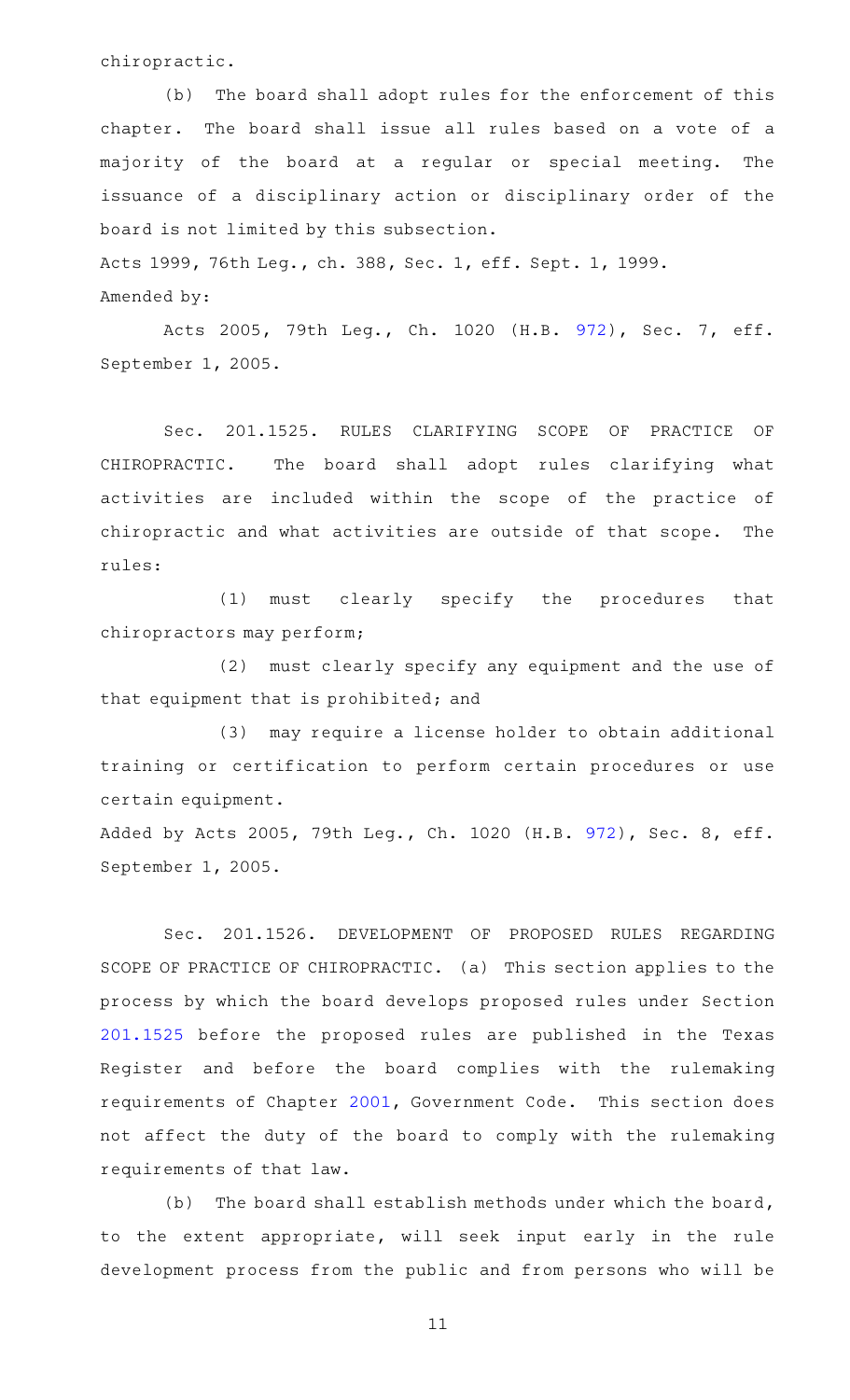chiropractic.

(b) The board shall adopt rules for the enforcement of this chapter. The board shall issue all rules based on a vote of a majority of the board at a regular or special meeting. The issuance of a disciplinary action or disciplinary order of the board is not limited by this subsection.

Acts 1999, 76th Leg., ch. 388, Sec. 1, eff. Sept. 1, 1999.

Amended by:

Acts 2005, 79th Leg., Ch. 1020 (H.B. [972](http://www.legis.state.tx.us/tlodocs/79R/billtext/html/HB00972F.HTM)), Sec. 7, eff. September 1, 2005.

Sec. 201.1525. RULES CLARIFYING SCOPE OF PRACTICE OF CHIROPRACTIC. The board shall adopt rules clarifying what activities are included within the scope of the practice of chiropractic and what activities are outside of that scope. The rules:

(1) must clearly specify the procedures that chiropractors may perform;

(2) must clearly specify any equipment and the use of that equipment that is prohibited; and

(3) may require a license holder to obtain additional training or certification to perform certain procedures or use certain equipment.

Added by Acts 2005, 79th Leg., Ch. 1020 (H.B. [972](http://www.legis.state.tx.us/tlodocs/79R/billtext/html/HB00972F.HTM)), Sec. 8, eff. September 1, 2005.

Sec. 201.1526. DEVELOPMENT OF PROPOSED RULES REGARDING SCOPE OF PRACTICE OF CHIROPRACTIC. (a) This section applies to the process by which the board develops proposed rules under Section [201.1525](http://www.statutes.legis.state.tx.us/GetStatute.aspx?Code=OC&Value=201.1525) before the proposed rules are published in the Texas Register and before the board complies with the rulemaking requirements of Chapter [2001](http://www.statutes.legis.state.tx.us/GetStatute.aspx?Code=GV&Value=2001), Government Code. This section does not affect the duty of the board to comply with the rulemaking requirements of that law.

(b) The board shall establish methods under which the board, to the extent appropriate, will seek input early in the rule development process from the public and from persons who will be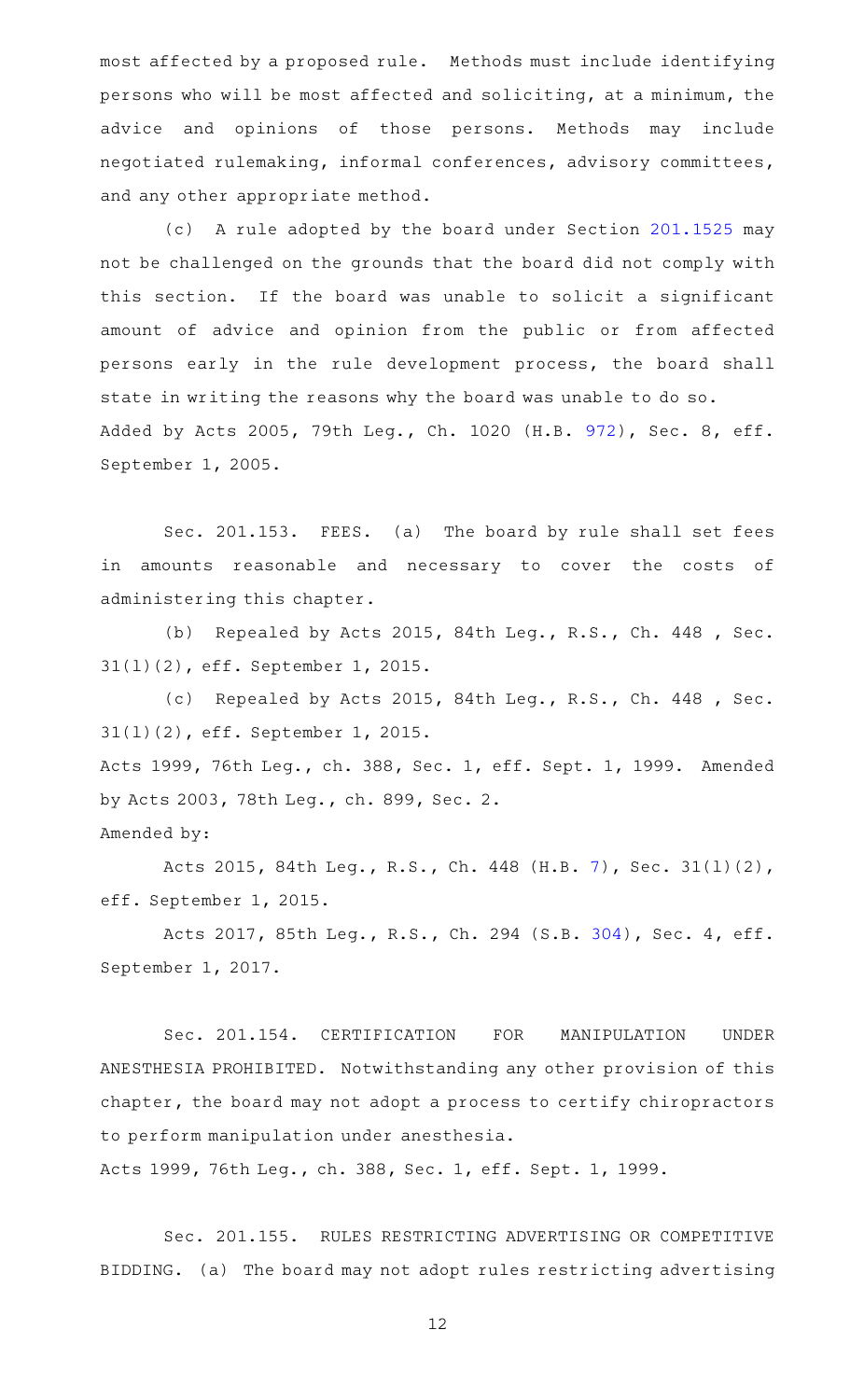most affected by a proposed rule. Methods must include identifying persons who will be most affected and soliciting, at a minimum, the advice and opinions of those persons. Methods may include negotiated rulemaking, informal conferences, advisory committees, and any other appropriate method.

(c) A rule adopted by the board under Section [201.1525](http://www.statutes.legis.state.tx.us/GetStatute.aspx?Code=OC&Value=201.1525) may not be challenged on the grounds that the board did not comply with this section. If the board was unable to solicit a significant amount of advice and opinion from the public or from affected persons early in the rule development process, the board shall state in writing the reasons why the board was unable to do so. Added by Acts 2005, 79th Leg., Ch. 1020 (H.B. [972](http://www.legis.state.tx.us/tlodocs/79R/billtext/html/HB00972F.HTM)), Sec. 8, eff. September 1, 2005.

Sec. 201.153. FEES. (a) The board by rule shall set fees in amounts reasonable and necessary to cover the costs of administering this chapter.

(b) Repealed by Acts 2015, 84th Leg., R.S., Ch. 448, Sec. 31(l)(2), eff. September 1, 2015.

(c) Repealed by Acts 2015, 84th Leg., R.S., Ch. 448, Sec. 31(l)(2), eff. September 1, 2015. Acts 1999, 76th Leg., ch. 388, Sec. 1, eff. Sept. 1, 1999. Amended by Acts 2003, 78th Leg., ch. 899, Sec. 2. Amended by:

Acts 2015, 84th Leg., R.S., Ch. 448 (H.B. [7](http://www.legis.state.tx.us/tlodocs/84R/billtext/html/HB00007F.HTM)), Sec. 31(l)(2), eff. September 1, 2015.

Acts 2017, 85th Leg., R.S., Ch. 294 (S.B. [304](http://www.legis.state.tx.us/tlodocs/85R/billtext/html/SB00304F.HTM)), Sec. 4, eff. September 1, 2017.

Sec. 201.154. CERTIFICATION FOR MANIPULATION UNDER ANESTHESIA PROHIBITED. Notwithstanding any other provision of this chapter, the board may not adopt a process to certify chiropractors to perform manipulation under anesthesia.

Acts 1999, 76th Leg., ch. 388, Sec. 1, eff. Sept. 1, 1999.

Sec. 201.155. RULES RESTRICTING ADVERTISING OR COMPETITIVE BIDDING. (a) The board may not adopt rules restricting advertising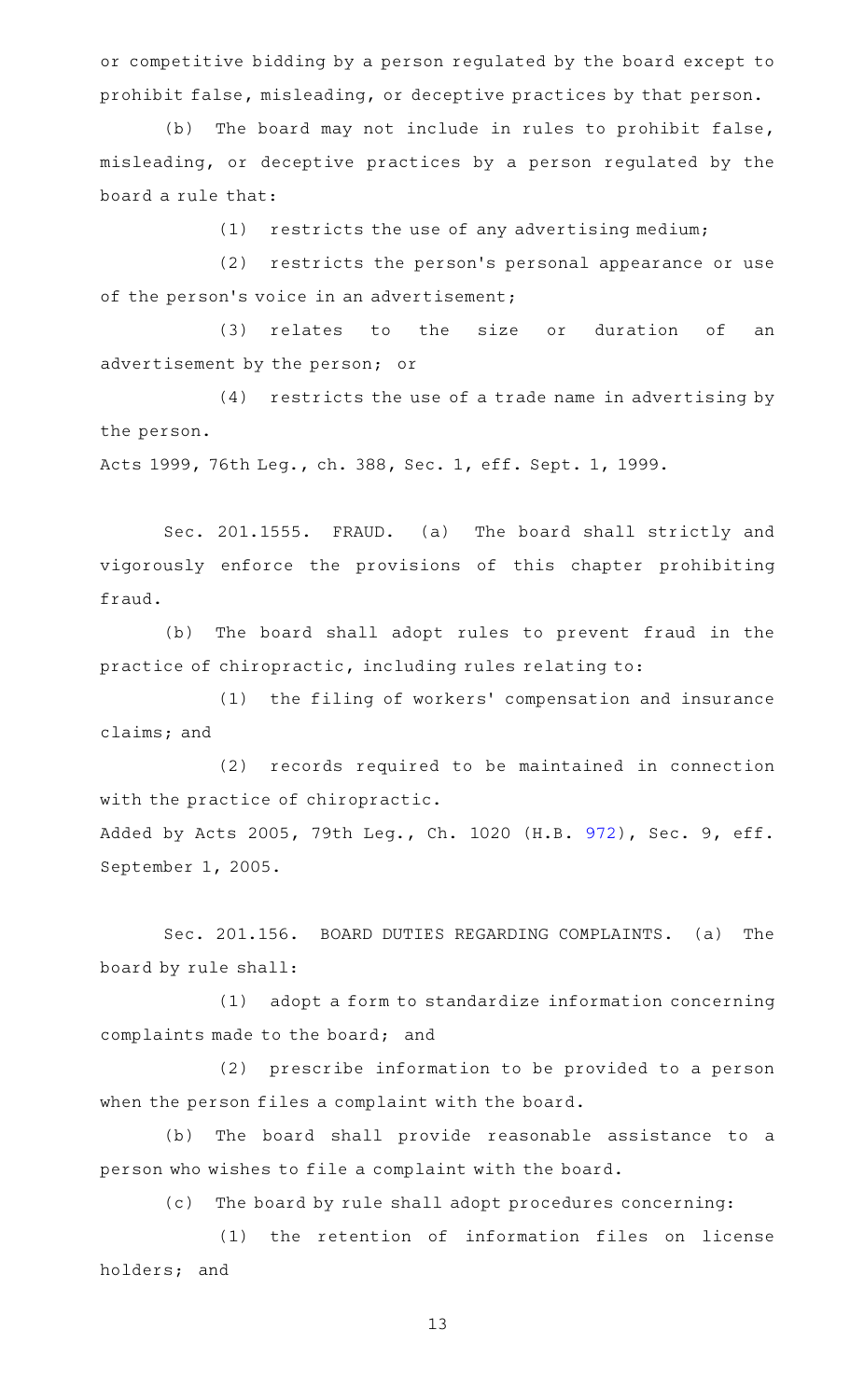or competitive bidding by a person regulated by the board except to prohibit false, misleading, or deceptive practices by that person.

(b) The board may not include in rules to prohibit false, misleading, or deceptive practices by a person regulated by the board a rule that:

 $(1)$  restricts the use of any advertising medium;

(2) restricts the person's personal appearance or use of the person's voice in an advertisement;

(3) relates to the size or duration of an advertisement by the person; or

 $(4)$  restricts the use of a trade name in advertising by the person.

Acts 1999, 76th Leg., ch. 388, Sec. 1, eff. Sept. 1, 1999.

Sec. 201.1555. FRAUD. (a) The board shall strictly and vigorously enforce the provisions of this chapter prohibiting fraud.

(b) The board shall adopt rules to prevent fraud in the practice of chiropractic, including rules relating to:

(1) the filing of workers' compensation and insurance claims; and

(2) records required to be maintained in connection with the practice of chiropractic.

Added by Acts 2005, 79th Leg., Ch. 1020 (H.B. [972](http://www.legis.state.tx.us/tlodocs/79R/billtext/html/HB00972F.HTM)), Sec. 9, eff. September 1, 2005.

Sec. 201.156. BOARD DUTIES REGARDING COMPLAINTS. (a) The board by rule shall:

(1) adopt a form to standardize information concerning complaints made to the board; and

(2) prescribe information to be provided to a person when the person files a complaint with the board.

(b) The board shall provide reasonable assistance to a person who wishes to file a complaint with the board.

(c) The board by rule shall adopt procedures concerning:

(1) the retention of information files on license holders; and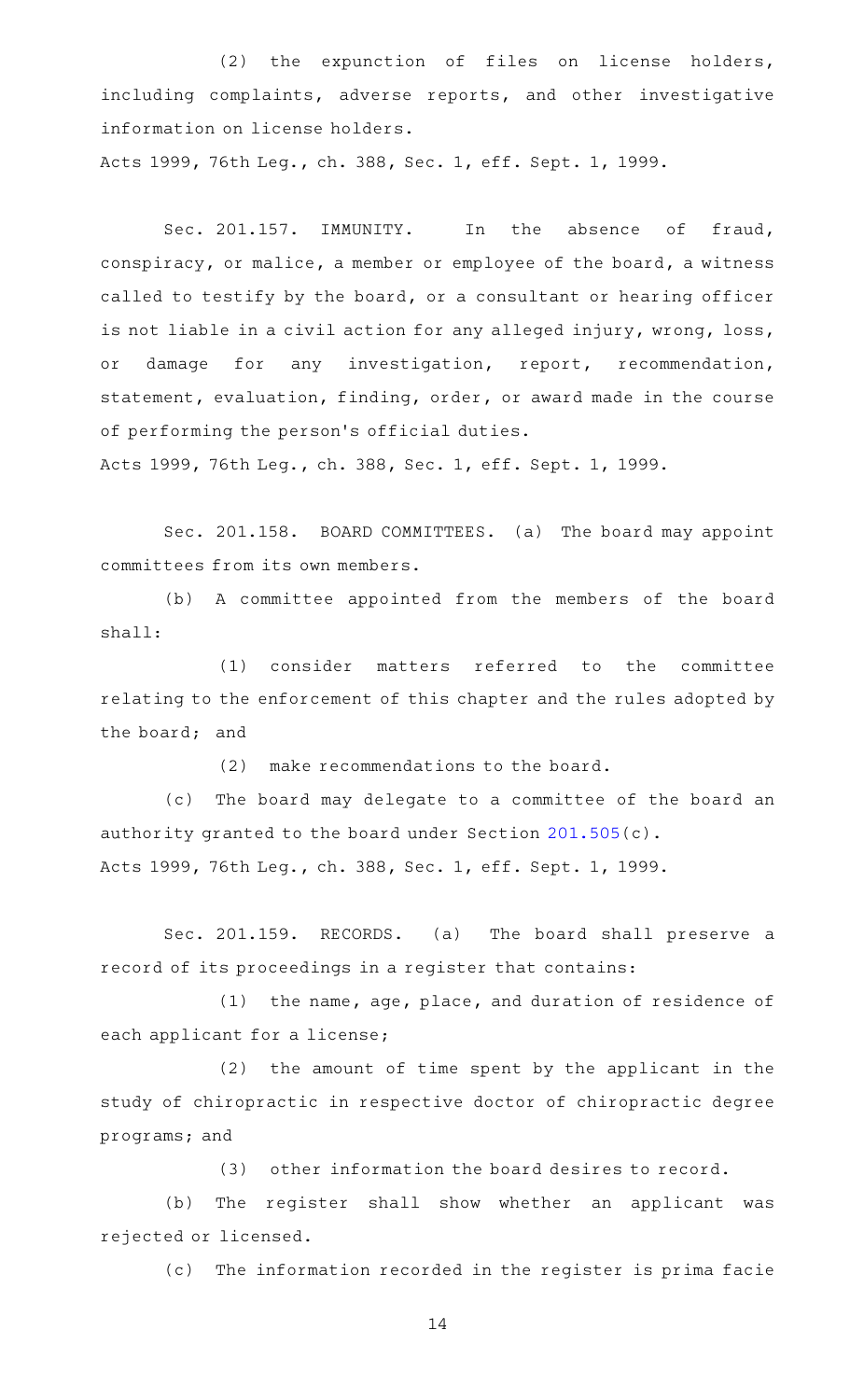(2) the expunction of files on license holders, including complaints, adverse reports, and other investigative information on license holders. Acts 1999, 76th Leg., ch. 388, Sec. 1, eff. Sept. 1, 1999.

Sec. 201.157. IMMUNITY. In the absence of fraud, conspiracy, or malice, a member or employee of the board, a witness called to testify by the board, or a consultant or hearing officer is not liable in a civil action for any alleged injury, wrong, loss, or damage for any investigation, report, recommendation, statement, evaluation, finding, order, or award made in the course of performing the person 's official duties.

Acts 1999, 76th Leg., ch. 388, Sec. 1, eff. Sept. 1, 1999.

Sec. 201.158. BOARD COMMITTEES. (a) The board may appoint committees from its own members.

(b) A committee appointed from the members of the board shall:

(1) consider matters referred to the committee relating to the enforcement of this chapter and the rules adopted by the board; and

 $(2)$  make recommendations to the board.

(c) The board may delegate to a committee of the board an authority granted to the board under Section [201.505\(](http://www.statutes.legis.state.tx.us/GetStatute.aspx?Code=OC&Value=201.505)c). Acts 1999, 76th Leg., ch. 388, Sec. 1, eff. Sept. 1, 1999.

Sec. 201.159. RECORDS. (a) The board shall preserve a record of its proceedings in a register that contains:

 $(1)$  the name, age, place, and duration of residence of each applicant for a license;

 $(2)$  the amount of time spent by the applicant in the study of chiropractic in respective doctor of chiropractic degree programs; and

(3) other information the board desires to record.

(b) The register shall show whether an applicant was rejected or licensed.

(c) The information recorded in the register is prima facie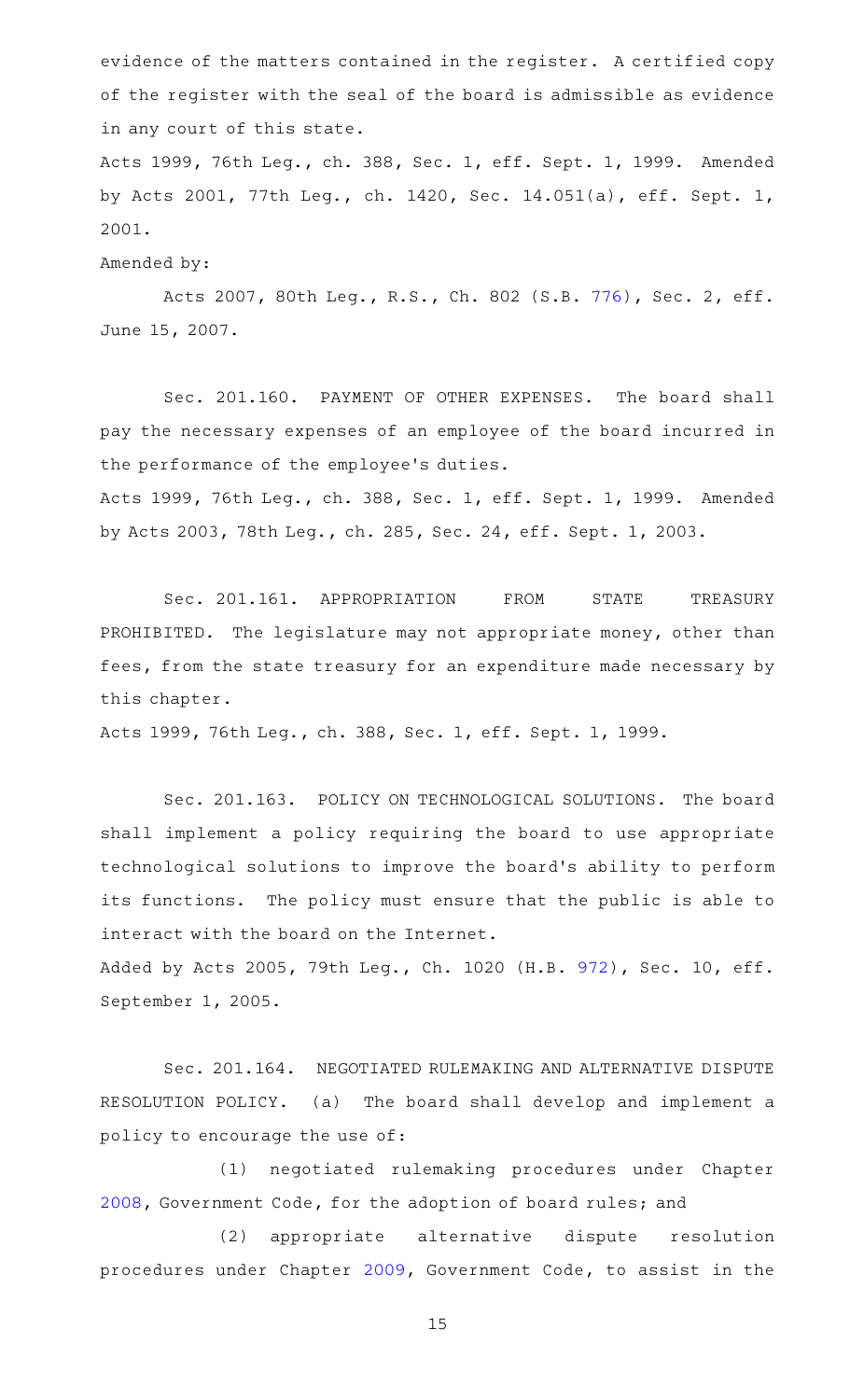evidence of the matters contained in the register. A certified copy of the register with the seal of the board is admissible as evidence in any court of this state.

Acts 1999, 76th Leg., ch. 388, Sec. 1, eff. Sept. 1, 1999. Amended by Acts 2001, 77th Leg., ch. 1420, Sec. 14.051(a), eff. Sept. 1, 2001.

Amended by:

Acts 2007, 80th Leg., R.S., Ch. 802 (S.B. [776](http://www.legis.state.tx.us/tlodocs/80R/billtext/html/SB00776F.HTM)), Sec. 2, eff. June 15, 2007.

Sec. 201.160. PAYMENT OF OTHER EXPENSES. The board shall pay the necessary expenses of an employee of the board incurred in the performance of the employee 's duties.

Acts 1999, 76th Leg., ch. 388, Sec. 1, eff. Sept. 1, 1999. Amended by Acts 2003, 78th Leg., ch. 285, Sec. 24, eff. Sept. 1, 2003.

Sec. 201.161. APPROPRIATION FROM STATE TREASURY PROHIBITED. The legislature may not appropriate money, other than fees, from the state treasury for an expenditure made necessary by this chapter.

Acts 1999, 76th Leg., ch. 388, Sec. 1, eff. Sept. 1, 1999.

Sec. 201.163. POLICY ON TECHNOLOGICAL SOLUTIONS. The board shall implement a policy requiring the board to use appropriate technological solutions to improve the board 's ability to perform its functions. The policy must ensure that the public is able to interact with the board on the Internet.

Added by Acts 2005, 79th Leg., Ch. 1020 (H.B. [972](http://www.legis.state.tx.us/tlodocs/79R/billtext/html/HB00972F.HTM)), Sec. 10, eff. September 1, 2005.

Sec. 201.164. NEGOTIATED RULEMAKING AND ALTERNATIVE DISPUTE RESOLUTION POLICY. (a) The board shall develop and implement a policy to encourage the use of:

(1) negotiated rulemaking procedures under Chapter [2008](http://www.statutes.legis.state.tx.us/GetStatute.aspx?Code=GV&Value=2008), Government Code, for the adoption of board rules; and

(2) appropriate alternative dispute resolution procedures under Chapter [2009,](http://www.statutes.legis.state.tx.us/GetStatute.aspx?Code=GV&Value=2009) Government Code, to assist in the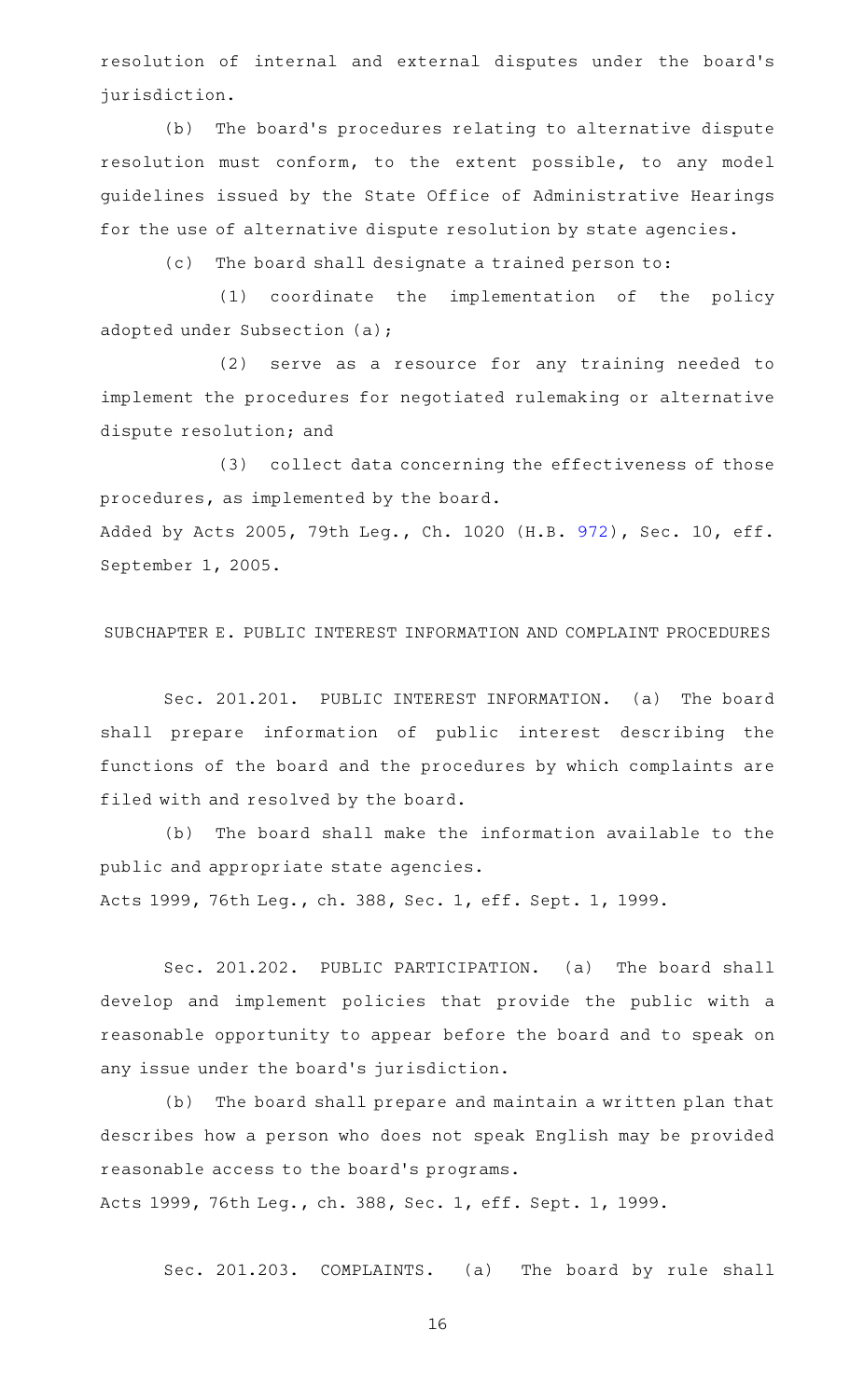resolution of internal and external disputes under the board's jurisdiction.

(b) The board's procedures relating to alternative dispute resolution must conform, to the extent possible, to any model guidelines issued by the State Office of Administrative Hearings for the use of alternative dispute resolution by state agencies.

(c) The board shall designate a trained person to:

(1) coordinate the implementation of the policy adopted under Subsection (a);

(2) serve as a resource for any training needed to implement the procedures for negotiated rulemaking or alternative dispute resolution; and

(3) collect data concerning the effectiveness of those procedures, as implemented by the board. Added by Acts 2005, 79th Leg., Ch. 1020 (H.B. [972](http://www.legis.state.tx.us/tlodocs/79R/billtext/html/HB00972F.HTM)), Sec. 10, eff. September 1, 2005.

### SUBCHAPTER E. PUBLIC INTEREST INFORMATION AND COMPLAINT PROCEDURES

Sec. 201.201. PUBLIC INTEREST INFORMATION. (a) The board shall prepare information of public interest describing the functions of the board and the procedures by which complaints are filed with and resolved by the board.

(b) The board shall make the information available to the public and appropriate state agencies.

Acts 1999, 76th Leg., ch. 388, Sec. 1, eff. Sept. 1, 1999.

Sec. 201.202. PUBLIC PARTICIPATION. (a) The board shall develop and implement policies that provide the public with a reasonable opportunity to appear before the board and to speak on any issue under the board's jurisdiction.

(b) The board shall prepare and maintain a written plan that describes how a person who does not speak English may be provided reasonable access to the board 's programs.

Acts 1999, 76th Leg., ch. 388, Sec. 1, eff. Sept. 1, 1999.

Sec. 201.203. COMPLAINTS. (a) The board by rule shall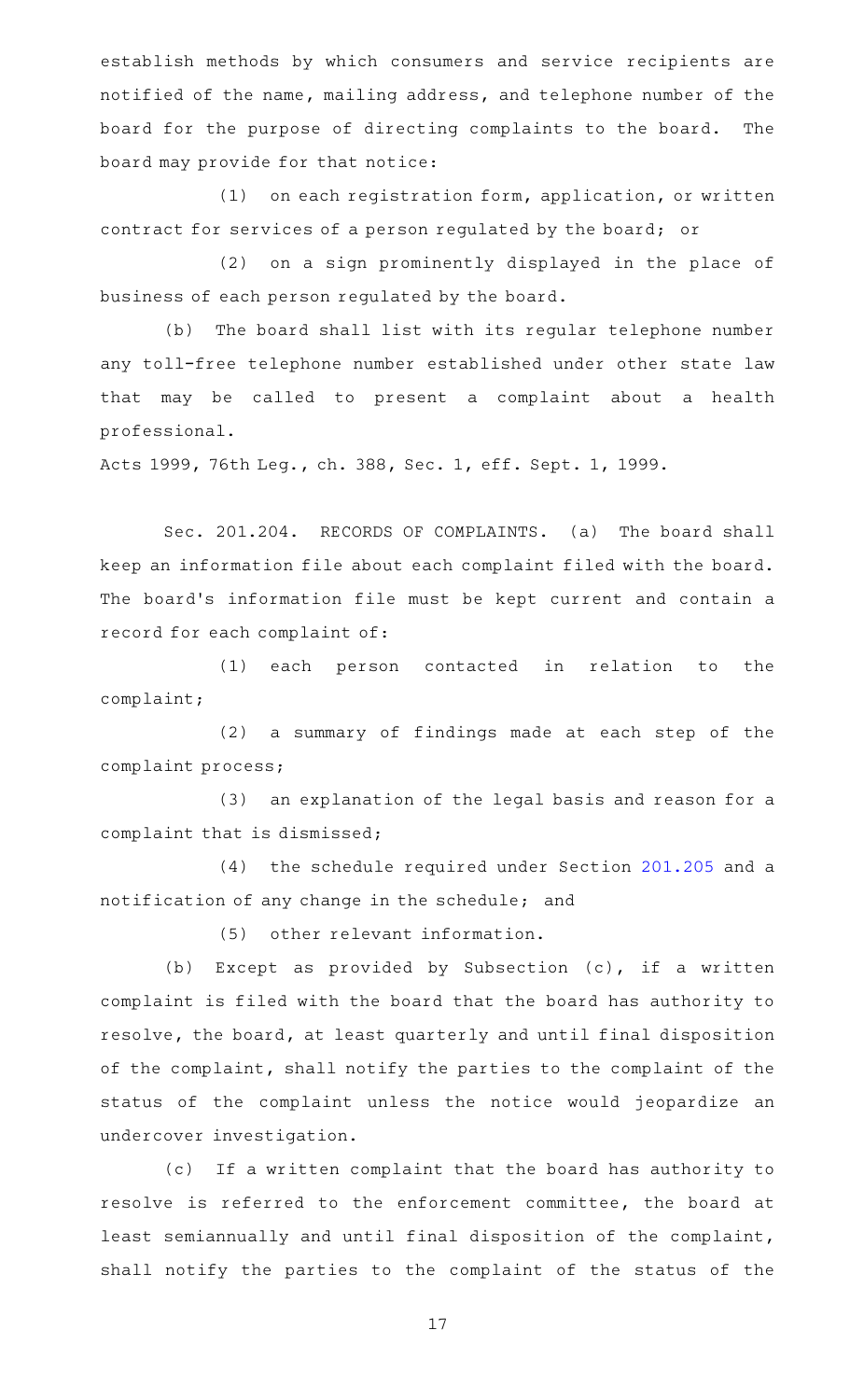establish methods by which consumers and service recipients are notified of the name, mailing address, and telephone number of the board for the purpose of directing complaints to the board. The board may provide for that notice:

(1) on each registration form, application, or written contract for services of a person regulated by the board; or

(2) on a sign prominently displayed in the place of business of each person regulated by the board.

(b) The board shall list with its regular telephone number any toll-free telephone number established under other state law that may be called to present a complaint about a health professional.

Acts 1999, 76th Leg., ch. 388, Sec. 1, eff. Sept. 1, 1999.

Sec. 201.204. RECORDS OF COMPLAINTS. (a) The board shall keep an information file about each complaint filed with the board. The board's information file must be kept current and contain a record for each complaint of:

(1) each person contacted in relation to the complaint;

(2) a summary of findings made at each step of the complaint process;

(3) an explanation of the legal basis and reason for a complaint that is dismissed;

 $(4)$  the schedule required under Section [201.205](http://www.statutes.legis.state.tx.us/GetStatute.aspx?Code=OC&Value=201.205) and a notification of any change in the schedule; and

(5) other relevant information.

(b) Except as provided by Subsection  $(c)$ , if a written complaint is filed with the board that the board has authority to resolve, the board, at least quarterly and until final disposition of the complaint, shall notify the parties to the complaint of the status of the complaint unless the notice would jeopardize an undercover investigation.

(c) If a written complaint that the board has authority to resolve is referred to the enforcement committee, the board at least semiannually and until final disposition of the complaint, shall notify the parties to the complaint of the status of the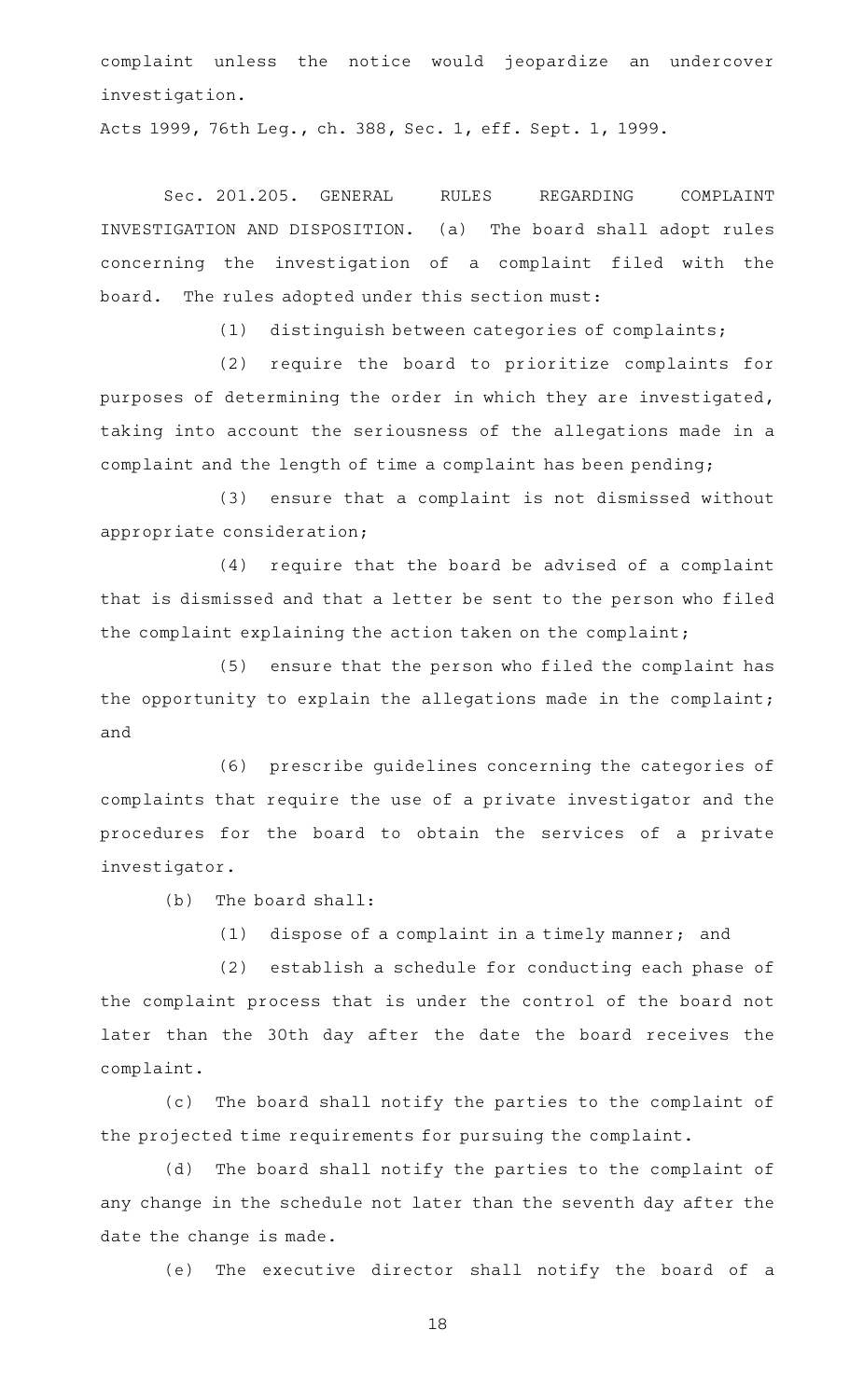complaint unless the notice would jeopardize an undercover investigation.

Acts 1999, 76th Leg., ch. 388, Sec. 1, eff. Sept. 1, 1999.

Sec. 201.205. GENERAL RULES REGARDING COMPLAINT INVESTIGATION AND DISPOSITION. (a) The board shall adopt rules concerning the investigation of a complaint filed with the board. The rules adopted under this section must:

(1) distinguish between categories of complaints;

(2) require the board to prioritize complaints for purposes of determining the order in which they are investigated, taking into account the seriousness of the allegations made in a complaint and the length of time a complaint has been pending;

(3) ensure that a complaint is not dismissed without appropriate consideration;

 $(4)$  require that the board be advised of a complaint that is dismissed and that a letter be sent to the person who filed the complaint explaining the action taken on the complaint;

(5) ensure that the person who filed the complaint has the opportunity to explain the allegations made in the complaint; and

(6) prescribe guidelines concerning the categories of complaints that require the use of a private investigator and the procedures for the board to obtain the services of a private investigator.

 $(b)$  The board shall:

 $(1)$  dispose of a complaint in a timely manner; and

(2) establish a schedule for conducting each phase of the complaint process that is under the control of the board not later than the 30th day after the date the board receives the complaint.

(c) The board shall notify the parties to the complaint of the projected time requirements for pursuing the complaint.

(d) The board shall notify the parties to the complaint of any change in the schedule not later than the seventh day after the date the change is made.

(e) The executive director shall notify the board of a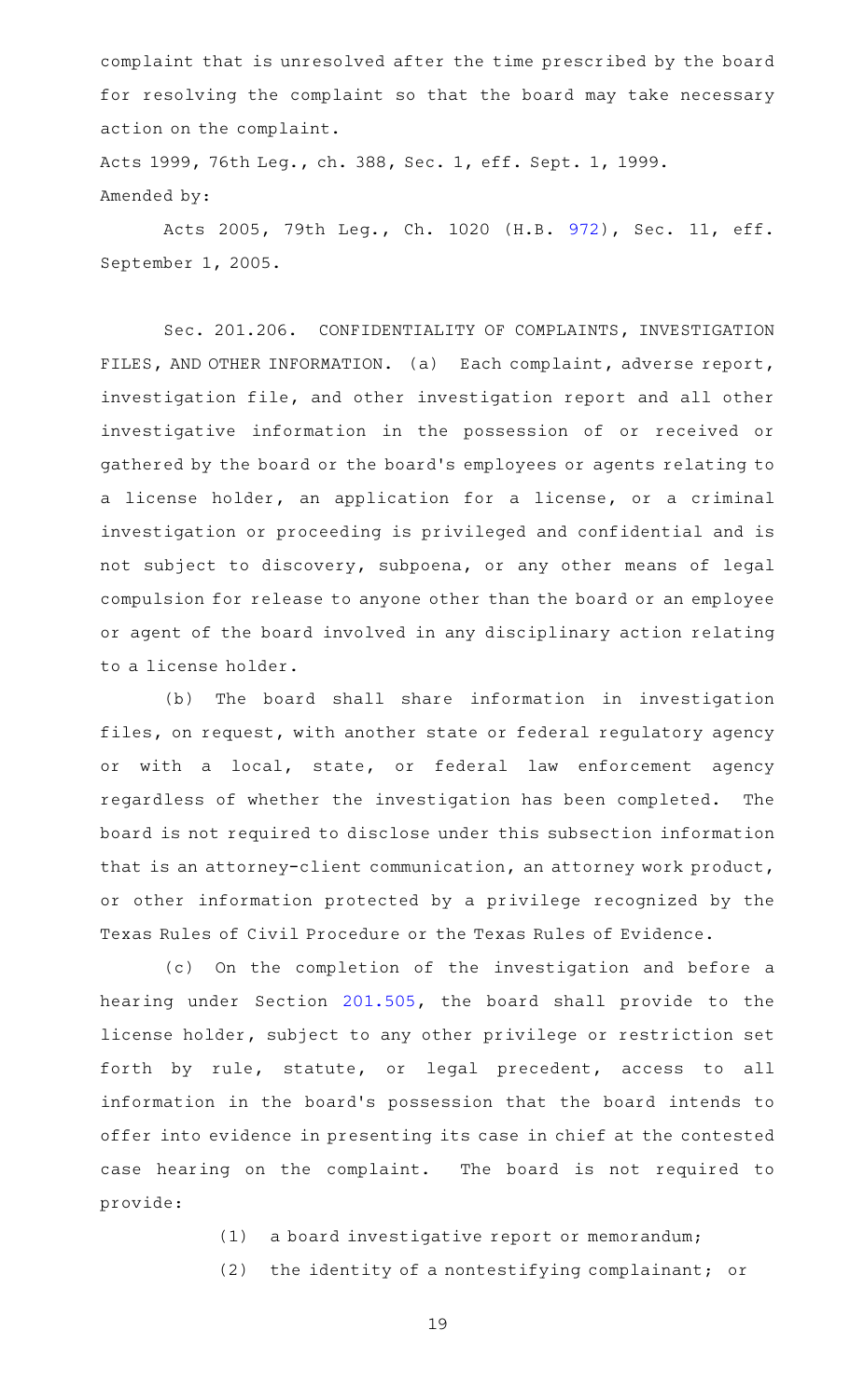complaint that is unresolved after the time prescribed by the board for resolving the complaint so that the board may take necessary action on the complaint.

Acts 1999, 76th Leg., ch. 388, Sec. 1, eff. Sept. 1, 1999. Amended by:

Acts 2005, 79th Leg., Ch. 1020 (H.B. [972\)](http://www.legis.state.tx.us/tlodocs/79R/billtext/html/HB00972F.HTM), Sec. 11, eff. September 1, 2005.

Sec. 201.206. CONFIDENTIALITY OF COMPLAINTS, INVESTIGATION FILES, AND OTHER INFORMATION. (a) Each complaint, adverse report, investigation file, and other investigation report and all other investigative information in the possession of or received or gathered by the board or the board 's employees or agents relating to a license holder, an application for a license, or a criminal investigation or proceeding is privileged and confidential and is not subject to discovery, subpoena, or any other means of legal compulsion for release to anyone other than the board or an employee or agent of the board involved in any disciplinary action relating to a license holder.

(b) The board shall share information in investigation files, on request, with another state or federal regulatory agency or with a local, state, or federal law enforcement agency regardless of whether the investigation has been completed. The board is not required to disclose under this subsection information that is an attorney-client communication, an attorney work product, or other information protected by a privilege recognized by the Texas Rules of Civil Procedure or the Texas Rules of Evidence.

(c) On the completion of the investigation and before a hearing under Section [201.505](http://www.statutes.legis.state.tx.us/GetStatute.aspx?Code=OC&Value=201.505), the board shall provide to the license holder, subject to any other privilege or restriction set forth by rule, statute, or legal precedent, access to all information in the board's possession that the board intends to offer into evidence in presenting its case in chief at the contested case hearing on the complaint. The board is not required to provide:

- (1) a board investigative report or memorandum;
- (2) the identity of a nontestifying complainant; or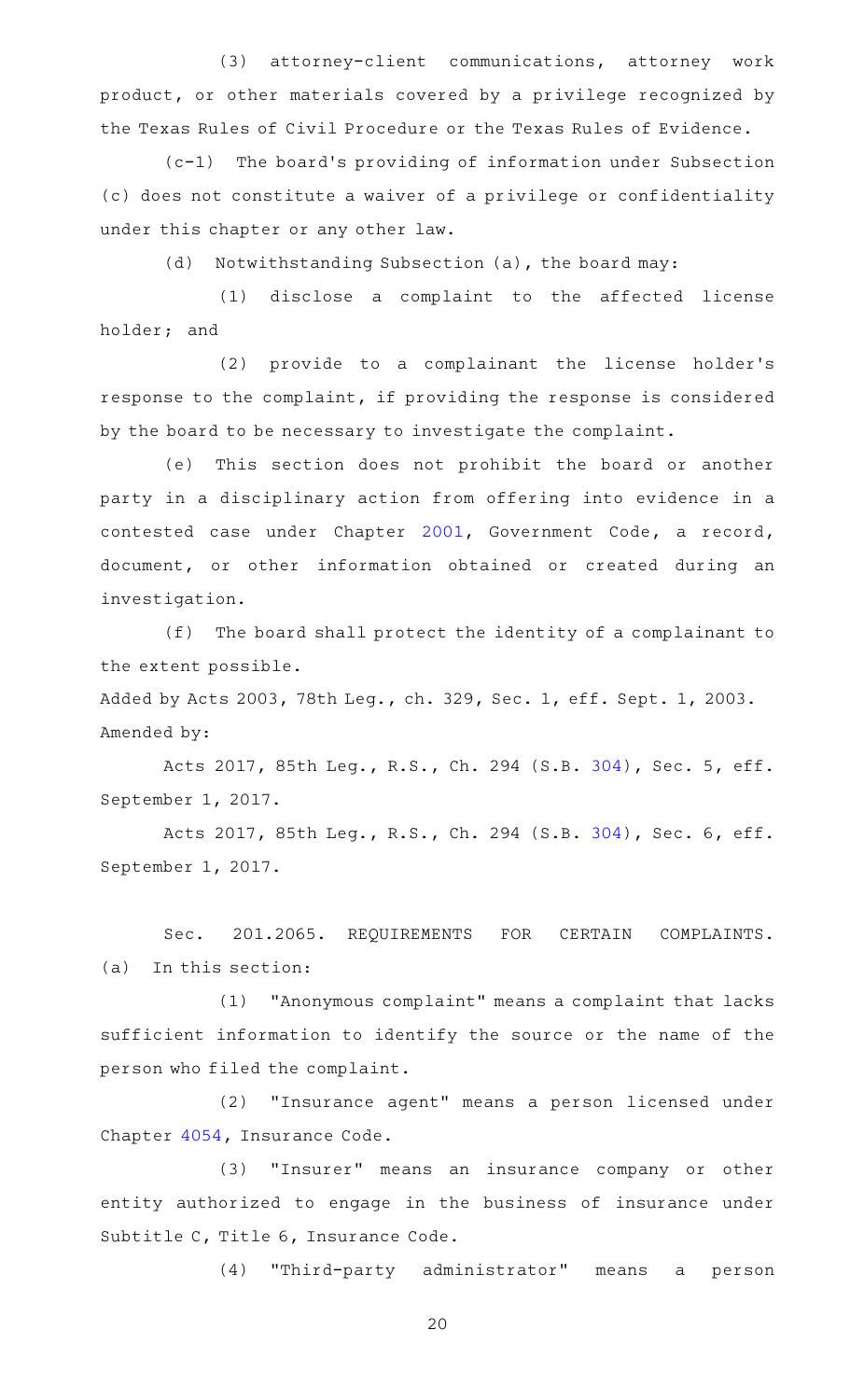(3) attorney-client communications, attorney work product, or other materials covered by a privilege recognized by the Texas Rules of Civil Procedure or the Texas Rules of Evidence.

 $(c-1)$  The board's providing of information under Subsection (c) does not constitute a waiver of a privilege or confidentiality under this chapter or any other law.

(d) Notwithstanding Subsection (a), the board may:

(1) disclose a complaint to the affected license holder; and

(2) provide to a complainant the license holder's response to the complaint, if providing the response is considered by the board to be necessary to investigate the complaint.

(e) This section does not prohibit the board or another party in a disciplinary action from offering into evidence in a contested case under Chapter [2001,](http://www.statutes.legis.state.tx.us/GetStatute.aspx?Code=GV&Value=2001) Government Code, a record, document, or other information obtained or created during an investigation.

(f) The board shall protect the identity of a complainant to the extent possible.

Added by Acts 2003, 78th Leg., ch. 329, Sec. 1, eff. Sept. 1, 2003. Amended by:

Acts 2017, 85th Leg., R.S., Ch. 294 (S.B. [304](http://www.legis.state.tx.us/tlodocs/85R/billtext/html/SB00304F.HTM)), Sec. 5, eff. September 1, 2017.

Acts 2017, 85th Leg., R.S., Ch. 294 (S.B. [304](http://www.legis.state.tx.us/tlodocs/85R/billtext/html/SB00304F.HTM)), Sec. 6, eff. September 1, 2017.

Sec. 201.2065. REQUIREMENTS FOR CERTAIN COMPLAINTS.  $(a)$  In this section:

(1) "Anonymous complaint" means a complaint that lacks sufficient information to identify the source or the name of the person who filed the complaint.

(2) "Insurance agent" means a person licensed under Chapter [4054](http://www.statutes.legis.state.tx.us/GetStatute.aspx?Code=IN&Value=4054), Insurance Code.

(3) "Insurer" means an insurance company or other entity authorized to engage in the business of insurance under Subtitle C, Title 6, Insurance Code.

(4) "Third-party administrator" means a person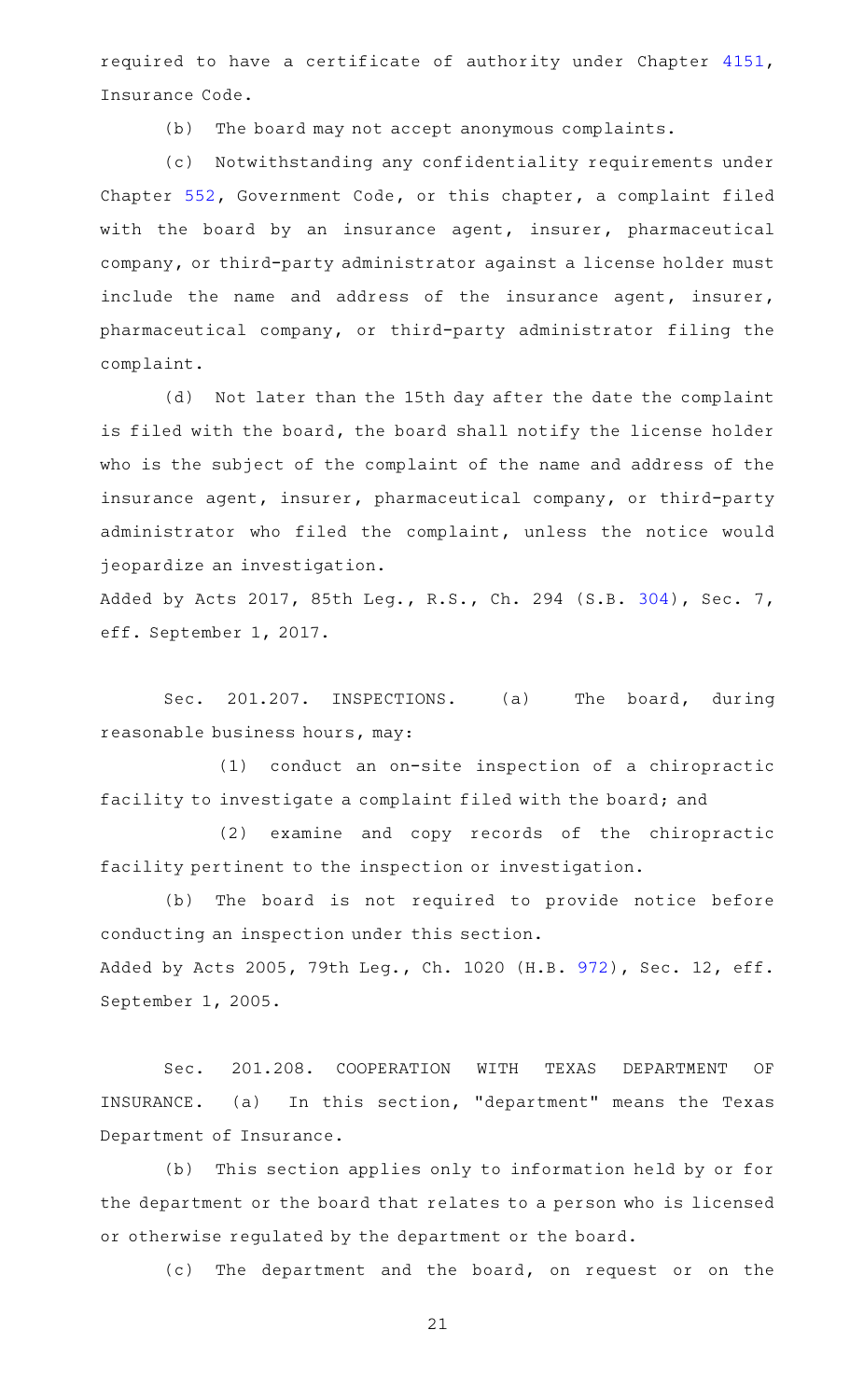required to have a certificate of authority under Chapter [4151](http://www.statutes.legis.state.tx.us/GetStatute.aspx?Code=IN&Value=4151), Insurance Code.

(b) The board may not accept anonymous complaints.

(c) Notwithstanding any confidentiality requirements under Chapter [552](http://www.statutes.legis.state.tx.us/GetStatute.aspx?Code=GV&Value=552), Government Code, or this chapter, a complaint filed with the board by an insurance agent, insurer, pharmaceutical company, or third-party administrator against a license holder must include the name and address of the insurance agent, insurer, pharmaceutical company, or third-party administrator filing the complaint.

(d) Not later than the 15th day after the date the complaint is filed with the board, the board shall notify the license holder who is the subject of the complaint of the name and address of the insurance agent, insurer, pharmaceutical company, or third-party administrator who filed the complaint, unless the notice would jeopardize an investigation.

Added by Acts 2017, 85th Leg., R.S., Ch. 294 (S.B. [304](http://www.legis.state.tx.us/tlodocs/85R/billtext/html/SB00304F.HTM)), Sec. 7, eff. September 1, 2017.

Sec. 201.207. INSPECTIONS. (a) The board, during reasonable business hours, may:

 $(1)$  conduct an on-site inspection of a chiropractic facility to investigate a complaint filed with the board; and

(2) examine and copy records of the chiropractic facility pertinent to the inspection or investigation.

(b) The board is not required to provide notice before conducting an inspection under this section. Added by Acts 2005, 79th Leg., Ch. 1020 (H.B. [972](http://www.legis.state.tx.us/tlodocs/79R/billtext/html/HB00972F.HTM)), Sec. 12, eff. September 1, 2005.

Sec. 201.208. COOPERATION WITH TEXAS DEPARTMENT OF INSURANCE. (a) In this section, "department" means the Texas Department of Insurance.

(b) This section applies only to information held by or for the department or the board that relates to a person who is licensed or otherwise regulated by the department or the board.

(c) The department and the board, on request or on the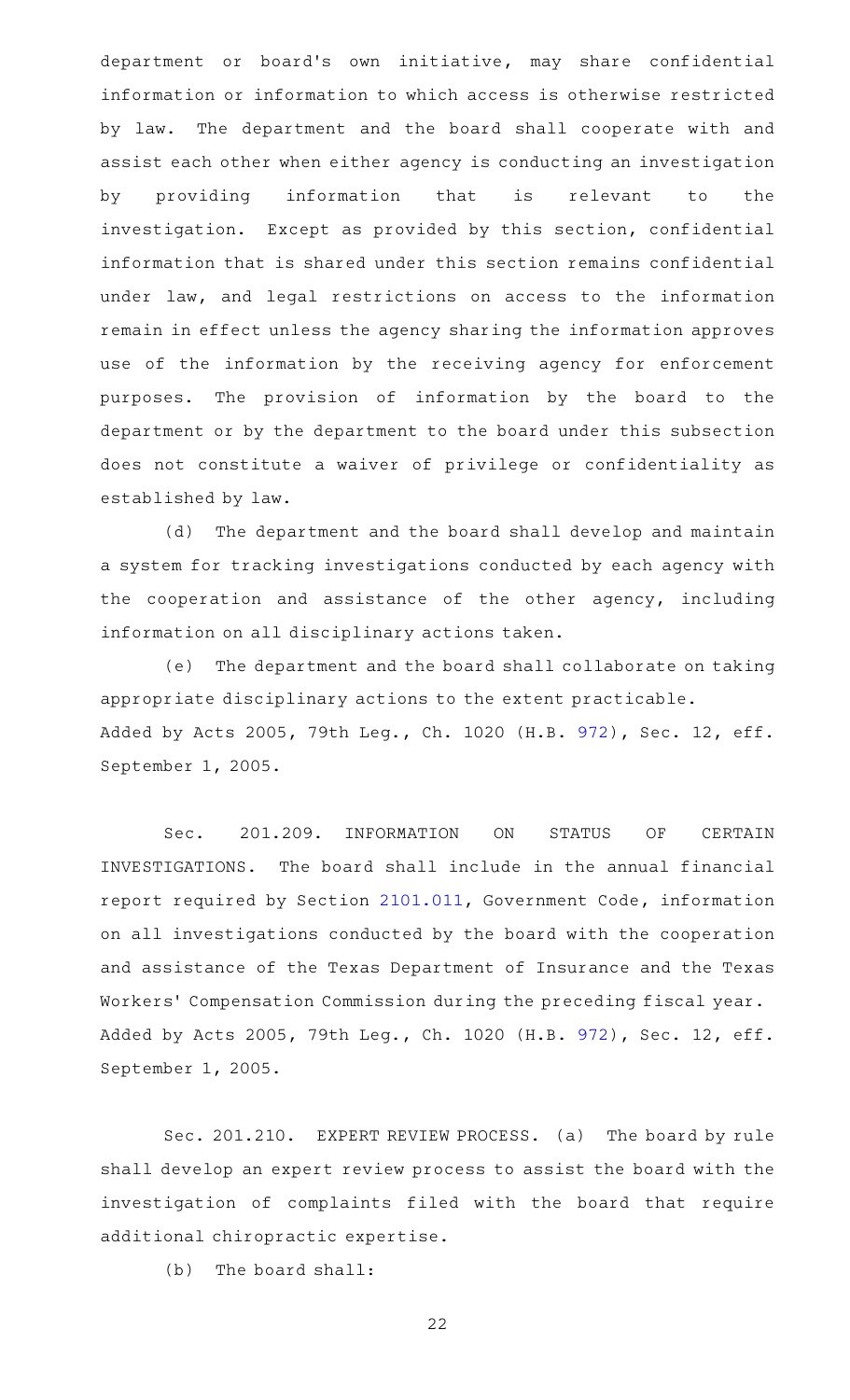department or board's own initiative, may share confidential information or information to which access is otherwise restricted by law. The department and the board shall cooperate with and assist each other when either agency is conducting an investigation by providing information that is relevant to the investigation. Except as provided by this section, confidential information that is shared under this section remains confidential under law, and legal restrictions on access to the information remain in effect unless the agency sharing the information approves use of the information by the receiving agency for enforcement purposes. The provision of information by the board to the department or by the department to the board under this subsection does not constitute a waiver of privilege or confidentiality as established by law.

(d) The department and the board shall develop and maintain a system for tracking investigations conducted by each agency with the cooperation and assistance of the other agency, including information on all disciplinary actions taken.

(e) The department and the board shall collaborate on taking appropriate disciplinary actions to the extent practicable. Added by Acts 2005, 79th Leg., Ch. 1020 (H.B. [972](http://www.legis.state.tx.us/tlodocs/79R/billtext/html/HB00972F.HTM)), Sec. 12, eff. September 1, 2005.

Sec. 201.209. INFORMATION ON STATUS OF CERTAIN INVESTIGATIONS. The board shall include in the annual financial report required by Section [2101.011,](http://www.statutes.legis.state.tx.us/GetStatute.aspx?Code=GV&Value=2101.011) Government Code, information on all investigations conducted by the board with the cooperation and assistance of the Texas Department of Insurance and the Texas Workers' Compensation Commission during the preceding fiscal year. Added by Acts 2005, 79th Leg., Ch. 1020 (H.B. [972](http://www.legis.state.tx.us/tlodocs/79R/billtext/html/HB00972F.HTM)), Sec. 12, eff. September 1, 2005.

Sec. 201.210. EXPERT REVIEW PROCESS. (a) The board by rule shall develop an expert review process to assist the board with the investigation of complaints filed with the board that require additional chiropractic expertise.

 $(b)$  The board shall: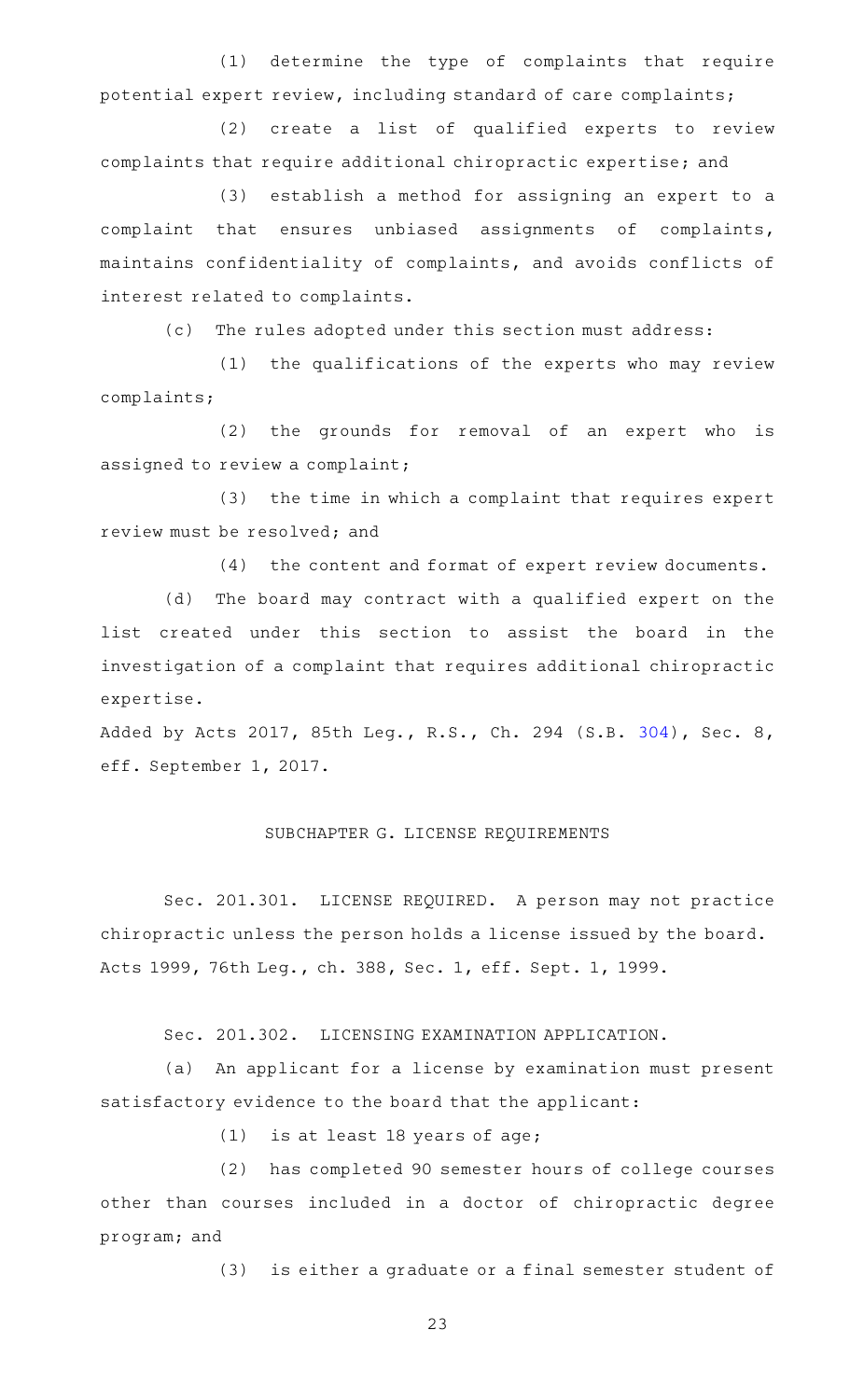(1) determine the type of complaints that require potential expert review, including standard of care complaints;

(2) create a list of qualified experts to review complaints that require additional chiropractic expertise; and

(3) establish a method for assigning an expert to a complaint that ensures unbiased assignments of complaints, maintains confidentiality of complaints, and avoids conflicts of interest related to complaints.

(c) The rules adopted under this section must address:

(1) the qualifications of the experts who may review complaints;

(2) the grounds for removal of an expert who is assigned to review a complaint;

(3) the time in which a complaint that requires expert review must be resolved; and

(4) the content and format of expert review documents.

(d) The board may contract with a qualified expert on the list created under this section to assist the board in the investigation of a complaint that requires additional chiropractic expertise.

Added by Acts 2017, 85th Leg., R.S., Ch. 294 (S.B. [304](http://www.legis.state.tx.us/tlodocs/85R/billtext/html/SB00304F.HTM)), Sec. 8, eff. September 1, 2017.

### SUBCHAPTER G. LICENSE REQUIREMENTS

Sec. 201.301. LICENSE REQUIRED. A person may not practice chiropractic unless the person holds a license issued by the board. Acts 1999, 76th Leg., ch. 388, Sec. 1, eff. Sept. 1, 1999.

Sec. 201.302. LICENSING EXAMINATION APPLICATION.

(a) An applicant for a license by examination must present satisfactory evidence to the board that the applicant:

 $(1)$  is at least 18 years of age;

(2) has completed 90 semester hours of college courses other than courses included in a doctor of chiropractic degree program; and

(3) is either a graduate or a final semester student of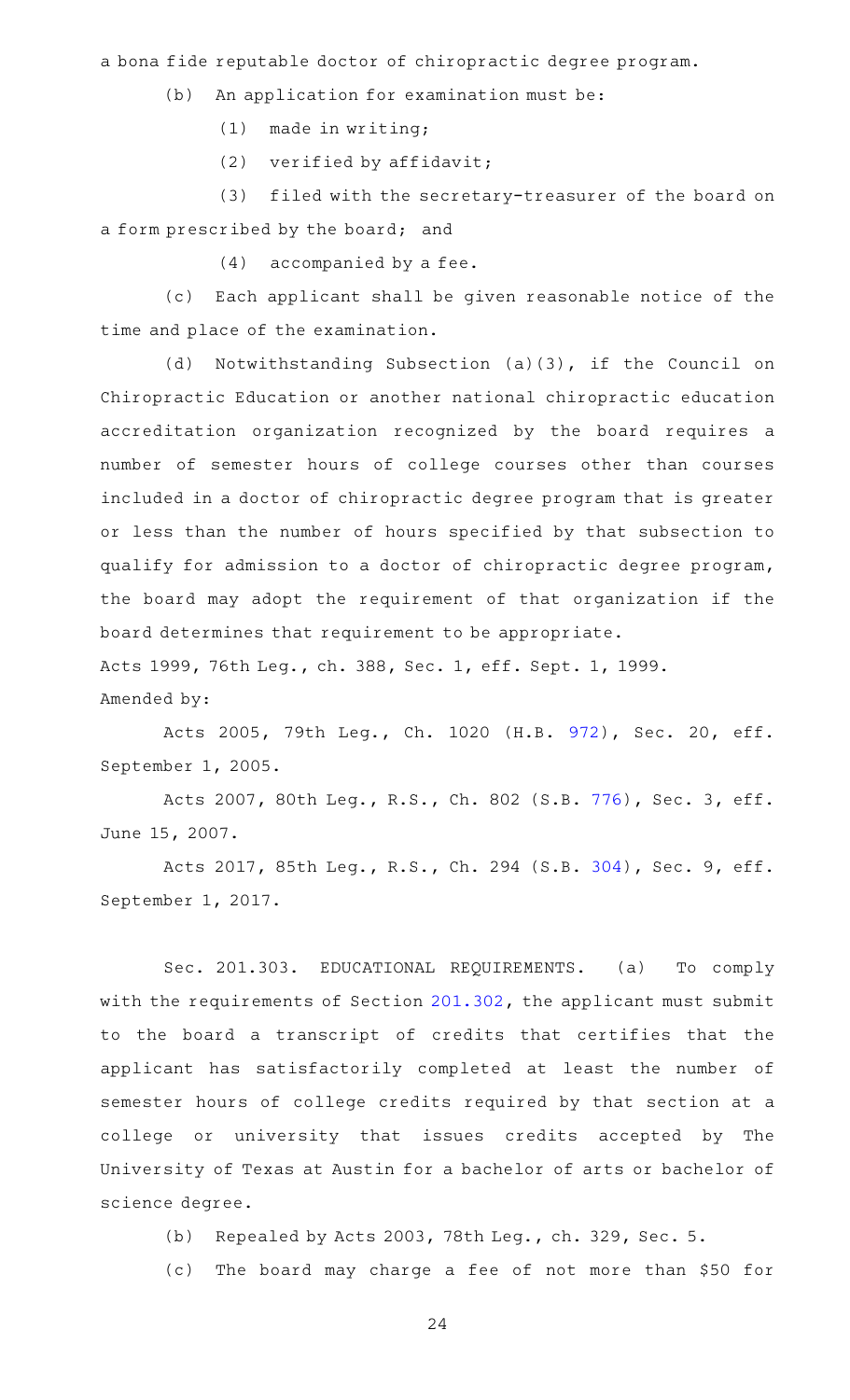a bona fide reputable doctor of chiropractic degree program.

(b) An application for examination must be:

 $(1)$  made in writing;

 $(2)$  verified by affidavit;

(3) filed with the secretary-treasurer of the board on a form prescribed by the board; and

 $(4)$  accompanied by a fee.

(c) Each applicant shall be given reasonable notice of the time and place of the examination.

(d) Notwithstanding Subsection (a)(3), if the Council on Chiropractic Education or another national chiropractic education accreditation organization recognized by the board requires a number of semester hours of college courses other than courses included in a doctor of chiropractic degree program that is greater or less than the number of hours specified by that subsection to qualify for admission to a doctor of chiropractic degree program, the board may adopt the requirement of that organization if the board determines that requirement to be appropriate. Acts 1999, 76th Leg., ch. 388, Sec. 1, eff. Sept. 1, 1999. Amended by:

Acts 2005, 79th Leg., Ch. 1020 (H.B. [972\)](http://www.legis.state.tx.us/tlodocs/79R/billtext/html/HB00972F.HTM), Sec. 20, eff. September 1, 2005.

Acts 2007, 80th Leg., R.S., Ch. 802 (S.B. [776](http://www.legis.state.tx.us/tlodocs/80R/billtext/html/SB00776F.HTM)), Sec. 3, eff. June 15, 2007.

Acts 2017, 85th Leg., R.S., Ch. 294 (S.B. [304](http://www.legis.state.tx.us/tlodocs/85R/billtext/html/SB00304F.HTM)), Sec. 9, eff. September 1, 2017.

Sec. 201.303. EDUCATIONAL REQUIREMENTS. (a) To comply with the requirements of Section [201.302,](http://www.statutes.legis.state.tx.us/GetStatute.aspx?Code=OC&Value=201.302) the applicant must submit to the board a transcript of credits that certifies that the applicant has satisfactorily completed at least the number of semester hours of college credits required by that section at a college or university that issues credits accepted by The University of Texas at Austin for a bachelor of arts or bachelor of science degree.

(b) Repealed by Acts 2003, 78th Leg., ch. 329, Sec. 5.

(c) The board may charge a fee of not more than \$50 for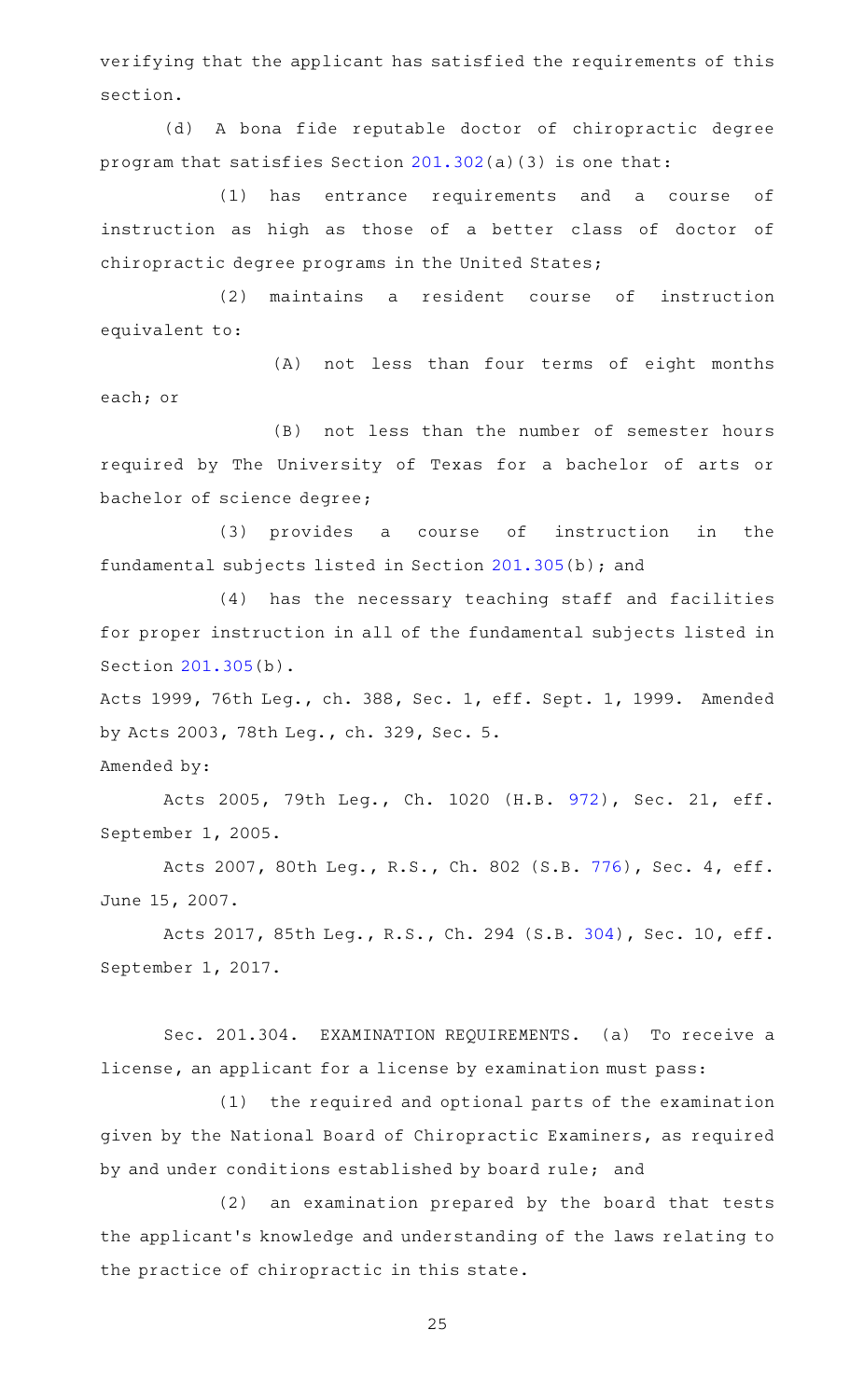verifying that the applicant has satisfied the requirements of this section.

(d)AAA bona fide reputable doctor of chiropractic degree program that satisfies Section [201.302\(](http://www.statutes.legis.state.tx.us/GetStatute.aspx?Code=OC&Value=201.302)a)(3) is one that:

(1) has entrance requirements and a course of instruction as high as those of a better class of doctor of chiropractic degree programs in the United States;

(2) maintains a resident course of instruction equivalent to:

(A) not less than four terms of eight months each; or

(B) not less than the number of semester hours required by The University of Texas for a bachelor of arts or bachelor of science degree;

(3) provides a course of instruction in the fundamental subjects listed in Section [201.305\(](http://www.statutes.legis.state.tx.us/GetStatute.aspx?Code=OC&Value=201.305)b); and

(4) has the necessary teaching staff and facilities for proper instruction in all of the fundamental subjects listed in Section [201.305\(](http://www.statutes.legis.state.tx.us/GetStatute.aspx?Code=OC&Value=201.305)b).

Acts 1999, 76th Leg., ch. 388, Sec. 1, eff. Sept. 1, 1999. Amended by Acts 2003, 78th Leg., ch. 329, Sec. 5.

Amended by:

Acts 2005, 79th Leg., Ch. 1020 (H.B. [972\)](http://www.legis.state.tx.us/tlodocs/79R/billtext/html/HB00972F.HTM), Sec. 21, eff. September 1, 2005.

Acts 2007, 80th Leg., R.S., Ch. 802 (S.B. [776](http://www.legis.state.tx.us/tlodocs/80R/billtext/html/SB00776F.HTM)), Sec. 4, eff. June 15, 2007.

Acts 2017, 85th Leg., R.S., Ch. 294 (S.B. [304\)](http://www.legis.state.tx.us/tlodocs/85R/billtext/html/SB00304F.HTM), Sec. 10, eff. September 1, 2017.

Sec. 201.304. EXAMINATION REQUIREMENTS. (a) To receive a license, an applicant for a license by examination must pass:

(1) the required and optional parts of the examination given by the National Board of Chiropractic Examiners, as required by and under conditions established by board rule; and

(2) an examination prepared by the board that tests the applicant 's knowledge and understanding of the laws relating to the practice of chiropractic in this state.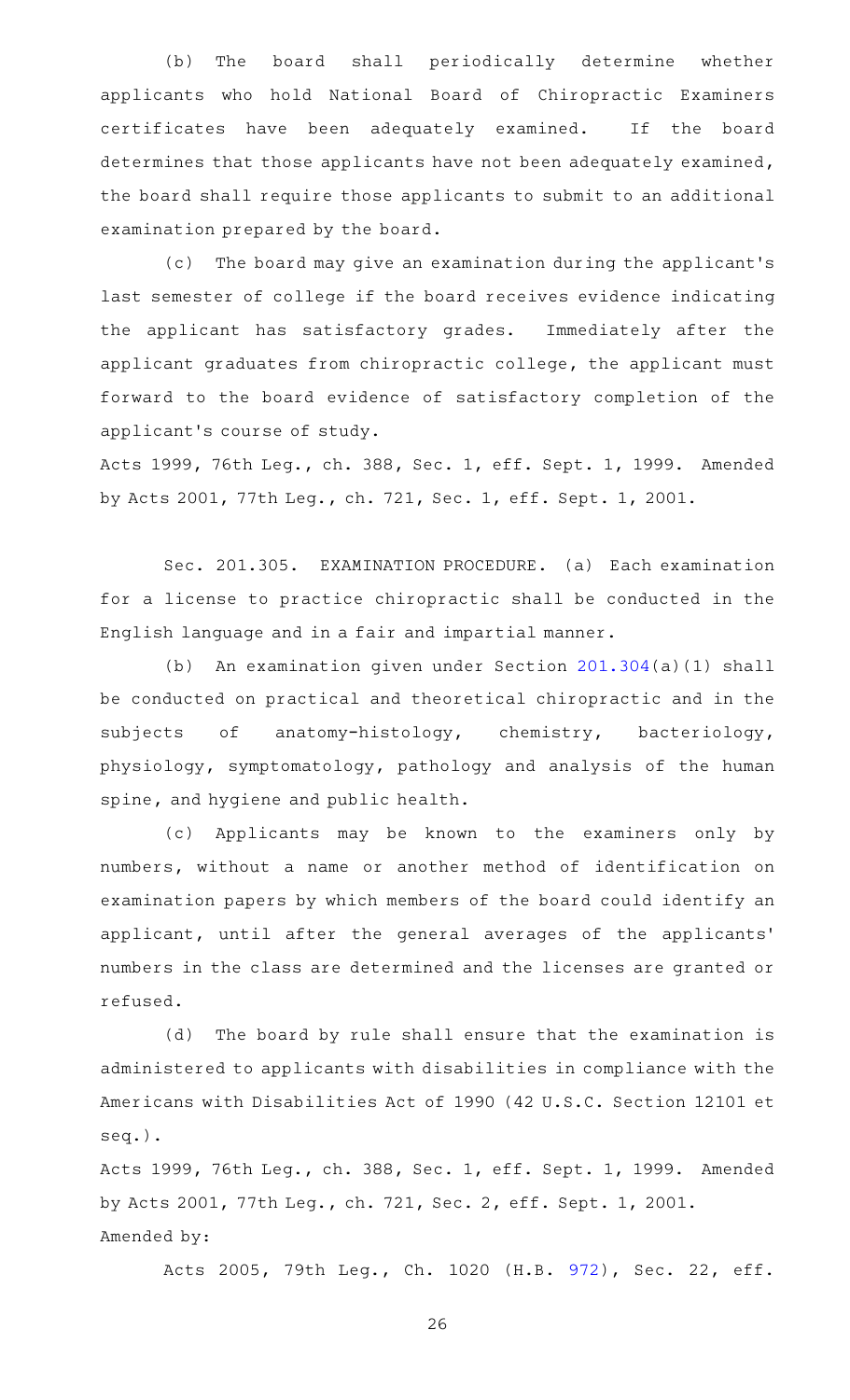(b) The board shall periodically determine whether applicants who hold National Board of Chiropractic Examiners certificates have been adequately examined. If the board determines that those applicants have not been adequately examined, the board shall require those applicants to submit to an additional examination prepared by the board.

(c) The board may give an examination during the applicant's last semester of college if the board receives evidence indicating the applicant has satisfactory grades. Immediately after the applicant graduates from chiropractic college, the applicant must forward to the board evidence of satisfactory completion of the applicant 's course of study.

Acts 1999, 76th Leg., ch. 388, Sec. 1, eff. Sept. 1, 1999. Amended by Acts 2001, 77th Leg., ch. 721, Sec. 1, eff. Sept. 1, 2001.

Sec. 201.305. EXAMINATION PROCEDURE. (a) Each examination for a license to practice chiropractic shall be conducted in the English language and in a fair and impartial manner.

(b) An examination given under Section  $201.304(a)(1)$  $201.304(a)(1)$  shall be conducted on practical and theoretical chiropractic and in the subjects of anatomy-histology, chemistry, bacteriology, physiology, symptomatology, pathology and analysis of the human spine, and hygiene and public health.

(c) Applicants may be known to the examiners only by numbers, without a name or another method of identification on examination papers by which members of the board could identify an applicant, until after the general averages of the applicants ' numbers in the class are determined and the licenses are granted or refused.

(d) The board by rule shall ensure that the examination is administered to applicants with disabilities in compliance with the Americans with Disabilities Act of 1990 (42 U.S.C. Section 12101 et seq.).

Acts 1999, 76th Leg., ch. 388, Sec. 1, eff. Sept. 1, 1999. Amended by Acts 2001, 77th Leg., ch. 721, Sec. 2, eff. Sept. 1, 2001. Amended by:

Acts 2005, 79th Leg., Ch. 1020 (H.B. [972\)](http://www.legis.state.tx.us/tlodocs/79R/billtext/html/HB00972F.HTM), Sec. 22, eff.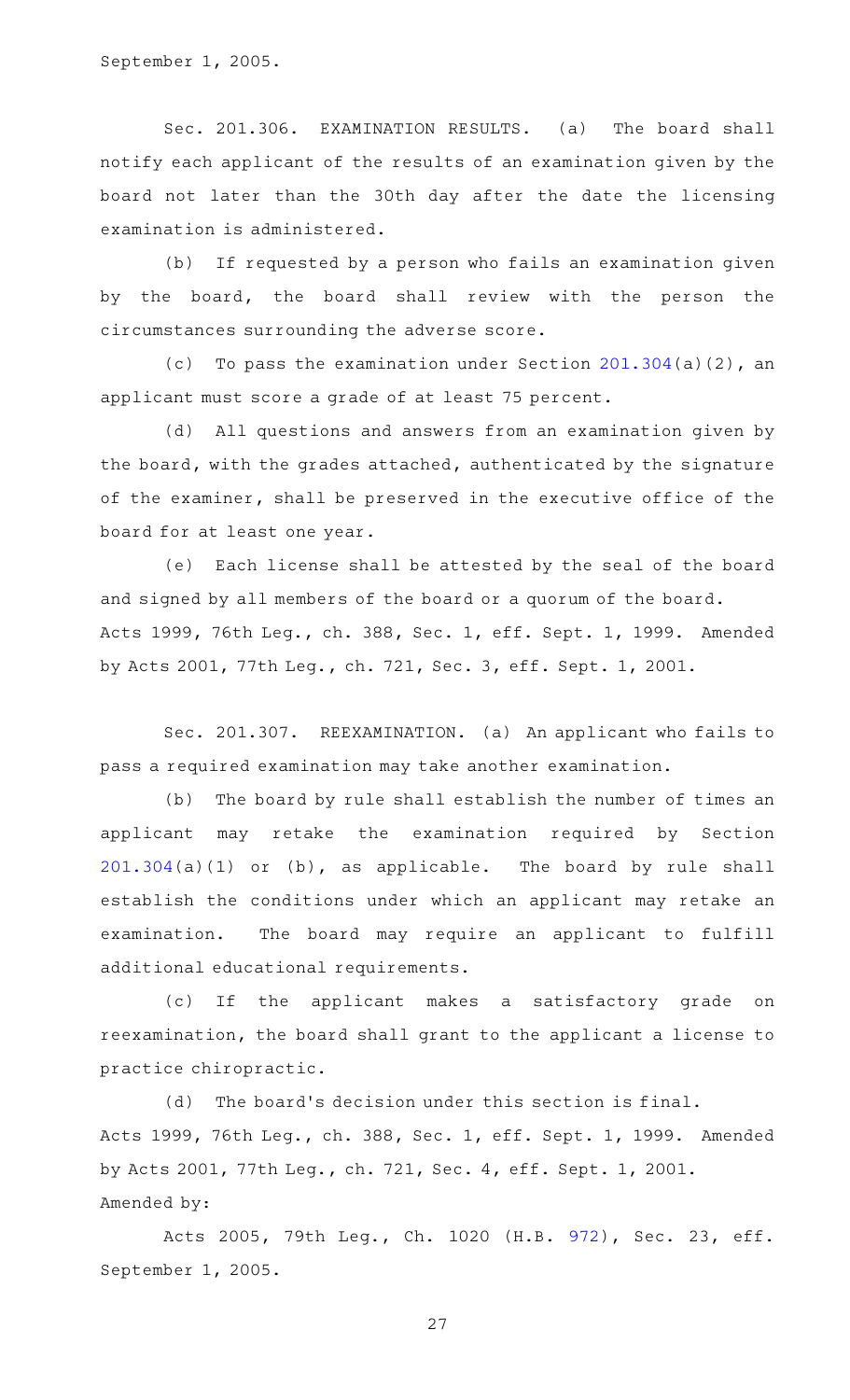September 1, 2005.

Sec. 201.306. EXAMINATION RESULTS. (a) The board shall notify each applicant of the results of an examination given by the board not later than the 30th day after the date the licensing examination is administered.

(b) If requested by a person who fails an examination given by the board, the board shall review with the person the circumstances surrounding the adverse score.

(c) To pass the examination under Section  $201.304(a)(2)$  $201.304(a)(2)$ , an applicant must score a grade of at least 75 percent.

(d) All questions and answers from an examination given by the board, with the grades attached, authenticated by the signature of the examiner, shall be preserved in the executive office of the board for at least one year.

(e) Each license shall be attested by the seal of the board and signed by all members of the board or a quorum of the board. Acts 1999, 76th Leg., ch. 388, Sec. 1, eff. Sept. 1, 1999. Amended by Acts 2001, 77th Leg., ch. 721, Sec. 3, eff. Sept. 1, 2001.

Sec. 201.307. REEXAMINATION. (a) An applicant who fails to pass a required examination may take another examination.

(b) The board by rule shall establish the number of times an applicant may retake the examination required by Section [201.304\(](http://www.statutes.legis.state.tx.us/GetStatute.aspx?Code=OC&Value=201.304)a)(1) or (b), as applicable. The board by rule shall establish the conditions under which an applicant may retake an examination. The board may require an applicant to fulfill additional educational requirements.

(c) If the applicant makes a satisfactory grade on reexamination, the board shall grant to the applicant a license to practice chiropractic.

(d) The board's decision under this section is final. Acts 1999, 76th Leg., ch. 388, Sec. 1, eff. Sept. 1, 1999. Amended by Acts 2001, 77th Leg., ch. 721, Sec. 4, eff. Sept. 1, 2001. Amended by:

Acts 2005, 79th Leg., Ch. 1020 (H.B. [972\)](http://www.legis.state.tx.us/tlodocs/79R/billtext/html/HB00972F.HTM), Sec. 23, eff. September 1, 2005.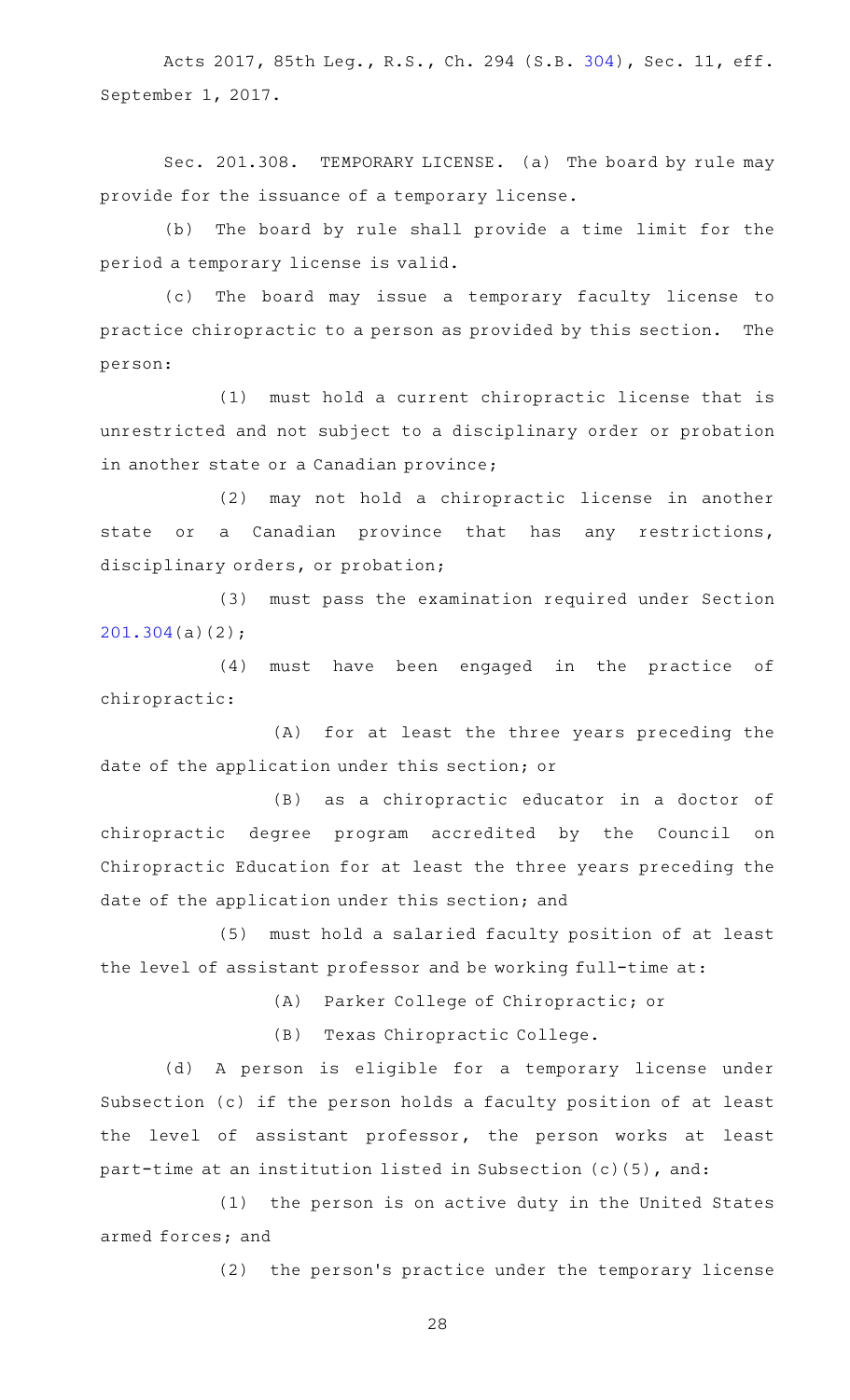Acts 2017, 85th Leg., R.S., Ch. 294 (S.B. [304\)](http://www.legis.state.tx.us/tlodocs/85R/billtext/html/SB00304F.HTM), Sec. 11, eff. September 1, 2017.

Sec. 201.308. TEMPORARY LICENSE. (a) The board by rule may provide for the issuance of a temporary license.

(b) The board by rule shall provide a time limit for the period a temporary license is valid.

(c) The board may issue a temporary faculty license to practice chiropractic to a person as provided by this section. The person:

(1) must hold a current chiropractic license that is unrestricted and not subject to a disciplinary order or probation in another state or a Canadian province;

(2) may not hold a chiropractic license in another state or a Canadian province that has any restrictions, disciplinary orders, or probation;

(3) must pass the examination required under Section [201.304\(](http://www.statutes.legis.state.tx.us/GetStatute.aspx?Code=OC&Value=201.304)a)(2);

(4) must have been engaged in the practice of chiropractic:

(A) for at least the three years preceding the date of the application under this section; or

(B) as a chiropractic educator in a doctor of chiropractic degree program accredited by the Council on Chiropractic Education for at least the three years preceding the date of the application under this section; and

(5) must hold a salaried faculty position of at least the level of assistant professor and be working full-time at:

(A) Parker College of Chiropractic; or

(B) Texas Chiropractic College.

(d) A person is eligible for a temporary license under Subsection (c) if the person holds a faculty position of at least the level of assistant professor, the person works at least part-time at an institution listed in Subsection (c)(5), and:

(1) the person is on active duty in the United States armed forces; and

(2) the person's practice under the temporary license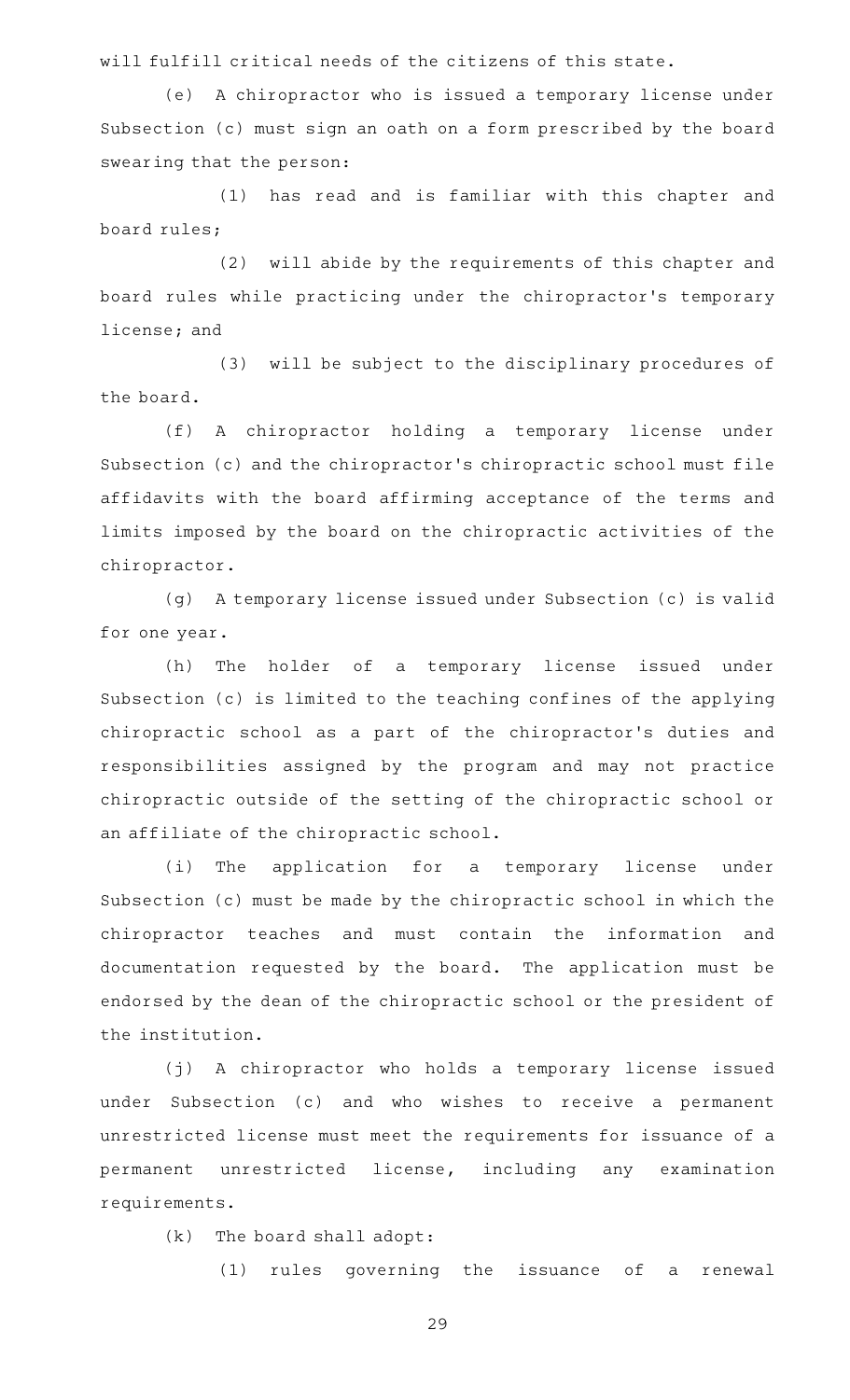will fulfill critical needs of the citizens of this state.

(e) A chiropractor who is issued a temporary license under Subsection (c) must sign an oath on a form prescribed by the board swearing that the person:

(1) has read and is familiar with this chapter and board rules;

(2) will abide by the requirements of this chapter and board rules while practicing under the chiropractor 's temporary license; and

(3) will be subject to the disciplinary procedures of the board.

(f) A chiropractor holding a temporary license under Subsection (c) and the chiropractor 's chiropractic school must file affidavits with the board affirming acceptance of the terms and limits imposed by the board on the chiropractic activities of the chiropractor.

(g) A temporary license issued under Subsection (c) is valid for one year.

(h) The holder of a temporary license issued under Subsection (c) is limited to the teaching confines of the applying chiropractic school as a part of the chiropractor 's duties and responsibilities assigned by the program and may not practice chiropractic outside of the setting of the chiropractic school or an affiliate of the chiropractic school.

(i) The application for a temporary license under Subsection (c) must be made by the chiropractic school in which the chiropractor teaches and must contain the information and documentation requested by the board. The application must be endorsed by the dean of the chiropractic school or the president of the institution.

(j) A chiropractor who holds a temporary license issued under Subsection (c) and who wishes to receive a permanent unrestricted license must meet the requirements for issuance of a permanent unrestricted license, including any examination requirements.

 $(k)$  The board shall adopt:

(1) rules governing the issuance of a renewal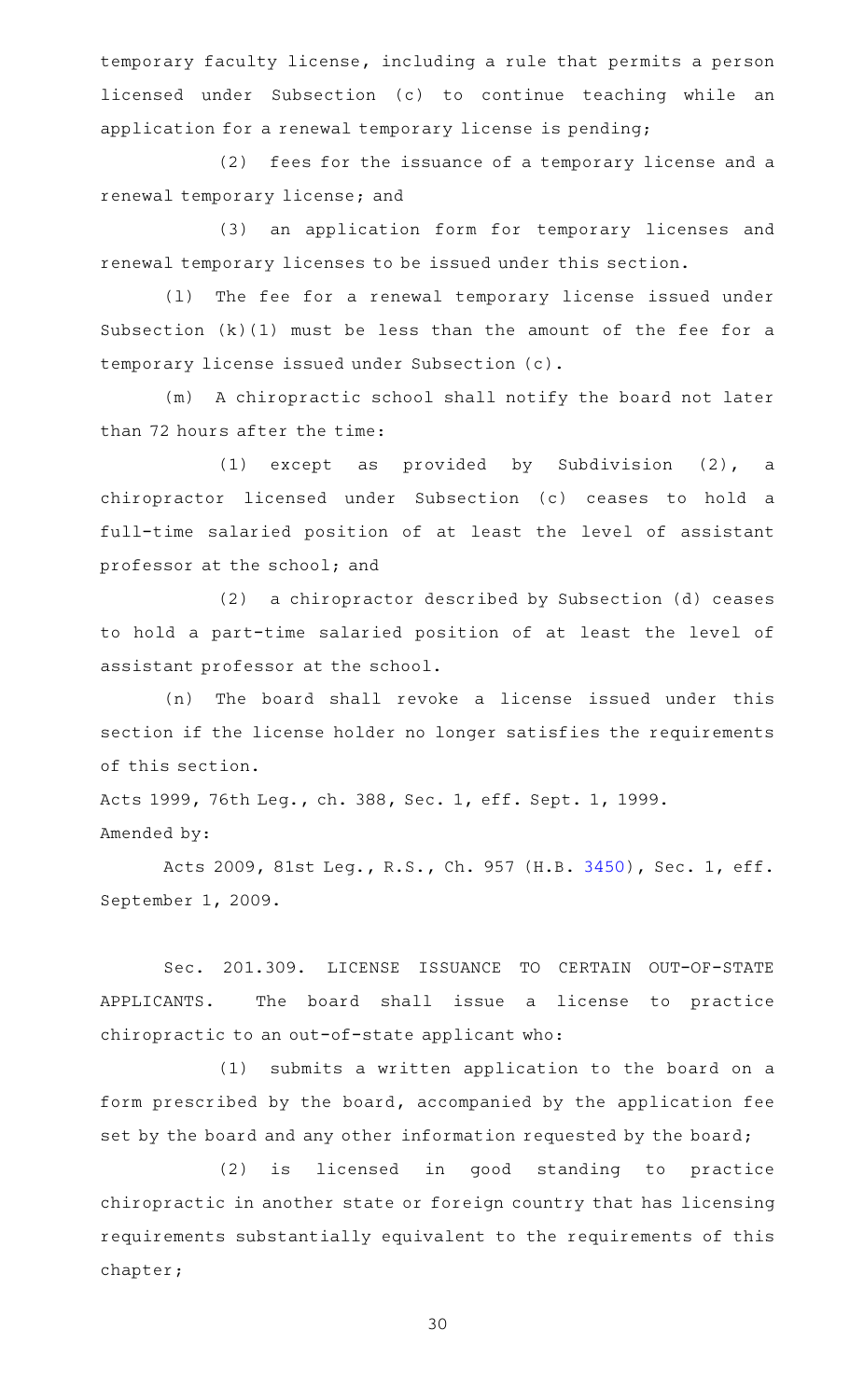temporary faculty license, including a rule that permits a person licensed under Subsection (c) to continue teaching while an application for a renewal temporary license is pending;

(2) fees for the issuance of a temporary license and a renewal temporary license; and

(3) an application form for temporary licenses and renewal temporary licenses to be issued under this section.

(1) The fee for a renewal temporary license issued under Subsection (k)(1) must be less than the amount of the fee for a temporary license issued under Subsection (c).

(m) A chiropractic school shall notify the board not later than 72 hours after the time:

(1) except as provided by Subdivision  $(2)$ , a chiropractor licensed under Subsection (c) ceases to hold a full-time salaried position of at least the level of assistant professor at the school; and

(2) a chiropractor described by Subsection (d) ceases to hold a part-time salaried position of at least the level of assistant professor at the school.

(n) The board shall revoke a license issued under this section if the license holder no longer satisfies the requirements of this section.

Acts 1999, 76th Leg., ch. 388, Sec. 1, eff. Sept. 1, 1999. Amended by:

Acts 2009, 81st Leg., R.S., Ch. 957 (H.B. [3450](http://www.legis.state.tx.us/tlodocs/81R/billtext/html/HB03450F.HTM)), Sec. 1, eff. September 1, 2009.

Sec. 201.309. LICENSE ISSUANCE TO CERTAIN OUT-OF-STATE APPLICANTS. The board shall issue a license to practice chiropractic to an out-of-state applicant who:

(1) submits a written application to the board on a form prescribed by the board, accompanied by the application fee set by the board and any other information requested by the board;

(2) is licensed in good standing to practice chiropractic in another state or foreign country that has licensing requirements substantially equivalent to the requirements of this chapter;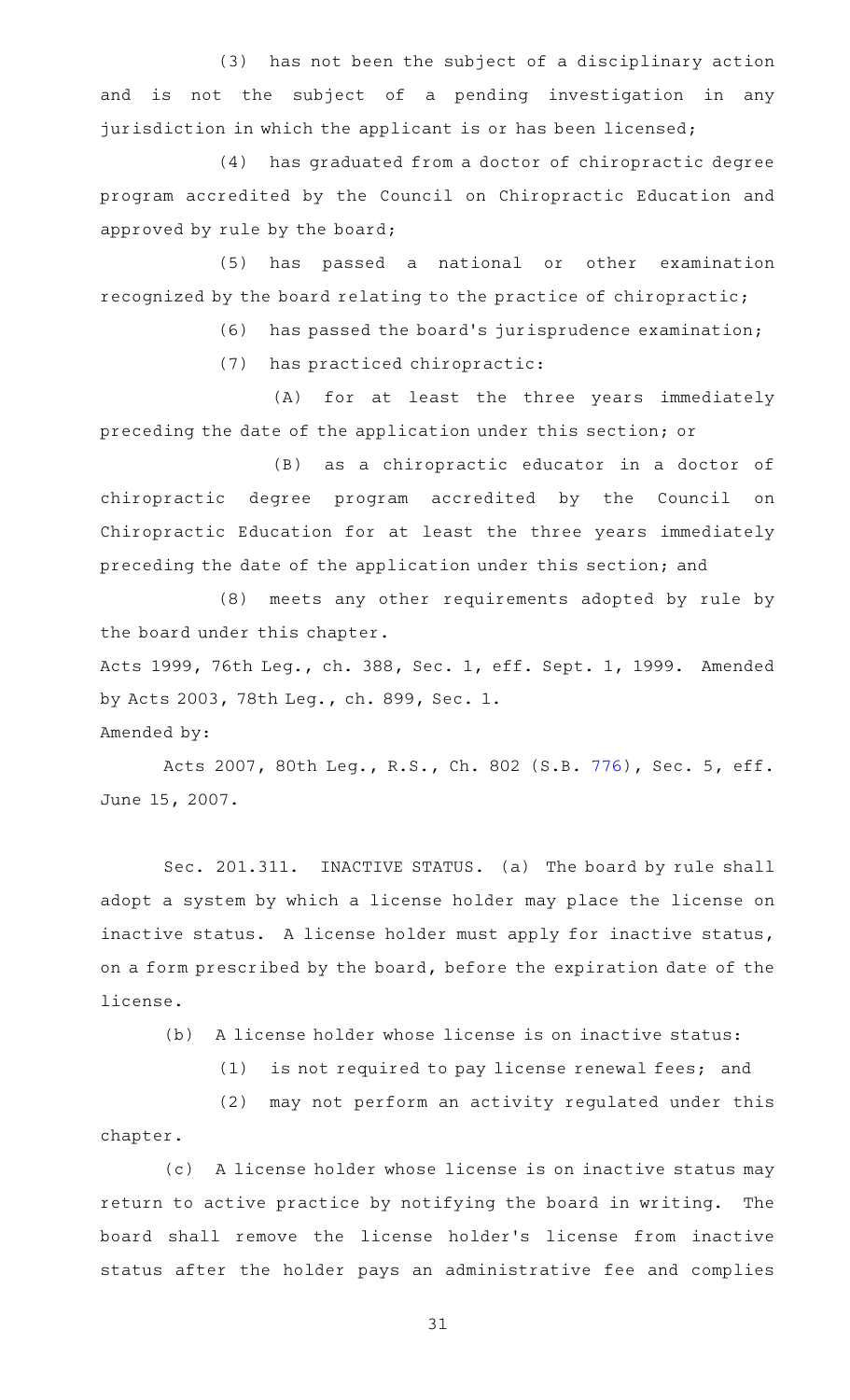(3) has not been the subject of a disciplinary action and is not the subject of a pending investigation in any jurisdiction in which the applicant is or has been licensed;

(4) has graduated from a doctor of chiropractic degree program accredited by the Council on Chiropractic Education and approved by rule by the board;

(5) has passed a national or other examination recognized by the board relating to the practice of chiropractic;

(6) has passed the board's jurisprudence examination;

(7) has practiced chiropractic:

(A) for at least the three years immediately preceding the date of the application under this section; or

(B) as a chiropractic educator in a doctor of chiropractic degree program accredited by the Council on Chiropractic Education for at least the three years immediately preceding the date of the application under this section; and

(8) meets any other requirements adopted by rule by the board under this chapter.

Acts 1999, 76th Leg., ch. 388, Sec. 1, eff. Sept. 1, 1999. Amended by Acts 2003, 78th Leg., ch. 899, Sec. 1.

Amended by:

Acts 2007, 80th Leg., R.S., Ch. 802 (S.B. [776](http://www.legis.state.tx.us/tlodocs/80R/billtext/html/SB00776F.HTM)), Sec. 5, eff. June 15, 2007.

Sec. 201.311. INACTIVE STATUS. (a) The board by rule shall adopt a system by which a license holder may place the license on inactive status. A license holder must apply for inactive status, on a form prescribed by the board, before the expiration date of the license.

(b) A license holder whose license is on inactive status:

(1) is not required to pay license renewal fees; and

(2) may not perform an activity regulated under this chapter.

(c) A license holder whose license is on inactive status may return to active practice by notifying the board in writing. The board shall remove the license holder 's license from inactive status after the holder pays an administrative fee and complies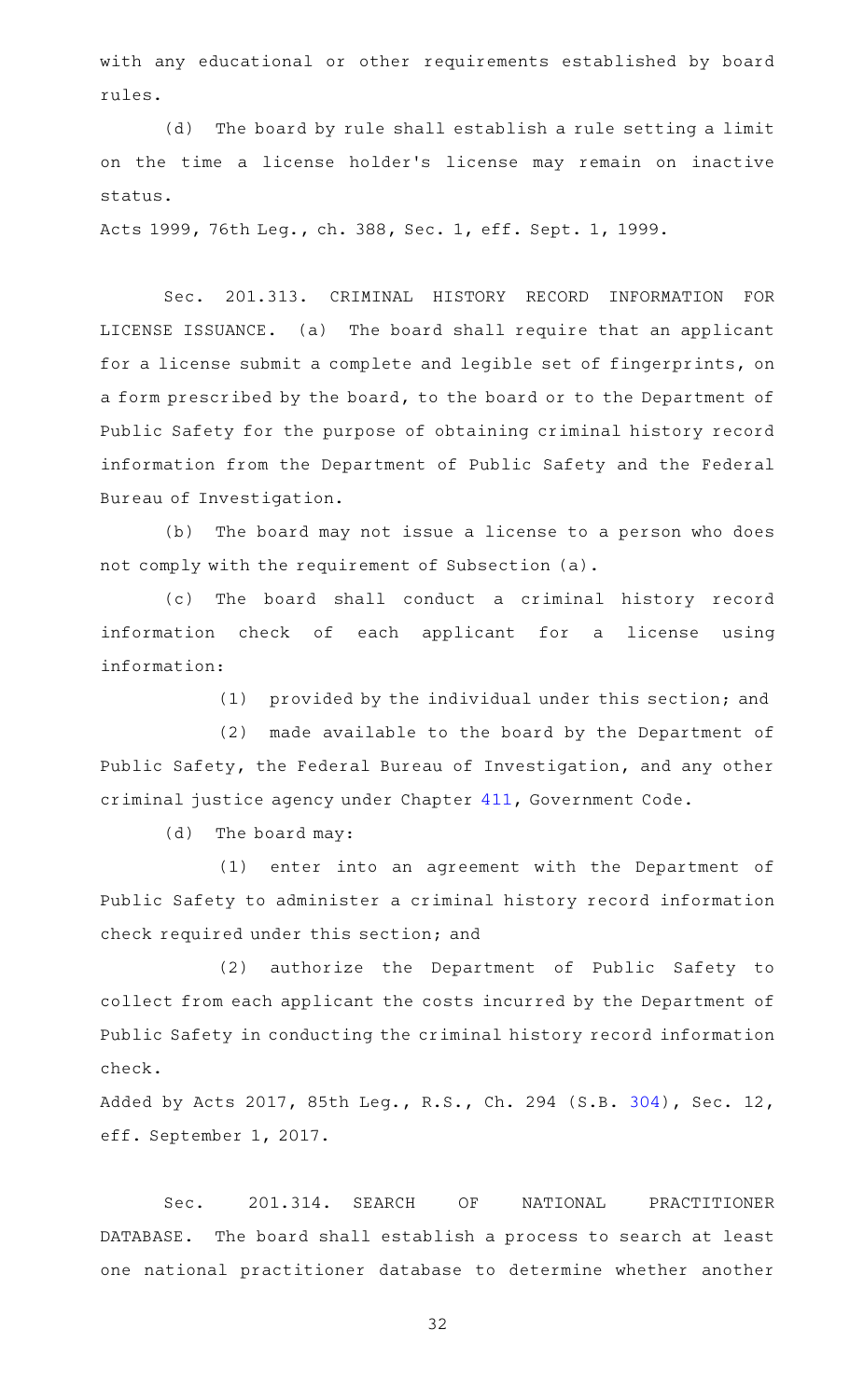with any educational or other requirements established by board rules.

(d) The board by rule shall establish a rule setting a limit on the time a license holder 's license may remain on inactive status.

Acts 1999, 76th Leg., ch. 388, Sec. 1, eff. Sept. 1, 1999.

Sec. 201.313. CRIMINAL HISTORY RECORD INFORMATION FOR LICENSE ISSUANCE. (a) The board shall require that an applicant for a license submit a complete and legible set of fingerprints, on a form prescribed by the board, to the board or to the Department of Public Safety for the purpose of obtaining criminal history record information from the Department of Public Safety and the Federal Bureau of Investigation.

(b) The board may not issue a license to a person who does not comply with the requirement of Subsection (a).

(c) The board shall conduct a criminal history record information check of each applicant for a license using information:

(1) provided by the individual under this section; and

(2) made available to the board by the Department of Public Safety, the Federal Bureau of Investigation, and any other criminal justice agency under Chapter [411,](http://www.statutes.legis.state.tx.us/GetStatute.aspx?Code=GV&Value=411) Government Code.

 $(d)$  The board may:

(1) enter into an agreement with the Department of Public Safety to administer a criminal history record information check required under this section; and

(2) authorize the Department of Public Safety to collect from each applicant the costs incurred by the Department of Public Safety in conducting the criminal history record information check.

Added by Acts 2017, 85th Leg., R.S., Ch. 294 (S.B. [304\)](http://www.legis.state.tx.us/tlodocs/85R/billtext/html/SB00304F.HTM), Sec. 12, eff. September 1, 2017.

Sec. 201.314. SEARCH OF NATIONAL PRACTITIONER DATABASE. The board shall establish a process to search at least one national practitioner database to determine whether another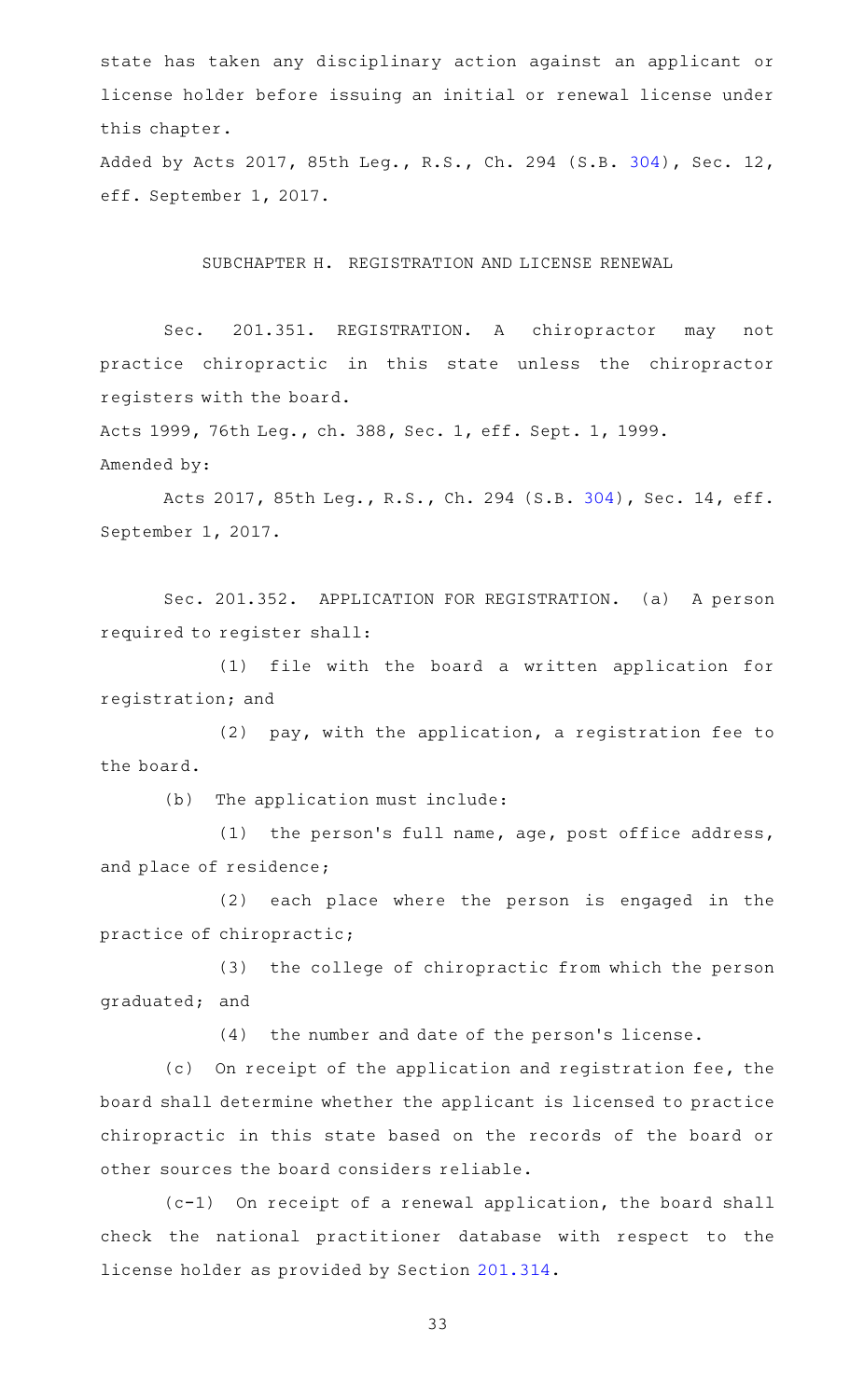state has taken any disciplinary action against an applicant or license holder before issuing an initial or renewal license under this chapter.

Added by Acts 2017, 85th Leg., R.S., Ch. 294 (S.B. [304\)](http://www.legis.state.tx.us/tlodocs/85R/billtext/html/SB00304F.HTM), Sec. 12, eff. September 1, 2017.

SUBCHAPTER H. REGISTRATION AND LICENSE RENEWAL

Sec. 201.351. REGISTRATION. A chiropractor may not practice chiropractic in this state unless the chiropractor registers with the board.

Acts 1999, 76th Leg., ch. 388, Sec. 1, eff. Sept. 1, 1999. Amended by:

Acts 2017, 85th Leg., R.S., Ch. 294 (S.B. [304\)](http://www.legis.state.tx.us/tlodocs/85R/billtext/html/SB00304F.HTM), Sec. 14, eff. September 1, 2017.

Sec. 201.352. APPLICATION FOR REGISTRATION. (a) A person required to register shall:

(1) file with the board a written application for registration; and

(2)  $pay$ , with the application, a registration fee to the board.

(b) The application must include:

(1) the person's full name, age, post office address, and place of residence;

(2) each place where the person is engaged in the practice of chiropractic;

(3) the college of chiropractic from which the person graduated; and

(4) the number and date of the person's license.

(c) On receipt of the application and registration fee, the board shall determine whether the applicant is licensed to practice chiropractic in this state based on the records of the board or other sources the board considers reliable.

 $(c-1)$  On receipt of a renewal application, the board shall check the national practitioner database with respect to the license holder as provided by Section [201.314.](http://www.statutes.legis.state.tx.us/GetStatute.aspx?Code=OC&Value=201.314)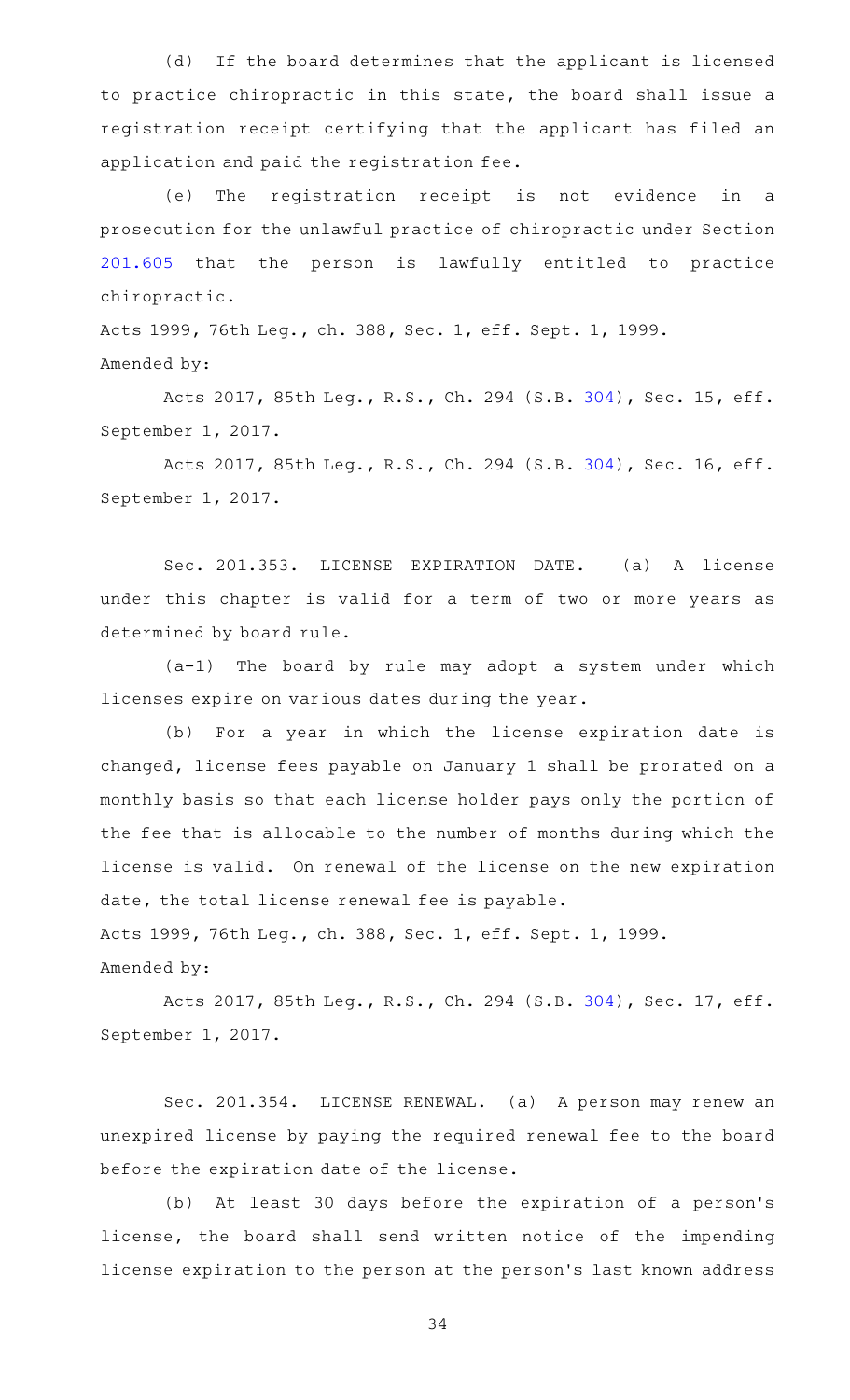(d) If the board determines that the applicant is licensed to practice chiropractic in this state, the board shall issue a registration receipt certifying that the applicant has filed an application and paid the registration fee.

(e) The registration receipt is not evidence in a prosecution for the unlawful practice of chiropractic under Section [201.605](http://www.statutes.legis.state.tx.us/GetStatute.aspx?Code=OC&Value=201.605) that the person is lawfully entitled to practice chiropractic.

Acts 1999, 76th Leg., ch. 388, Sec. 1, eff. Sept. 1, 1999. Amended by:

Acts 2017, 85th Leg., R.S., Ch. 294 (S.B. [304\)](http://www.legis.state.tx.us/tlodocs/85R/billtext/html/SB00304F.HTM), Sec. 15, eff. September 1, 2017.

Acts 2017, 85th Leg., R.S., Ch. 294 (S.B. [304\)](http://www.legis.state.tx.us/tlodocs/85R/billtext/html/SB00304F.HTM), Sec. 16, eff. September 1, 2017.

Sec. 201.353. LICENSE EXPIRATION DATE. (a) A license under this chapter is valid for a term of two or more years as determined by board rule.

 $(a-1)$  The board by rule may adopt a system under which licenses expire on various dates during the year.

(b) For a year in which the license expiration date is changed, license fees payable on January 1 shall be prorated on a monthly basis so that each license holder pays only the portion of the fee that is allocable to the number of months during which the license is valid. On renewal of the license on the new expiration date, the total license renewal fee is payable.

Acts 1999, 76th Leg., ch. 388, Sec. 1, eff. Sept. 1, 1999.

Amended by:

Acts 2017, 85th Leg., R.S., Ch. 294 (S.B. [304\)](http://www.legis.state.tx.us/tlodocs/85R/billtext/html/SB00304F.HTM), Sec. 17, eff. September 1, 2017.

Sec. 201.354. LICENSE RENEWAL. (a) A person may renew an unexpired license by paying the required renewal fee to the board before the expiration date of the license.

(b) At least 30 days before the expiration of a person's license, the board shall send written notice of the impending license expiration to the person at the person 's last known address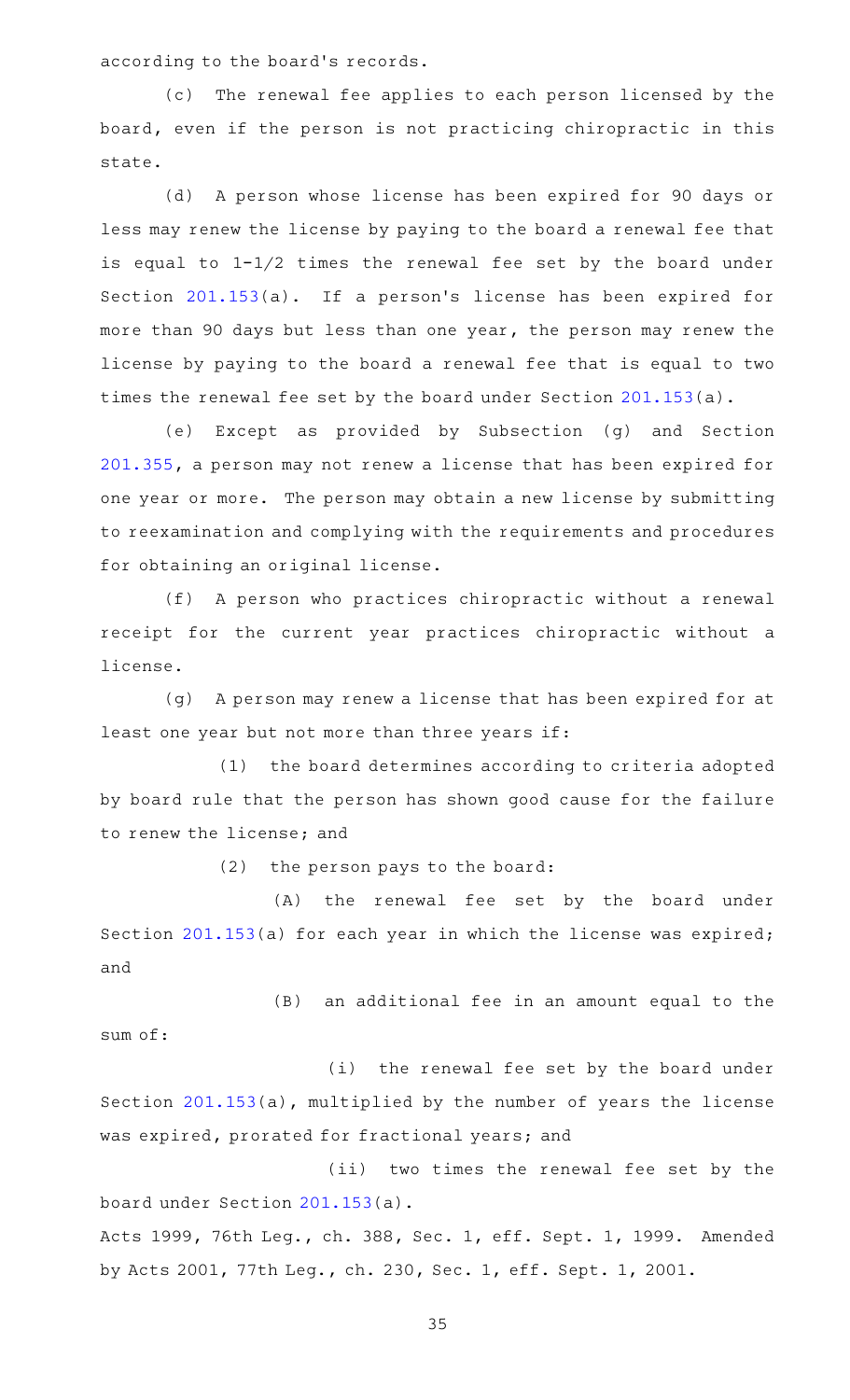according to the board's records.

(c) The renewal fee applies to each person licensed by the board, even if the person is not practicing chiropractic in this state.

(d) A person whose license has been expired for 90 days or less may renew the license by paying to the board a renewal fee that is equal to 1-1/2 times the renewal fee set by the board under Section [201.153\(](http://www.statutes.legis.state.tx.us/GetStatute.aspx?Code=OC&Value=201.153)a). If a person's license has been expired for more than 90 days but less than one year, the person may renew the license by paying to the board a renewal fee that is equal to two times the renewal fee set by the board under Section [201.153\(](http://www.statutes.legis.state.tx.us/GetStatute.aspx?Code=OC&Value=201.153)a).

(e) Except as provided by Subsection (g) and Section [201.355,](http://www.statutes.legis.state.tx.us/GetStatute.aspx?Code=OC&Value=201.355) a person may not renew a license that has been expired for one year or more. The person may obtain a new license by submitting to reexamination and complying with the requirements and procedures for obtaining an original license.

(f) A person who practices chiropractic without a renewal receipt for the current year practices chiropractic without a license.

(g) A person may renew a license that has been expired for at least one year but not more than three years if:

(1) the board determines according to criteria adopted by board rule that the person has shown good cause for the failure to renew the license; and

 $(2)$  the person pays to the board:

(A) the renewal fee set by the board under Section [201.153](http://www.statutes.legis.state.tx.us/GetStatute.aspx?Code=OC&Value=201.153)(a) for each year in which the license was expired; and

(B) an additional fee in an amount equal to the sum of:

(i) the renewal fee set by the board under Section [201.153\(](http://www.statutes.legis.state.tx.us/GetStatute.aspx?Code=OC&Value=201.153)a), multiplied by the number of years the license was expired, prorated for fractional years; and

(ii) two times the renewal fee set by the board under Section [201.153](http://www.statutes.legis.state.tx.us/GetStatute.aspx?Code=OC&Value=201.153)(a).

Acts 1999, 76th Leg., ch. 388, Sec. 1, eff. Sept. 1, 1999. Amended by Acts 2001, 77th Leg., ch. 230, Sec. 1, eff. Sept. 1, 2001.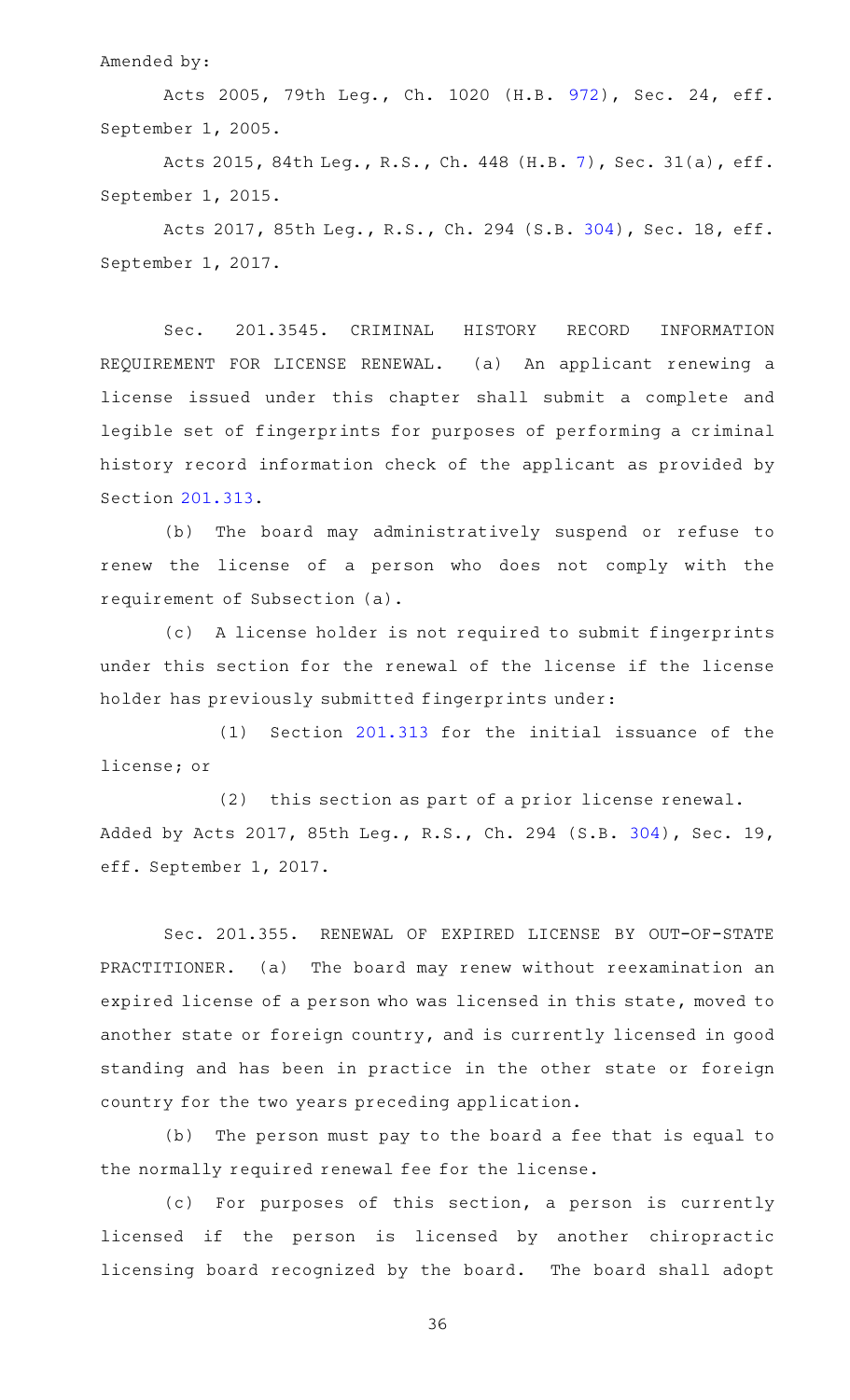Amended by:

Acts 2005, 79th Leg., Ch. 1020 (H.B. [972\)](http://www.legis.state.tx.us/tlodocs/79R/billtext/html/HB00972F.HTM), Sec. 24, eff. September 1, 2005.

Acts 2015, 84th Leg., R.S., Ch. 448 (H.B. [7](http://www.legis.state.tx.us/tlodocs/84R/billtext/html/HB00007F.HTM)), Sec. 31(a), eff. September 1, 2015.

Acts 2017, 85th Leg., R.S., Ch. 294 (S.B. [304\)](http://www.legis.state.tx.us/tlodocs/85R/billtext/html/SB00304F.HTM), Sec. 18, eff. September 1, 2017.

Sec. 201.3545. CRIMINAL HISTORY RECORD INFORMATION REQUIREMENT FOR LICENSE RENEWAL. (a) An applicant renewing a license issued under this chapter shall submit a complete and legible set of fingerprints for purposes of performing a criminal history record information check of the applicant as provided by Section [201.313.](http://www.statutes.legis.state.tx.us/GetStatute.aspx?Code=OC&Value=201.313)

(b) The board may administratively suspend or refuse to renew the license of a person who does not comply with the requirement of Subsection (a).

(c)AAA license holder is not required to submit fingerprints under this section for the renewal of the license if the license holder has previously submitted fingerprints under:

 $(1)$  Section [201.313](http://www.statutes.legis.state.tx.us/GetStatute.aspx?Code=OC&Value=201.313) for the initial issuance of the license; or

(2) this section as part of a prior license renewal. Added by Acts 2017, 85th Leg., R.S., Ch. 294 (S.B. [304\)](http://www.legis.state.tx.us/tlodocs/85R/billtext/html/SB00304F.HTM), Sec. 19, eff. September 1, 2017.

Sec. 201.355. RENEWAL OF EXPIRED LICENSE BY OUT-OF-STATE PRACTITIONER. (a) The board may renew without reexamination an expired license of a person who was licensed in this state, moved to another state or foreign country, and is currently licensed in good standing and has been in practice in the other state or foreign country for the two years preceding application.

(b) The person must pay to the board a fee that is equal to the normally required renewal fee for the license.

(c) For purposes of this section, a person is currently licensed if the person is licensed by another chiropractic licensing board recognized by the board. The board shall adopt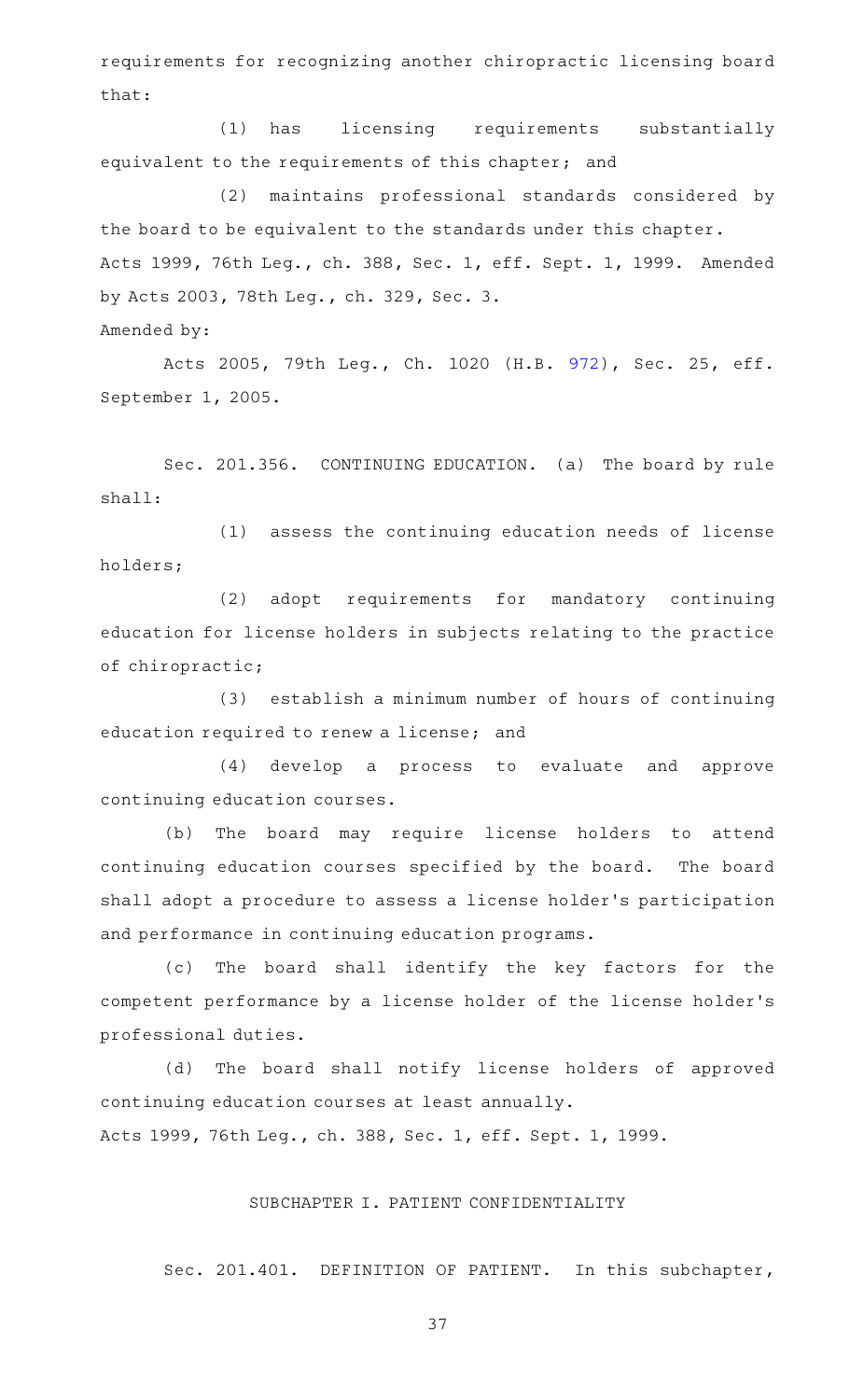requirements for recognizing another chiropractic licensing board that:

(1) has licensing requirements substantially equivalent to the requirements of this chapter; and

(2) maintains professional standards considered by the board to be equivalent to the standards under this chapter. Acts 1999, 76th Leg., ch. 388, Sec. 1, eff. Sept. 1, 1999. Amended by Acts 2003, 78th Leg., ch. 329, Sec. 3. Amended by:

Acts 2005, 79th Leg., Ch. 1020 (H.B. [972\)](http://www.legis.state.tx.us/tlodocs/79R/billtext/html/HB00972F.HTM), Sec. 25, eff. September 1, 2005.

Sec. 201.356. CONTINUING EDUCATION. (a) The board by rule shall:

 $(1)$  assess the continuing education needs of license holders;

(2) adopt requirements for mandatory continuing education for license holders in subjects relating to the practice of chiropractic;

(3) establish a minimum number of hours of continuing education required to renew a license; and

(4) develop a process to evaluate and approve continuing education courses.

(b) The board may require license holders to attend continuing education courses specified by the board. The board shall adopt a procedure to assess a license holder 's participation and performance in continuing education programs.

(c) The board shall identify the key factors for the competent performance by a license holder of the license holder 's professional duties.

(d) The board shall notify license holders of approved continuing education courses at least annually. Acts 1999, 76th Leg., ch. 388, Sec. 1, eff. Sept. 1, 1999.

#### SUBCHAPTER I. PATIENT CONFIDENTIALITY

Sec. 201.401. DEFINITION OF PATIENT. In this subchapter,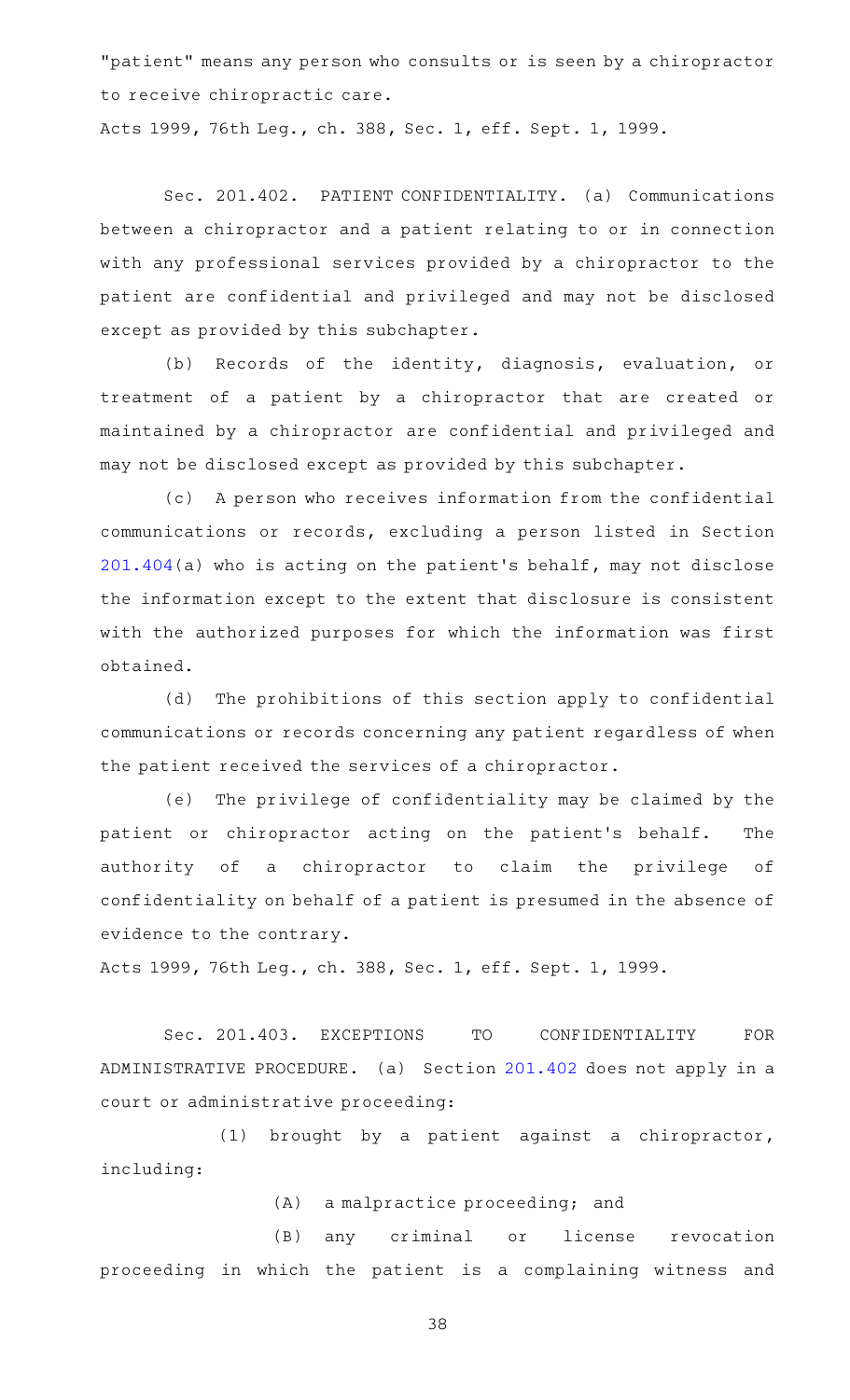"patient" means any person who consults or is seen by a chiropractor to receive chiropractic care.

Acts 1999, 76th Leg., ch. 388, Sec. 1, eff. Sept. 1, 1999.

Sec. 201.402. PATIENT CONFIDENTIALITY. (a) Communications between a chiropractor and a patient relating to or in connection with any professional services provided by a chiropractor to the patient are confidential and privileged and may not be disclosed except as provided by this subchapter.

(b) Records of the identity, diagnosis, evaluation, or treatment of a patient by a chiropractor that are created or maintained by a chiropractor are confidential and privileged and may not be disclosed except as provided by this subchapter.

(c) A person who receives information from the confidential communications or records, excluding a person listed in Section [201.404\(](http://www.statutes.legis.state.tx.us/GetStatute.aspx?Code=OC&Value=201.404)a) who is acting on the patient 's behalf, may not disclose the information except to the extent that disclosure is consistent with the authorized purposes for which the information was first obtained.

(d) The prohibitions of this section apply to confidential communications or records concerning any patient regardless of when the patient received the services of a chiropractor.

(e) The privilege of confidentiality may be claimed by the patient or chiropractor acting on the patient's behalf. The authority of a chiropractor to claim the privilege of confidentiality on behalf of a patient is presumed in the absence of evidence to the contrary.

Acts 1999, 76th Leg., ch. 388, Sec. 1, eff. Sept. 1, 1999.

Sec. 201.403. EXCEPTIONS TO CONFIDENTIALITY FOR ADMINISTRATIVE PROCEDURE. (a) Section [201.402](http://www.statutes.legis.state.tx.us/GetStatute.aspx?Code=OC&Value=201.402) does not apply in a court or administrative proceeding:

(1) brought by a patient against a chiropractor, including:

 $(A)$  a malpractice proceeding; and

(B) any criminal or license revocation proceeding in which the patient is a complaining witness and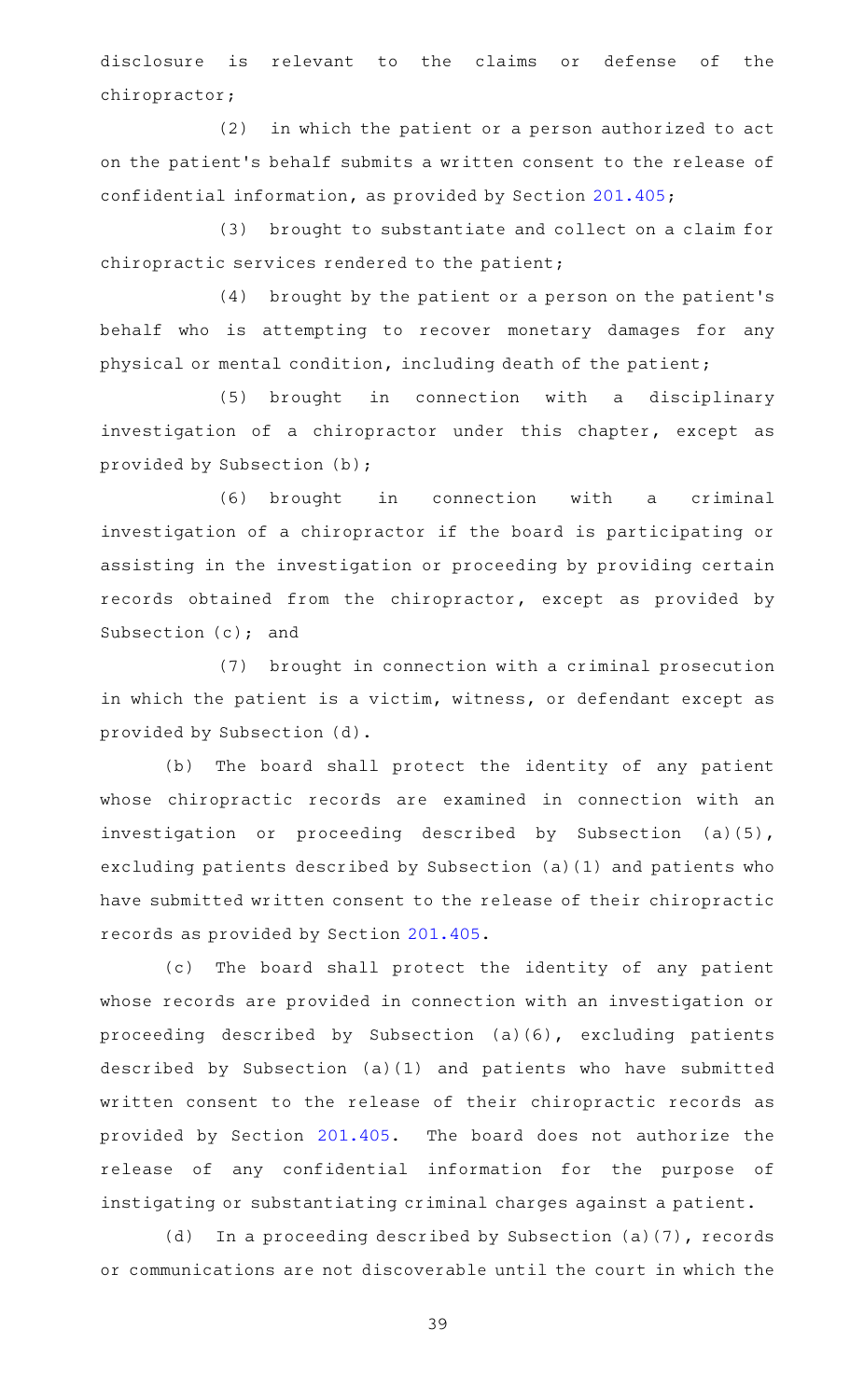disclosure is relevant to the claims or defense of the chiropractor;

 $(2)$  in which the patient or a person authorized to act on the patient 's behalf submits a written consent to the release of confidential information, as provided by Section [201.405;](http://www.statutes.legis.state.tx.us/GetStatute.aspx?Code=OC&Value=201.405)

(3) brought to substantiate and collect on a claim for chiropractic services rendered to the patient;

(4) brought by the patient or a person on the patient's behalf who is attempting to recover monetary damages for any physical or mental condition, including death of the patient;

(5) brought in connection with a disciplinary investigation of a chiropractor under this chapter, except as provided by Subsection (b);

(6) brought in connection with a criminal investigation of a chiropractor if the board is participating or assisting in the investigation or proceeding by providing certain records obtained from the chiropractor, except as provided by Subsection (c); and

(7) brought in connection with a criminal prosecution in which the patient is a victim, witness, or defendant except as provided by Subsection (d).

(b) The board shall protect the identity of any patient whose chiropractic records are examined in connection with an investigation or proceeding described by Subsection (a)(5), excluding patients described by Subsection (a)(1) and patients who have submitted written consent to the release of their chiropractic records as provided by Section [201.405](http://www.statutes.legis.state.tx.us/GetStatute.aspx?Code=OC&Value=201.405).

(c) The board shall protect the identity of any patient whose records are provided in connection with an investigation or proceeding described by Subsection (a)(6), excluding patients described by Subsection (a)(1) and patients who have submitted written consent to the release of their chiropractic records as provided by Section [201.405](http://www.statutes.legis.state.tx.us/GetStatute.aspx?Code=OC&Value=201.405). The board does not authorize the release of any confidential information for the purpose of instigating or substantiating criminal charges against a patient.

(d) In a proceeding described by Subsection (a)(7), records or communications are not discoverable until the court in which the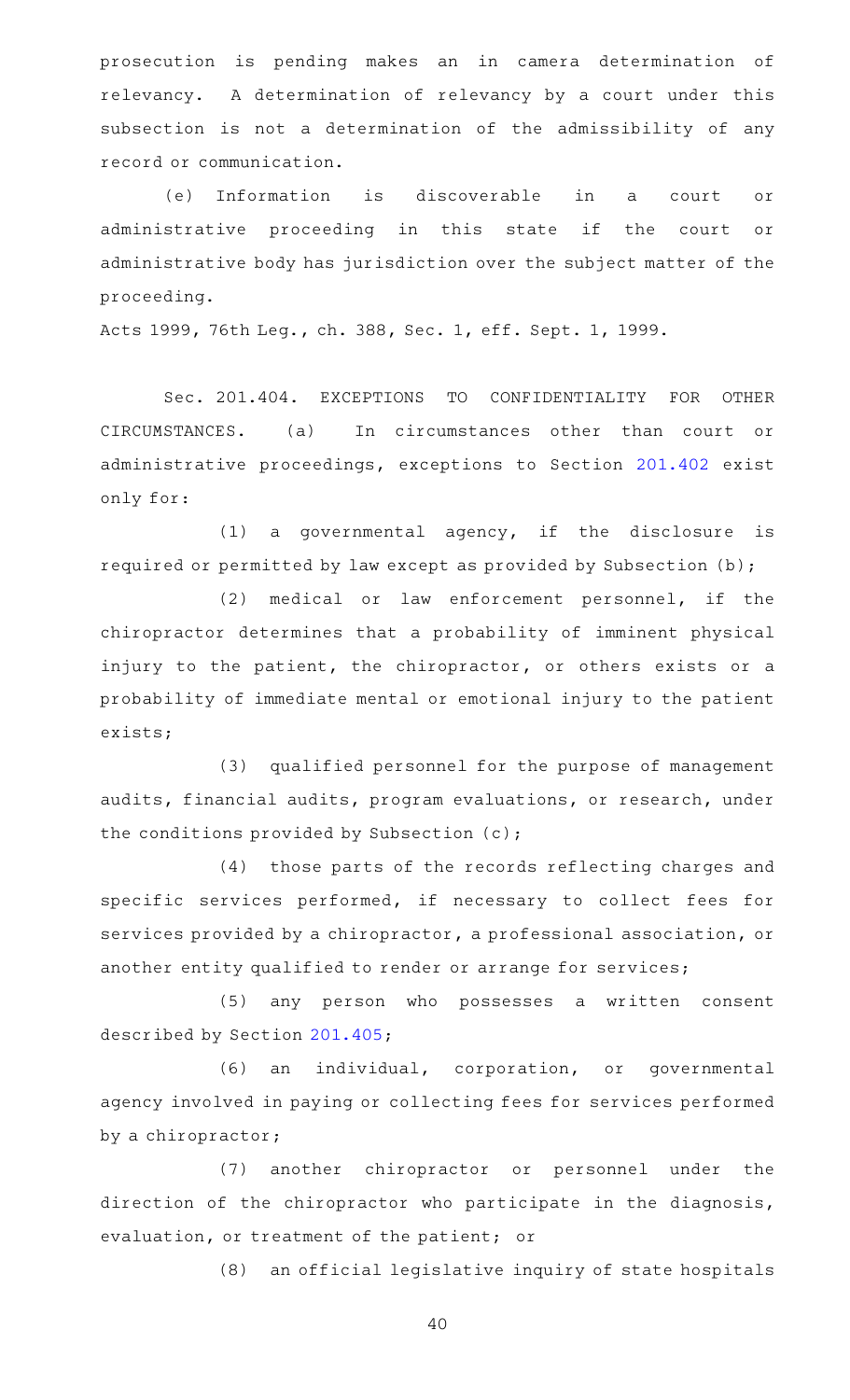prosecution is pending makes an in camera determination of relevancy. A determination of relevancy by a court under this subsection is not a determination of the admissibility of any record or communication.

(e) Information is discoverable in a court or administrative proceeding in this state if the court or administrative body has jurisdiction over the subject matter of the proceeding.

Acts 1999, 76th Leg., ch. 388, Sec. 1, eff. Sept. 1, 1999.

Sec. 201.404. EXCEPTIONS TO CONFIDENTIALITY FOR OTHER CIRCUMSTANCES. (a) In circumstances other than court or administrative proceedings, exceptions to Section [201.402](http://www.statutes.legis.state.tx.us/GetStatute.aspx?Code=OC&Value=201.402) exist only for:

 $(1)$  a governmental agency, if the disclosure is required or permitted by law except as provided by Subsection (b);

(2) medical or law enforcement personnel, if the chiropractor determines that a probability of imminent physical injury to the patient, the chiropractor, or others exists or a probability of immediate mental or emotional injury to the patient exists;

(3) qualified personnel for the purpose of management audits, financial audits, program evaluations, or research, under the conditions provided by Subsection (c);

(4) those parts of the records reflecting charges and specific services performed, if necessary to collect fees for services provided by a chiropractor, a professional association, or another entity qualified to render or arrange for services;

(5) any person who possesses a written consent described by Section [201.405;](http://www.statutes.legis.state.tx.us/GetStatute.aspx?Code=OC&Value=201.405)

(6) an individual, corporation, or governmental agency involved in paying or collecting fees for services performed by a chiropractor;

(7) another chiropractor or personnel under the direction of the chiropractor who participate in the diagnosis, evaluation, or treatment of the patient; or

(8) an official legislative inquiry of state hospitals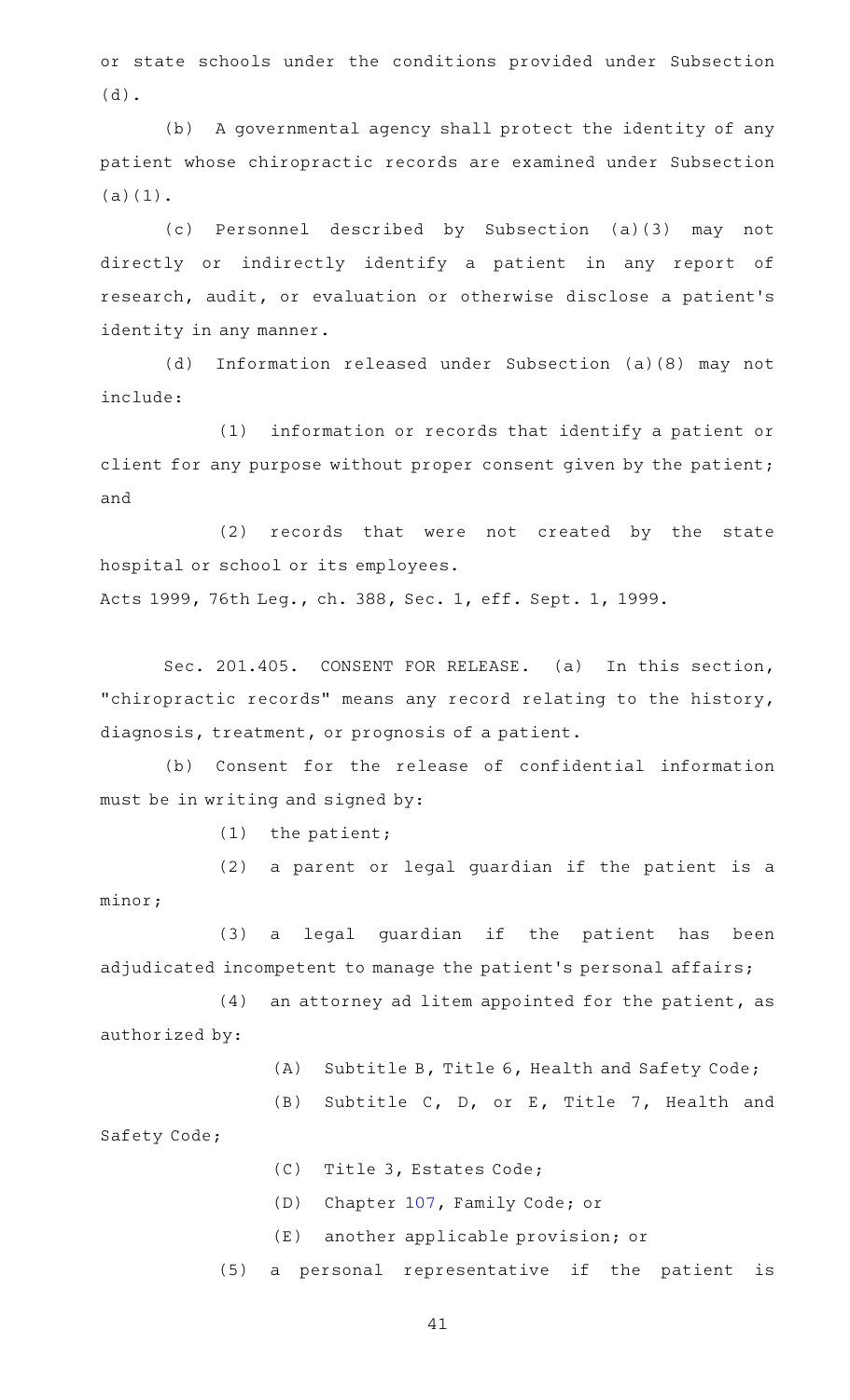or state schools under the conditions provided under Subsection (d).

(b) A governmental agency shall protect the identity of any patient whose chiropractic records are examined under Subsection (a)(1).

(c) Personnel described by Subsection (a)(3) may not directly or indirectly identify a patient in any report of research, audit, or evaluation or otherwise disclose a patient 's identity in any manner.

(d) Information released under Subsection (a)(8) may not include:

(1) information or records that identify a patient or client for any purpose without proper consent given by the patient; and

(2) records that were not created by the state hospital or school or its employees.

Acts 1999, 76th Leg., ch. 388, Sec. 1, eff. Sept. 1, 1999.

Sec. 201.405. CONSENT FOR RELEASE. (a) In this section, "chiropractic records" means any record relating to the history, diagnosis, treatment, or prognosis of a patient.

(b) Consent for the release of confidential information must be in writing and signed by:

 $(1)$  the patient;

(2) a parent or legal guardian if the patient is a minor;

(3) a legal guardian if the patient has been adjudicated incompetent to manage the patient's personal affairs;

 $(4)$  an attorney ad litem appointed for the patient, as authorized by:

 $(A)$  Subtitle B, Title 6, Health and Safety Code;

(B) Subtitle C, D, or E, Title 7, Health and Safety Code;

(C) Title 3, Estates Code;

(D) Chapter [107,](http://www.statutes.legis.state.tx.us/GetStatute.aspx?Code=FA&Value=107) Family Code; or

(E) another applicable provision; or

(5) a personal representative if the patient is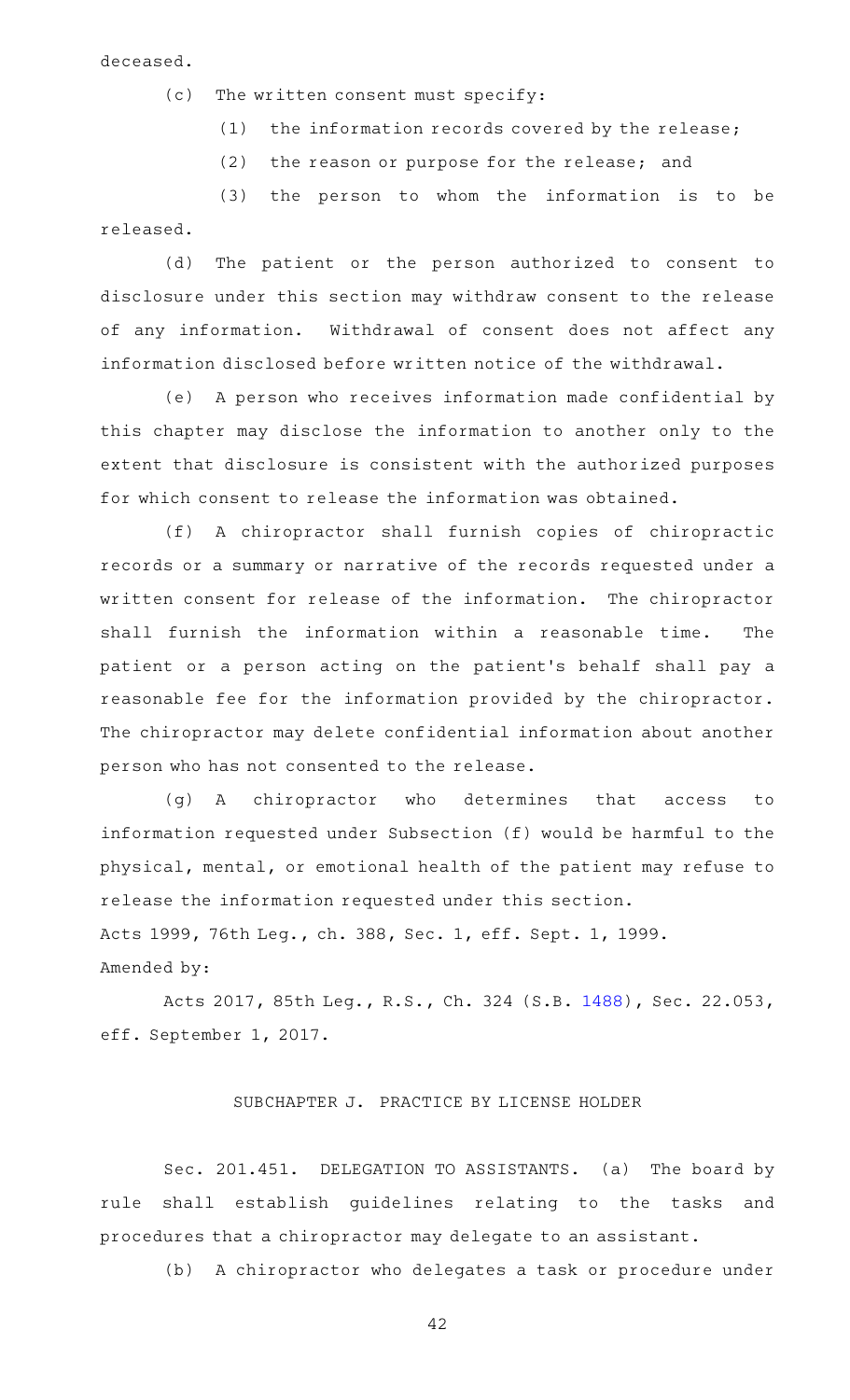deceased.

- $(c)$  The written consent must specify:
	- (1) the information records covered by the release;
	- $(2)$  the reason or purpose for the release; and

 $(3)$  the person to whom the information is to be released.

(d) The patient or the person authorized to consent to disclosure under this section may withdraw consent to the release of any information. Withdrawal of consent does not affect any information disclosed before written notice of the withdrawal.

(e) A person who receives information made confidential by this chapter may disclose the information to another only to the extent that disclosure is consistent with the authorized purposes for which consent to release the information was obtained.

(f)AAA chiropractor shall furnish copies of chiropractic records or a summary or narrative of the records requested under a written consent for release of the information. The chiropractor shall furnish the information within a reasonable time. The patient or a person acting on the patient 's behalf shall pay a reasonable fee for the information provided by the chiropractor. The chiropractor may delete confidential information about another person who has not consented to the release.

(g)AAA chiropractor who determines that access to information requested under Subsection (f) would be harmful to the physical, mental, or emotional health of the patient may refuse to release the information requested under this section. Acts 1999, 76th Leg., ch. 388, Sec. 1, eff. Sept. 1, 1999.

Amended by:

Acts 2017, 85th Leg., R.S., Ch. 324 (S.B. [1488\)](http://www.legis.state.tx.us/tlodocs/85R/billtext/html/SB01488F.HTM), Sec. 22.053, eff. September 1, 2017.

# SUBCHAPTER J. PRACTICE BY LICENSE HOLDER

Sec. 201.451. DELEGATION TO ASSISTANTS. (a) The board by rule shall establish guidelines relating to the tasks and procedures that a chiropractor may delegate to an assistant.

(b) A chiropractor who delegates a task or procedure under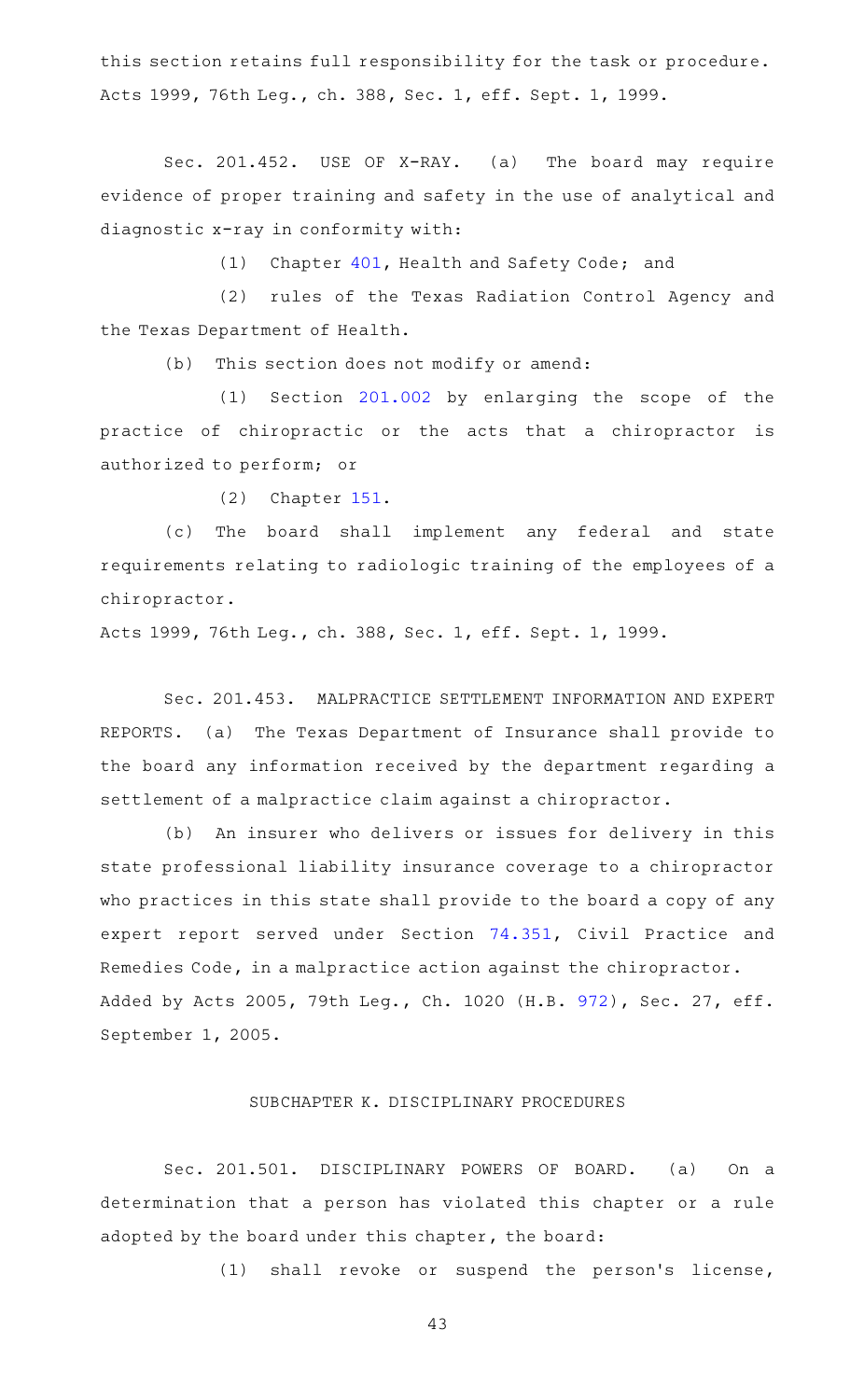this section retains full responsibility for the task or procedure. Acts 1999, 76th Leg., ch. 388, Sec. 1, eff. Sept. 1, 1999.

Sec. 201.452. USE OF X-RAY. (a) The board may require evidence of proper training and safety in the use of analytical and diagnostic x-ray in conformity with:

(1) Chapter [401,](http://www.statutes.legis.state.tx.us/GetStatute.aspx?Code=HS&Value=401) Health and Safety Code; and

(2) rules of the Texas Radiation Control Agency and the Texas Department of Health.

(b) This section does not modify or amend:

(1) Section [201.002](http://www.statutes.legis.state.tx.us/GetStatute.aspx?Code=OC&Value=201.002) by enlarging the scope of the practice of chiropractic or the acts that a chiropractor is authorized to perform; or

 $(2)$  Chapter [151.](http://www.statutes.legis.state.tx.us/GetStatute.aspx?Code=OC&Value=151)

(c) The board shall implement any federal and state requirements relating to radiologic training of the employees of a chiropractor.

Acts 1999, 76th Leg., ch. 388, Sec. 1, eff. Sept. 1, 1999.

Sec. 201.453. MALPRACTICE SETTLEMENT INFORMATION AND EXPERT REPORTS. (a) The Texas Department of Insurance shall provide to the board any information received by the department regarding a settlement of a malpractice claim against a chiropractor.

(b) An insurer who delivers or issues for delivery in this state professional liability insurance coverage to a chiropractor who practices in this state shall provide to the board a copy of any expert report served under Section [74.351](http://www.statutes.legis.state.tx.us/GetStatute.aspx?Code=CP&Value=74.351), Civil Practice and Remedies Code, in a malpractice action against the chiropractor. Added by Acts 2005, 79th Leg., Ch. 1020 (H.B. [972](http://www.legis.state.tx.us/tlodocs/79R/billtext/html/HB00972F.HTM)), Sec. 27, eff. September 1, 2005.

# SUBCHAPTER K. DISCIPLINARY PROCEDURES

Sec. 201.501. DISCIPLINARY POWERS OF BOARD. (a) On a determination that a person has violated this chapter or a rule adopted by the board under this chapter, the board:

 $(1)$  shall revoke or suspend the person's license,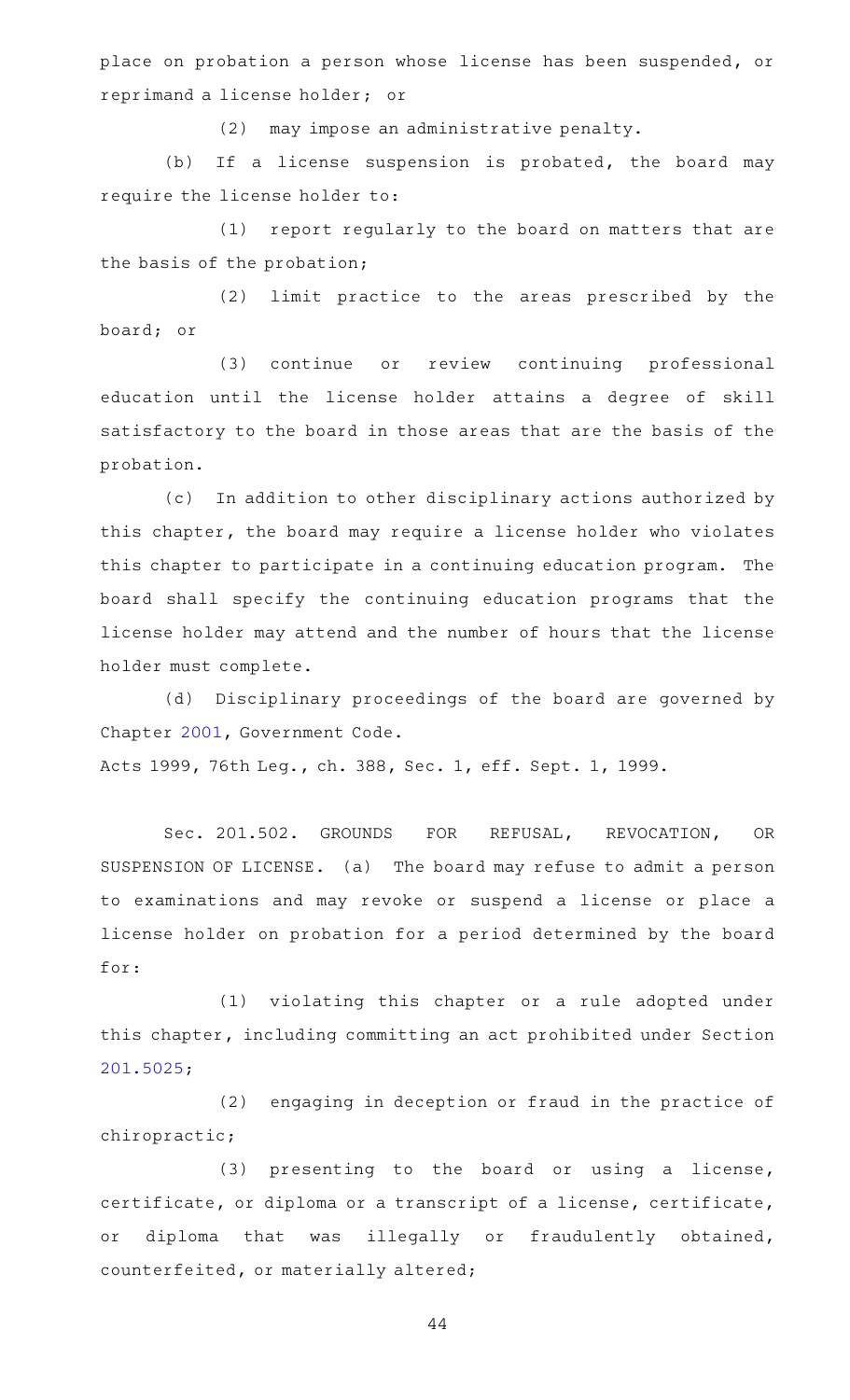place on probation a person whose license has been suspended, or reprimand a license holder; or

(2) may impose an administrative penalty.

(b) If a license suspension is probated, the board may require the license holder to:

(1) report regularly to the board on matters that are the basis of the probation;

(2) limit practice to the areas prescribed by the board; or

(3) continue or review continuing professional education until the license holder attains a degree of skill satisfactory to the board in those areas that are the basis of the probation.

(c) In addition to other disciplinary actions authorized by this chapter, the board may require a license holder who violates this chapter to participate in a continuing education program. The board shall specify the continuing education programs that the license holder may attend and the number of hours that the license holder must complete.

(d) Disciplinary proceedings of the board are governed by Chapter [2001](http://www.statutes.legis.state.tx.us/GetStatute.aspx?Code=GV&Value=2001), Government Code.

Acts 1999, 76th Leg., ch. 388, Sec. 1, eff. Sept. 1, 1999.

Sec. 201.502. GROUNDS FOR REFUSAL, REVOCATION, OR SUSPENSION OF LICENSE. (a) The board may refuse to admit a person to examinations and may revoke or suspend a license or place a license holder on probation for a period determined by the board for:

(1) violating this chapter or a rule adopted under this chapter, including committing an act prohibited under Section [201.5025](http://www.statutes.legis.state.tx.us/GetStatute.aspx?Code=OC&Value=201.5025);

(2) engaging in deception or fraud in the practice of chiropractic;

 $(3)$  presenting to the board or using a license, certificate, or diploma or a transcript of a license, certificate, or diploma that was illegally or fraudulently obtained, counterfeited, or materially altered;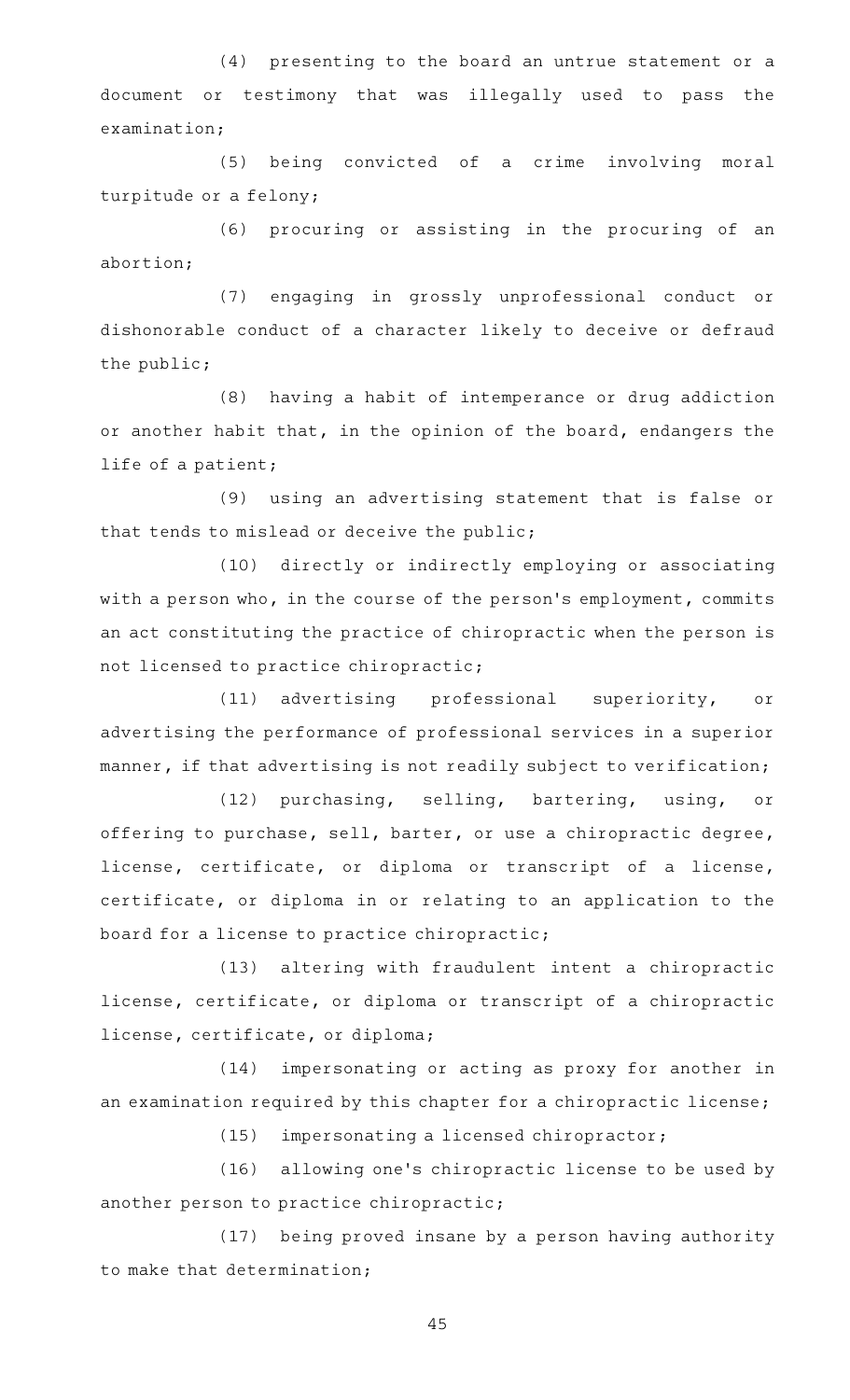(4) presenting to the board an untrue statement or a document or testimony that was illegally used to pass the examination;

(5) being convicted of a crime involving moral turpitude or a felony;

(6) procuring or assisting in the procuring of an abortion;

(7) engaging in grossly unprofessional conduct or dishonorable conduct of a character likely to deceive or defraud the public;

(8) having a habit of intemperance or drug addiction or another habit that, in the opinion of the board, endangers the life of a patient;

(9) using an advertising statement that is false or that tends to mislead or deceive the public;

(10) directly or indirectly employing or associating with a person who, in the course of the person 's employment, commits an act constituting the practice of chiropractic when the person is not licensed to practice chiropractic;

(11) advertising professional superiority, or advertising the performance of professional services in a superior manner, if that advertising is not readily subject to verification;

(12) purchasing, selling, bartering, using, or offering to purchase, sell, barter, or use a chiropractic degree, license, certificate, or diploma or transcript of a license, certificate, or diploma in or relating to an application to the board for a license to practice chiropractic;

(13) altering with fraudulent intent a chiropractic license, certificate, or diploma or transcript of a chiropractic license, certificate, or diploma;

(14) impersonating or acting as proxy for another in an examination required by this chapter for a chiropractic license;

(15) impersonating a licensed chiropractor;

(16) allowing one's chiropractic license to be used by another person to practice chiropractic;

(17) being proved insane by a person having authority to make that determination;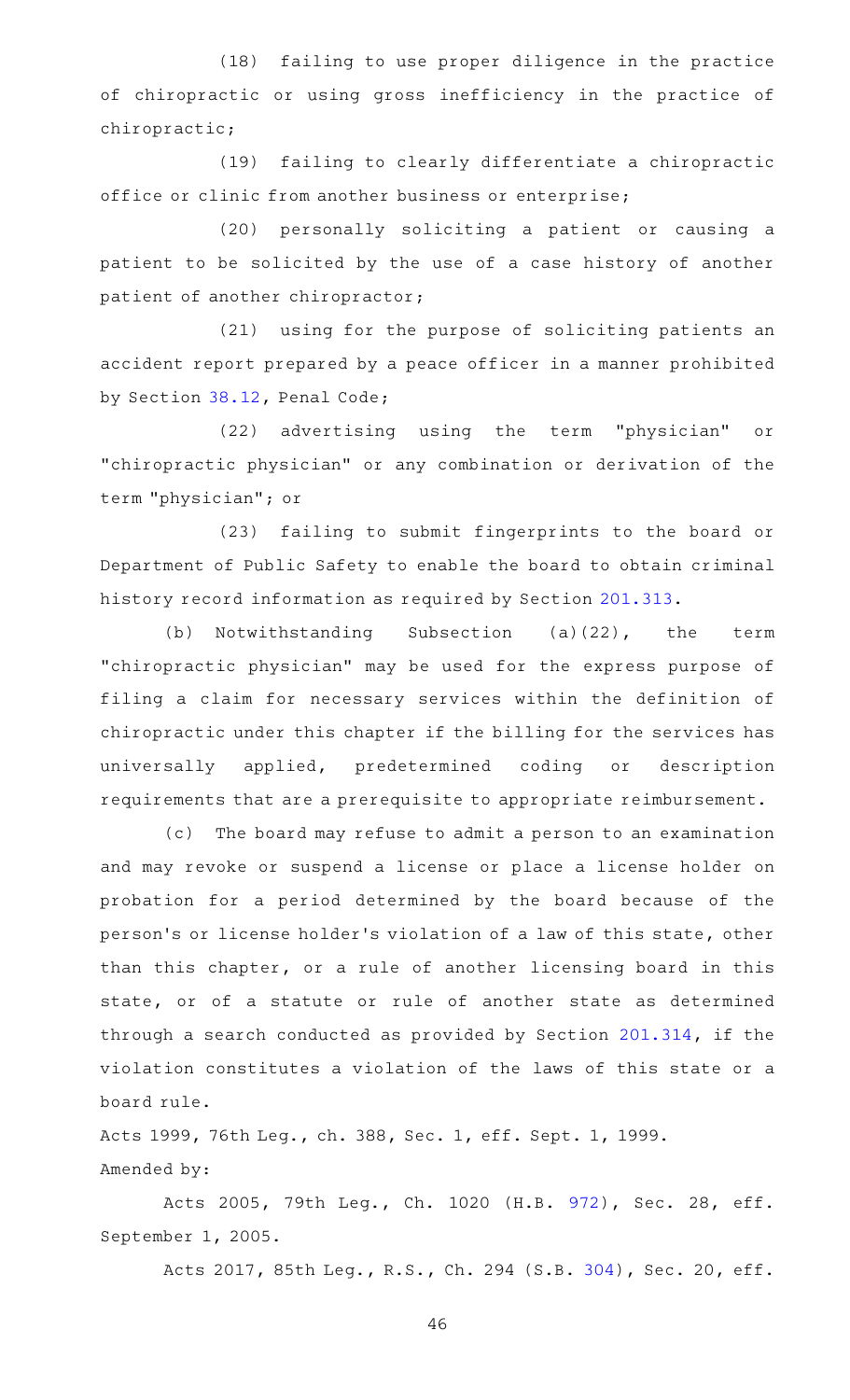(18) failing to use proper diligence in the practice of chiropractic or using gross inefficiency in the practice of chiropractic;

(19) failing to clearly differentiate a chiropractic office or clinic from another business or enterprise;

(20) personally soliciting a patient or causing a patient to be solicited by the use of a case history of another patient of another chiropractor;

 $(21)$  using for the purpose of soliciting patients an accident report prepared by a peace officer in a manner prohibited by Section [38.12,](http://www.statutes.legis.state.tx.us/GetStatute.aspx?Code=PE&Value=38.12) Penal Code;

(22) advertising using the term "physician" or "chiropractic physician" or any combination or derivation of the term "physician"; or

(23) failing to submit fingerprints to the board or Department of Public Safety to enable the board to obtain criminal history record information as required by Section [201.313.](http://www.statutes.legis.state.tx.us/GetStatute.aspx?Code=OC&Value=201.313)

(b) Notwithstanding Subsection  $(a)(22)$ , the term "chiropractic physician" may be used for the express purpose of filing a claim for necessary services within the definition of chiropractic under this chapter if the billing for the services has universally applied, predetermined coding or description requirements that are a prerequisite to appropriate reimbursement.

(c) The board may refuse to admit a person to an examination and may revoke or suspend a license or place a license holder on probation for a period determined by the board because of the person 's or license holder 's violation of a law of this state, other than this chapter, or a rule of another licensing board in this state, or of a statute or rule of another state as determined through a search conducted as provided by Section [201.314,](http://www.statutes.legis.state.tx.us/GetStatute.aspx?Code=OC&Value=201.314) if the violation constitutes a violation of the laws of this state or a board rule.

Acts 1999, 76th Leg., ch. 388, Sec. 1, eff. Sept. 1, 1999. Amended by:

Acts 2005, 79th Leg., Ch. 1020 (H.B. [972\)](http://www.legis.state.tx.us/tlodocs/79R/billtext/html/HB00972F.HTM), Sec. 28, eff. September 1, 2005.

Acts 2017, 85th Leg., R.S., Ch. 294 (S.B. [304\)](http://www.legis.state.tx.us/tlodocs/85R/billtext/html/SB00304F.HTM), Sec. 20, eff.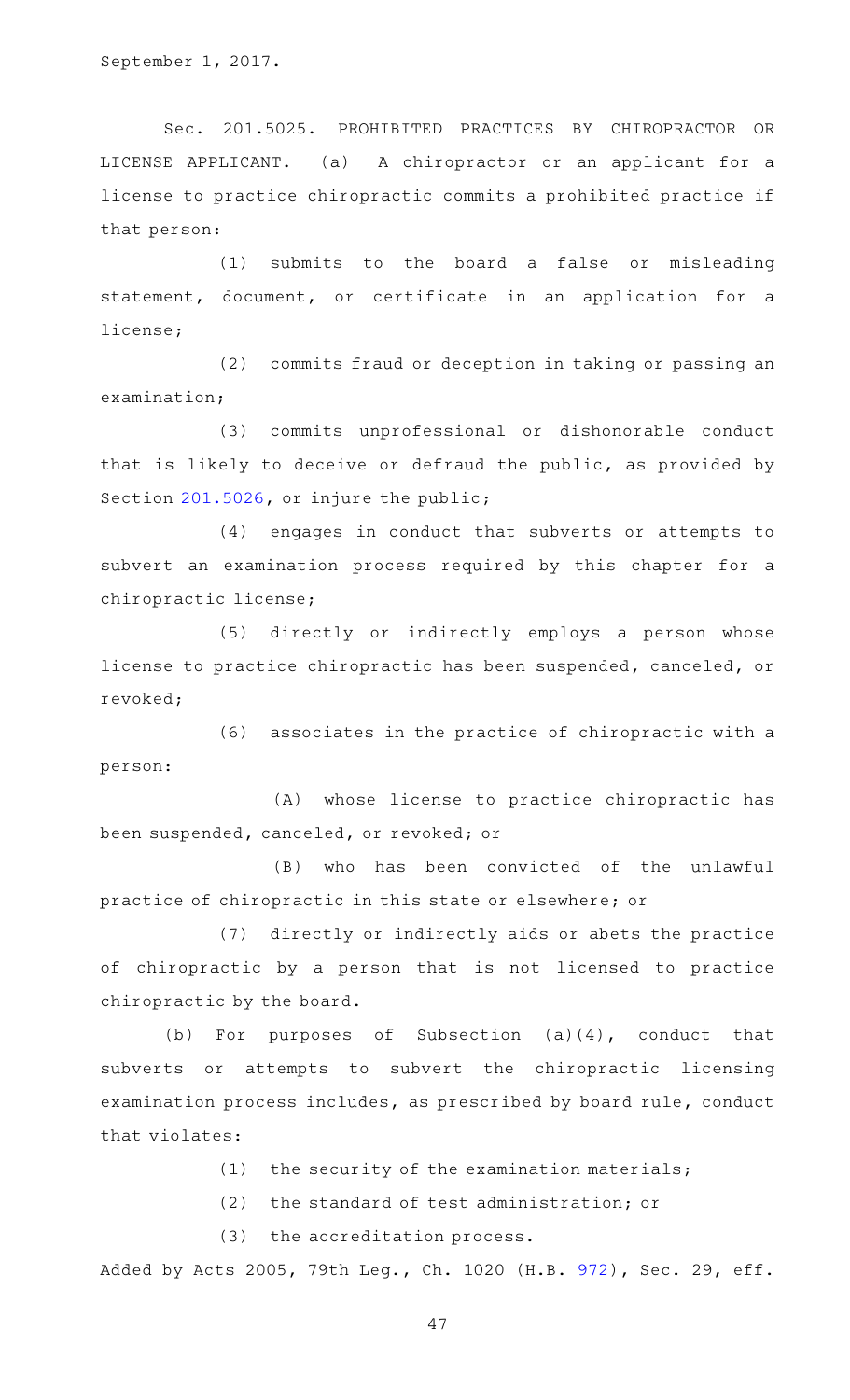Sec. 201.5025. PROHIBITED PRACTICES BY CHIROPRACTOR OR LICENSE APPLICANT. (a) A chiropractor or an applicant for a license to practice chiropractic commits a prohibited practice if that person:

(1) submits to the board a false or misleading statement, document, or certificate in an application for a license;

(2) commits fraud or deception in taking or passing an examination;

(3) commits unprofessional or dishonorable conduct that is likely to deceive or defraud the public, as provided by Section [201.5026](http://www.statutes.legis.state.tx.us/GetStatute.aspx?Code=OC&Value=201.5026), or injure the public;

(4) engages in conduct that subverts or attempts to subvert an examination process required by this chapter for a chiropractic license;

(5) directly or indirectly employs a person whose license to practice chiropractic has been suspended, canceled, or revoked;

(6) associates in the practice of chiropractic with a person:

(A) whose license to practice chiropractic has been suspended, canceled, or revoked; or

(B) who has been convicted of the unlawful practice of chiropractic in this state or elsewhere; or

(7) directly or indirectly aids or abets the practice of chiropractic by a person that is not licensed to practice chiropractic by the board.

(b) For purposes of Subsection  $(a)(4)$ , conduct that subverts or attempts to subvert the chiropractic licensing examination process includes, as prescribed by board rule, conduct that violates:

(1) the security of the examination materials;

 $(2)$  the standard of test administration; or

(3) the accreditation process.

Added by Acts 2005, 79th Leg., Ch. 1020 (H.B. [972](http://www.legis.state.tx.us/tlodocs/79R/billtext/html/HB00972F.HTM)), Sec. 29, eff.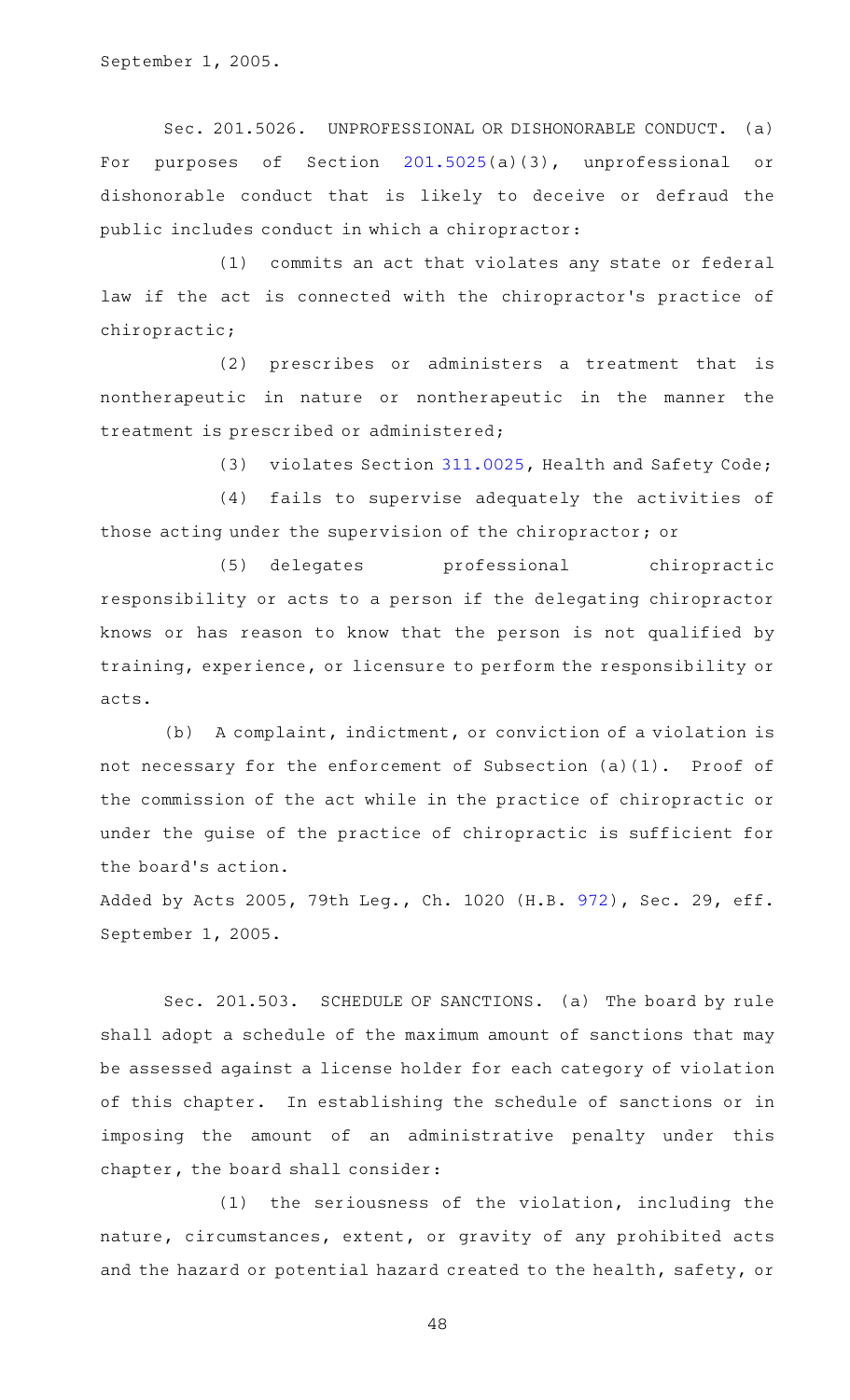September 1, 2005.

Sec. 201.5026. UNPROFESSIONAL OR DISHONORABLE CONDUCT. (a) For purposes of Section [201.5025\(](http://www.statutes.legis.state.tx.us/GetStatute.aspx?Code=OC&Value=201.5025)a)(3), unprofessional or dishonorable conduct that is likely to deceive or defraud the public includes conduct in which a chiropractor:

(1) commits an act that violates any state or federal law if the act is connected with the chiropractor's practice of chiropractic;

(2) prescribes or administers a treatment that is nontherapeutic in nature or nontherapeutic in the manner the treatment is prescribed or administered;

(3) violates Section [311.0025,](http://www.statutes.legis.state.tx.us/GetStatute.aspx?Code=HS&Value=311.0025) Health and Safety Code;

(4) fails to supervise adequately the activities of those acting under the supervision of the chiropractor; or

(5) delegates professional chiropractic responsibility or acts to a person if the delegating chiropractor knows or has reason to know that the person is not qualified by training, experience, or licensure to perform the responsibility or acts.

 $(b)$  A complaint, indictment, or conviction of a violation is not necessary for the enforcement of Subsection (a)(1). Proof of the commission of the act while in the practice of chiropractic or under the guise of the practice of chiropractic is sufficient for the board's action.

Added by Acts 2005, 79th Leg., Ch. 1020 (H.B. [972](http://www.legis.state.tx.us/tlodocs/79R/billtext/html/HB00972F.HTM)), Sec. 29, eff. September 1, 2005.

Sec. 201.503. SCHEDULE OF SANCTIONS. (a) The board by rule shall adopt a schedule of the maximum amount of sanctions that may be assessed against a license holder for each category of violation of this chapter. In establishing the schedule of sanctions or in imposing the amount of an administrative penalty under this chapter, the board shall consider:

 $(1)$  the seriousness of the violation, including the nature, circumstances, extent, or gravity of any prohibited acts and the hazard or potential hazard created to the health, safety, or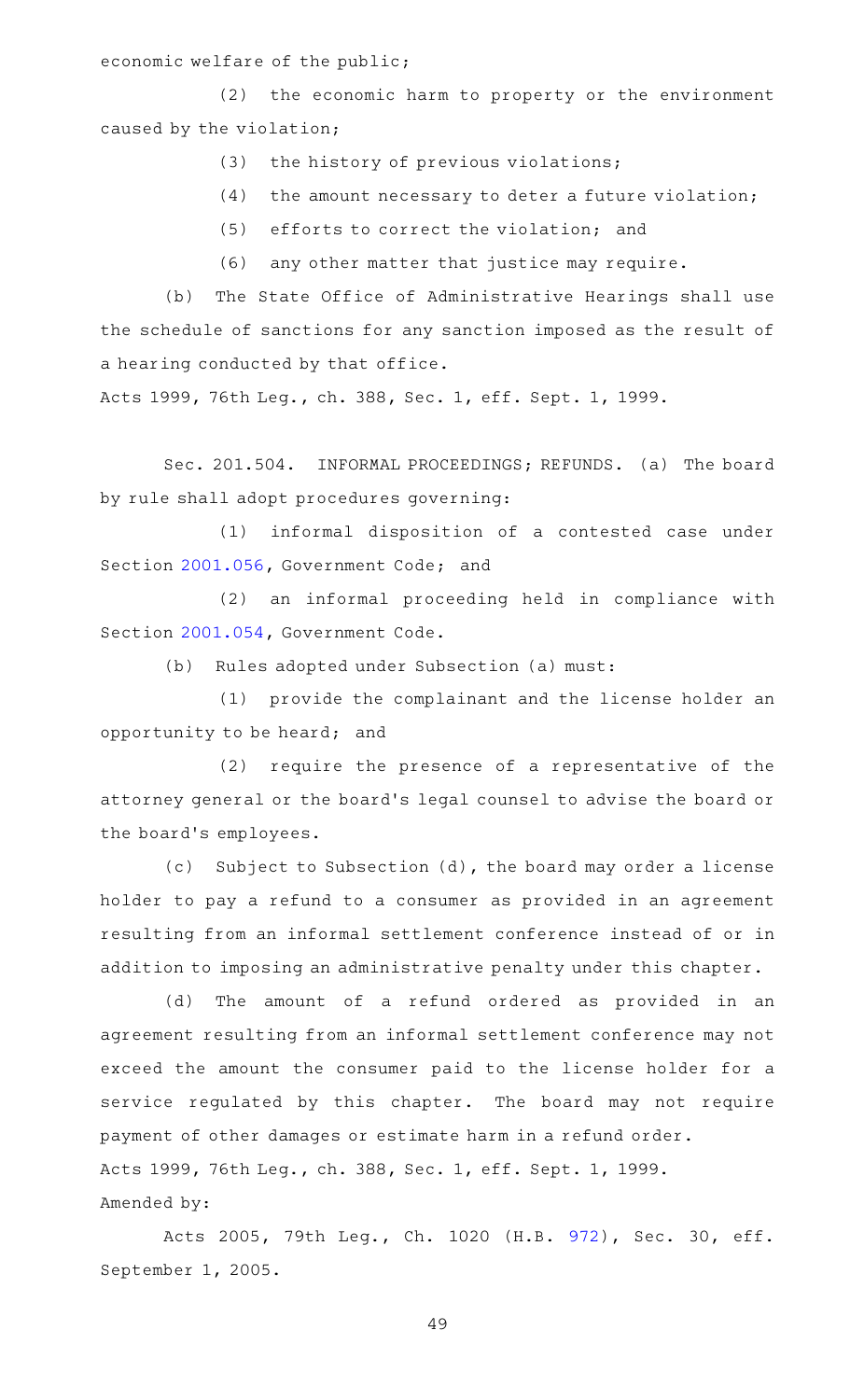economic welfare of the public;

(2) the economic harm to property or the environment caused by the violation;

- (3) the history of previous violations;
- $(4)$  the amount necessary to deter a future violation;
- (5) efforts to correct the violation; and
- (6) any other matter that justice may require.

(b) The State Office of Administrative Hearings shall use the schedule of sanctions for any sanction imposed as the result of a hearing conducted by that office.

Acts 1999, 76th Leg., ch. 388, Sec. 1, eff. Sept. 1, 1999.

Sec. 201.504. INFORMAL PROCEEDINGS; REFUNDS. (a) The board by rule shall adopt procedures governing:

(1) informal disposition of a contested case under Section [2001.056](http://www.statutes.legis.state.tx.us/GetStatute.aspx?Code=GV&Value=2001.056), Government Code; and

(2) an informal proceeding held in compliance with Section [2001.054](http://www.statutes.legis.state.tx.us/GetStatute.aspx?Code=GV&Value=2001.054), Government Code.

(b) Rules adopted under Subsection (a) must:

(1) provide the complainant and the license holder an opportunity to be heard; and

(2) require the presence of a representative of the attorney general or the board's legal counsel to advise the board or the board's employees.

(c) Subject to Subsection (d), the board may order a license holder to pay a refund to a consumer as provided in an agreement resulting from an informal settlement conference instead of or in addition to imposing an administrative penalty under this chapter.

(d) The amount of a refund ordered as provided in an agreement resulting from an informal settlement conference may not exceed the amount the consumer paid to the license holder for a service regulated by this chapter. The board may not require payment of other damages or estimate harm in a refund order. Acts 1999, 76th Leg., ch. 388, Sec. 1, eff. Sept. 1, 1999. Amended by:

Acts 2005, 79th Leg., Ch. 1020 (H.B. [972\)](http://www.legis.state.tx.us/tlodocs/79R/billtext/html/HB00972F.HTM), Sec. 30, eff. September 1, 2005.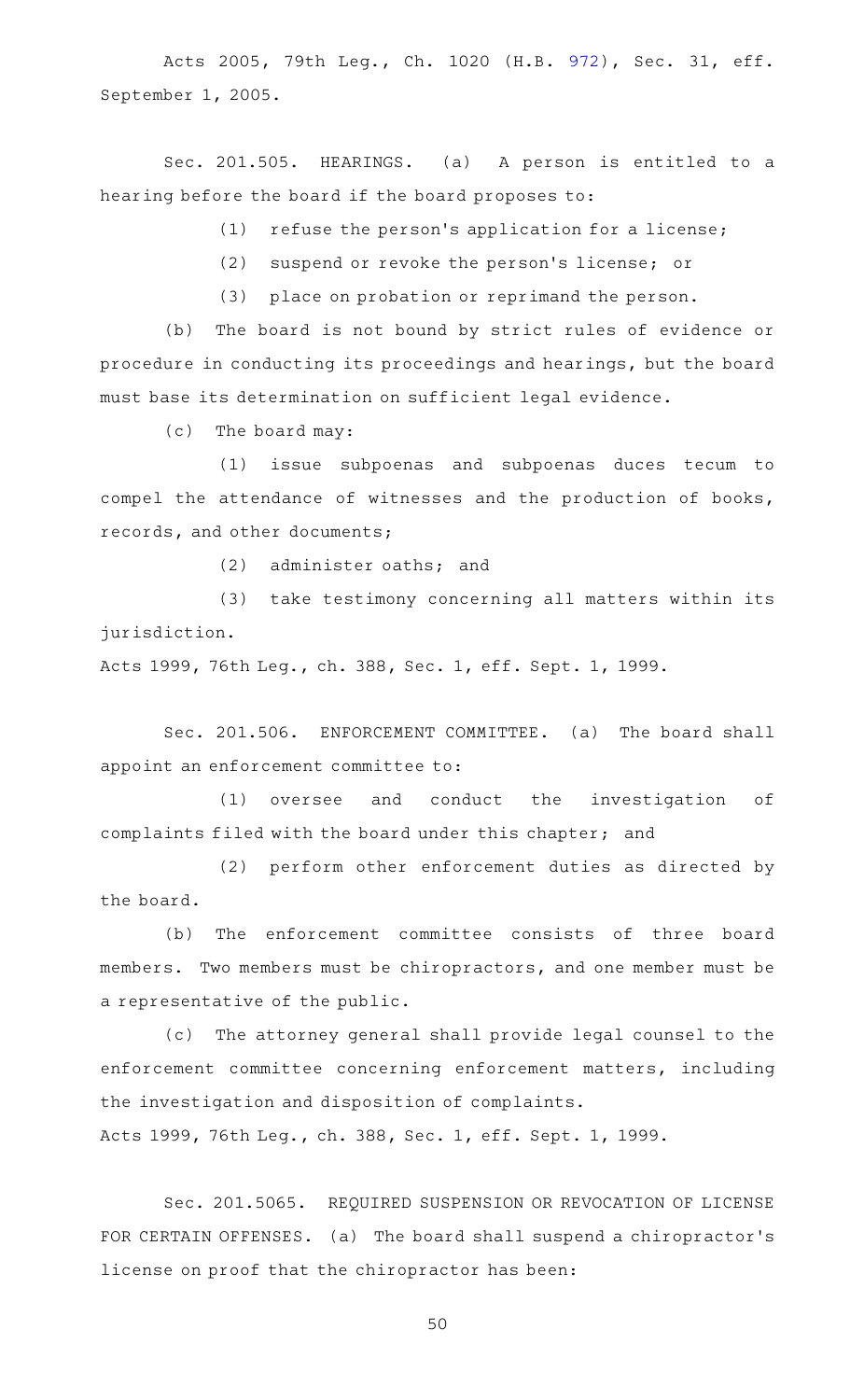Acts 2005, 79th Leg., Ch. 1020 (H.B. [972\)](http://www.legis.state.tx.us/tlodocs/79R/billtext/html/HB00972F.HTM), Sec. 31, eff. September 1, 2005.

Sec. 201.505. HEARINGS. (a) A person is entitled to a hearing before the board if the board proposes to:

 $(1)$  refuse the person's application for a license;

(2) suspend or revoke the person's license; or

(3) place on probation or reprimand the person.

(b) The board is not bound by strict rules of evidence or procedure in conducting its proceedings and hearings, but the board must base its determination on sufficient legal evidence.

 $(c)$  The board may:

(1) issue subpoenas and subpoenas duces tecum to compel the attendance of witnesses and the production of books, records, and other documents;

 $(2)$  administer oaths; and

(3) take testimony concerning all matters within its jurisdiction.

Acts 1999, 76th Leg., ch. 388, Sec. 1, eff. Sept. 1, 1999.

Sec. 201.506. ENFORCEMENT COMMITTEE. (a) The board shall appoint an enforcement committee to:

(1) oversee and conduct the investigation of complaints filed with the board under this chapter; and

(2) perform other enforcement duties as directed by the board.

(b) The enforcement committee consists of three board members. Two members must be chiropractors, and one member must be a representative of the public.

(c) The attorney general shall provide legal counsel to the enforcement committee concerning enforcement matters, including the investigation and disposition of complaints.

Acts 1999, 76th Leg., ch. 388, Sec. 1, eff. Sept. 1, 1999.

Sec. 201.5065. REQUIRED SUSPENSION OR REVOCATION OF LICENSE FOR CERTAIN OFFENSES. (a) The board shall suspend a chiropractor 's license on proof that the chiropractor has been: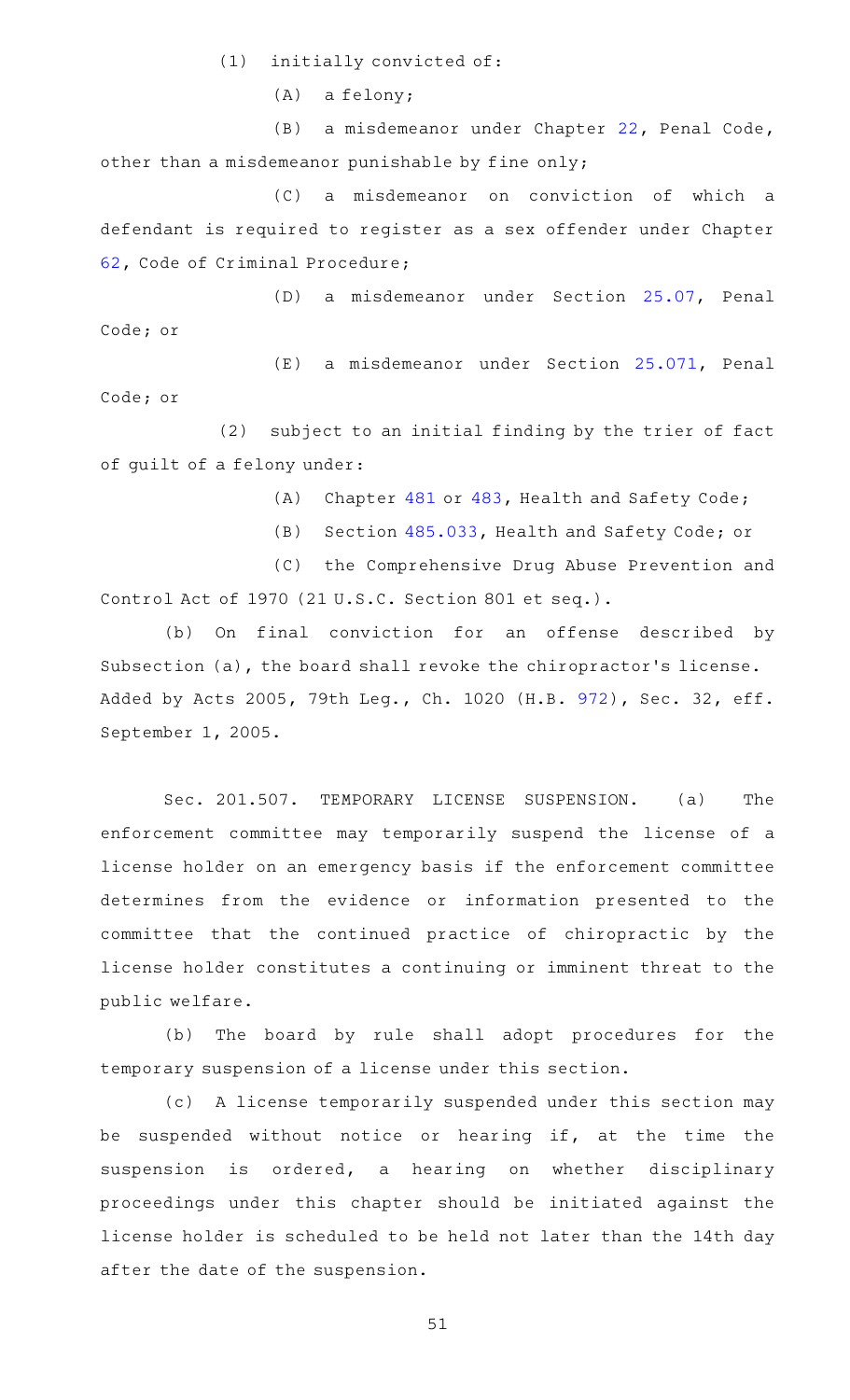$(1)$  initially convicted of:

 $(A)$  a felony;

(B) a misdemeanor under Chapter [22,](http://www.statutes.legis.state.tx.us/GetStatute.aspx?Code=PE&Value=22) Penal Code, other than a misdemeanor punishable by fine only;

(C) a misdemeanor on conviction of which a defendant is required to register as a sex offender under Chapter [62](http://www.statutes.legis.state.tx.us/GetStatute.aspx?Code=CR&Value=62), Code of Criminal Procedure;

(D) a misdemeanor under Section [25.07,](http://www.statutes.legis.state.tx.us/GetStatute.aspx?Code=PE&Value=25.07) Penal Code; or

(E) a misdemeanor under Section [25.071](http://www.statutes.legis.state.tx.us/GetStatute.aspx?Code=PE&Value=25.071), Penal Code; or

(2) subject to an initial finding by the trier of fact of guilt of a felony under:

(A) Chapter [481](http://www.statutes.legis.state.tx.us/GetStatute.aspx?Code=HS&Value=481) or [483,](http://www.statutes.legis.state.tx.us/GetStatute.aspx?Code=HS&Value=483) Health and Safety Code;

(B) Section [485.033](http://www.statutes.legis.state.tx.us/GetStatute.aspx?Code=HS&Value=485.033), Health and Safety Code; or

(C) the Comprehensive Drug Abuse Prevention and Control Act of 1970 (21 U.S.C. Section 801 et seq.).

(b) On final conviction for an offense described by Subsection (a), the board shall revoke the chiropractor's license. Added by Acts 2005, 79th Leg., Ch. 1020 (H.B. [972](http://www.legis.state.tx.us/tlodocs/79R/billtext/html/HB00972F.HTM)), Sec. 32, eff. September 1, 2005.

Sec. 201.507. TEMPORARY LICENSE SUSPENSION. (a) The enforcement committee may temporarily suspend the license of a license holder on an emergency basis if the enforcement committee determines from the evidence or information presented to the committee that the continued practice of chiropractic by the license holder constitutes a continuing or imminent threat to the public welfare.

(b) The board by rule shall adopt procedures for the temporary suspension of a license under this section.

(c) A license temporarily suspended under this section may be suspended without notice or hearing if, at the time the suspension is ordered, a hearing on whether disciplinary proceedings under this chapter should be initiated against the license holder is scheduled to be held not later than the 14th day after the date of the suspension.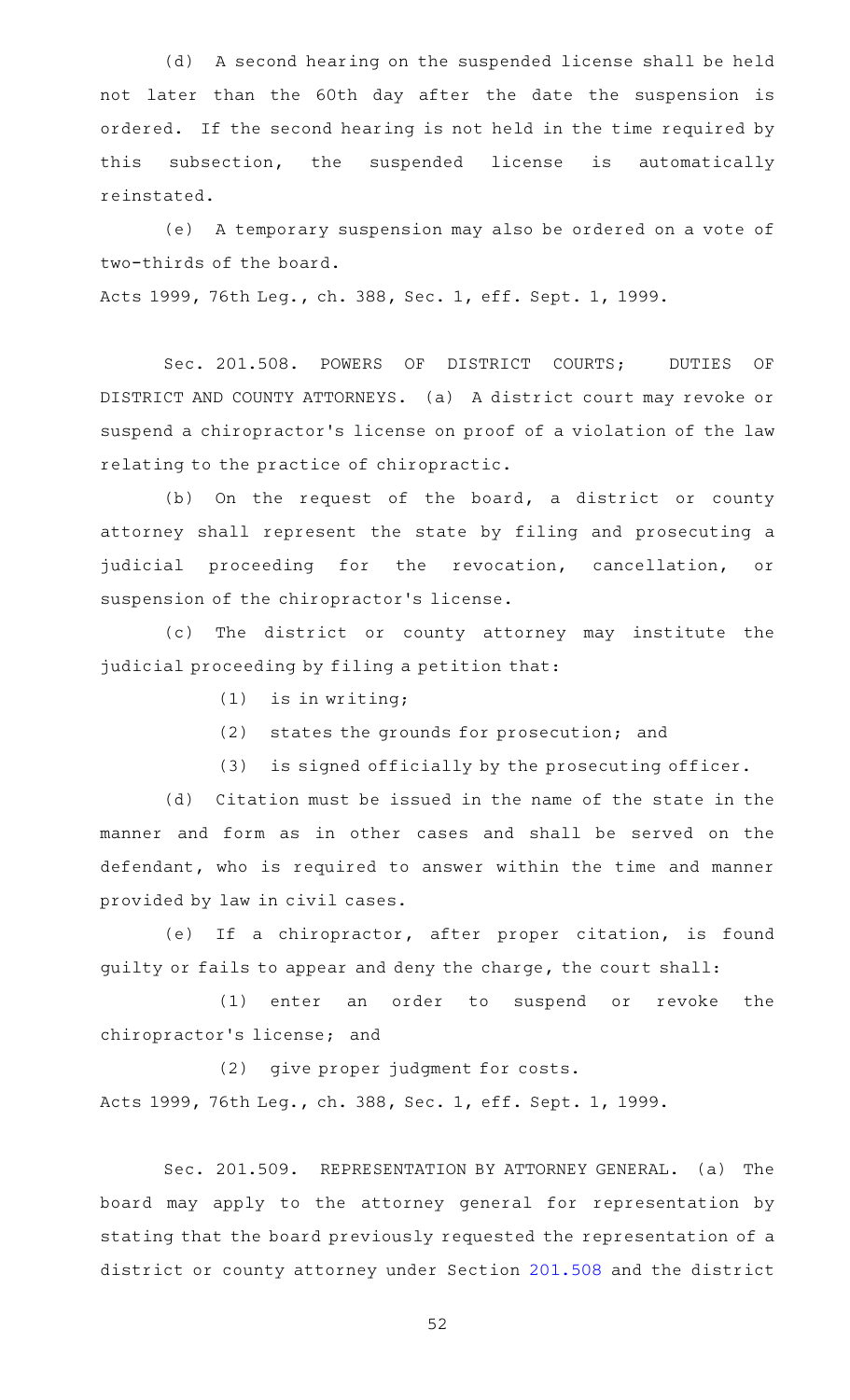(d) A second hearing on the suspended license shall be held not later than the 60th day after the date the suspension is ordered. If the second hearing is not held in the time required by this subsection, the suspended license is automatically reinstated.

(e) A temporary suspension may also be ordered on a vote of two-thirds of the board.

Acts 1999, 76th Leg., ch. 388, Sec. 1, eff. Sept. 1, 1999.

Sec. 201.508. POWERS OF DISTRICT COURTS; DUTIES OF DISTRICT AND COUNTY ATTORNEYS. (a) A district court may revoke or suspend a chiropractor 's license on proof of a violation of the law relating to the practice of chiropractic.

(b) On the request of the board, a district or county attorney shall represent the state by filing and prosecuting a judicial proceeding for the revocation, cancellation, or suspension of the chiropractor 's license.

(c) The district or county attorney may institute the judicial proceeding by filing a petition that:

- $(1)$  is in writing;
- (2) states the grounds for prosecution; and
- (3) is signed officially by the prosecuting officer.

(d) Citation must be issued in the name of the state in the manner and form as in other cases and shall be served on the defendant, who is required to answer within the time and manner provided by law in civil cases.

(e) If a chiropractor, after proper citation, is found guilty or fails to appear and deny the charge, the court shall:

(1) enter an order to suspend or revoke the chiropractor 's license; and

(2) give proper judgment for costs. Acts 1999, 76th Leg., ch. 388, Sec. 1, eff. Sept. 1, 1999.

Sec. 201.509. REPRESENTATION BY ATTORNEY GENERAL. (a) The board may apply to the attorney general for representation by stating that the board previously requested the representation of a district or county attorney under Section [201.508](http://www.statutes.legis.state.tx.us/GetStatute.aspx?Code=OC&Value=201.508) and the district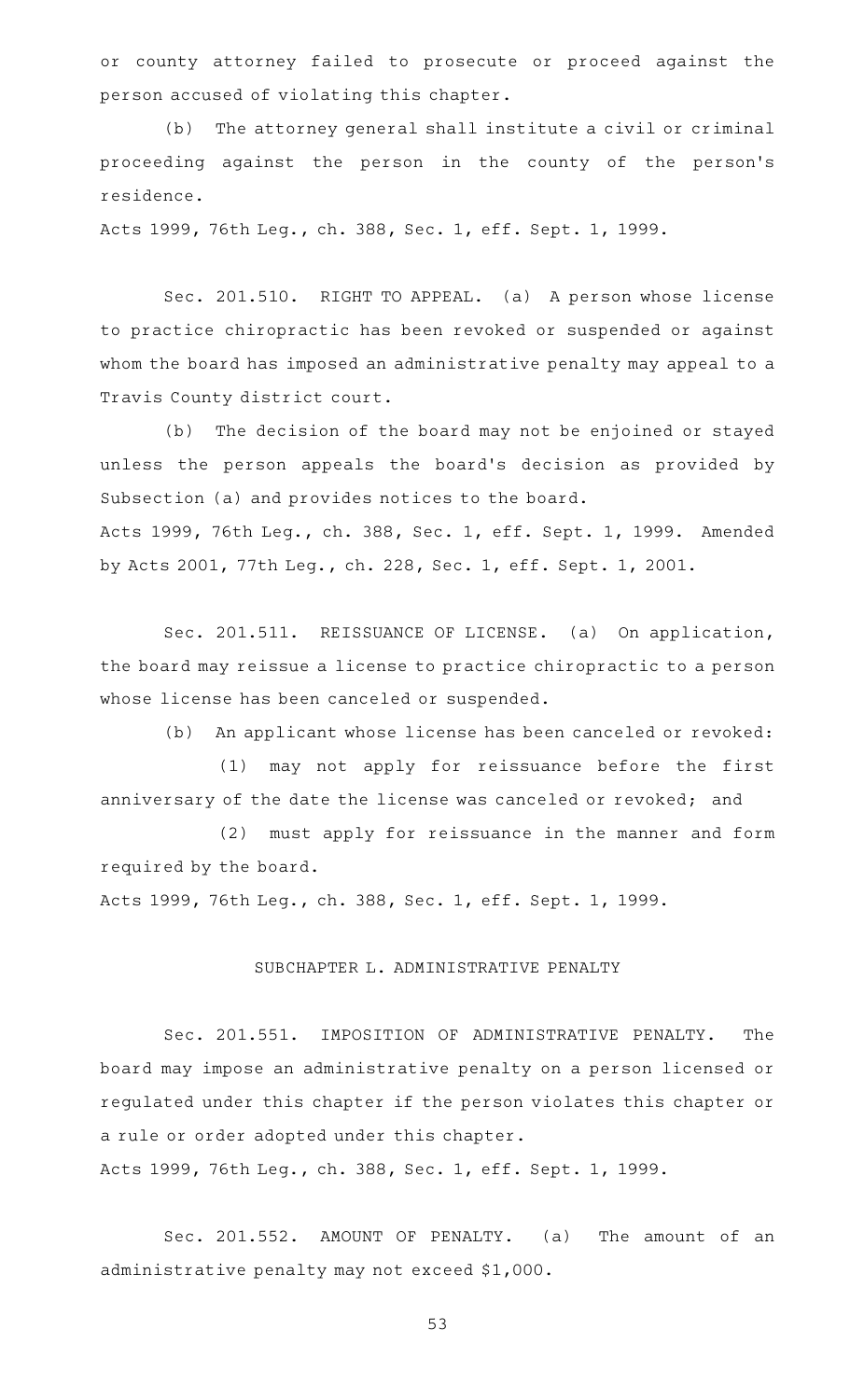or county attorney failed to prosecute or proceed against the person accused of violating this chapter.

(b) The attorney general shall institute a civil or criminal proceeding against the person in the county of the person's residence.

Acts 1999, 76th Leg., ch. 388, Sec. 1, eff. Sept. 1, 1999.

Sec. 201.510. RIGHT TO APPEAL. (a) A person whose license to practice chiropractic has been revoked or suspended or against whom the board has imposed an administrative penalty may appeal to a Travis County district court.

(b) The decision of the board may not be enjoined or stayed unless the person appeals the board's decision as provided by Subsection (a) and provides notices to the board. Acts 1999, 76th Leg., ch. 388, Sec. 1, eff. Sept. 1, 1999. Amended by Acts 2001, 77th Leg., ch. 228, Sec. 1, eff. Sept. 1, 2001.

Sec. 201.511. REISSUANCE OF LICENSE. (a) On application, the board may reissue a license to practice chiropractic to a person whose license has been canceled or suspended.

(b) An applicant whose license has been canceled or revoked:

(1) may not apply for reissuance before the first anniversary of the date the license was canceled or revoked; and

(2) must apply for reissuance in the manner and form required by the board.

Acts 1999, 76th Leg., ch. 388, Sec. 1, eff. Sept. 1, 1999.

#### SUBCHAPTER L. ADMINISTRATIVE PENALTY

Sec. 201.551. IMPOSITION OF ADMINISTRATIVE PENALTY. The board may impose an administrative penalty on a person licensed or regulated under this chapter if the person violates this chapter or a rule or order adopted under this chapter.

Acts 1999, 76th Leg., ch. 388, Sec. 1, eff. Sept. 1, 1999.

Sec. 201.552. AMOUNT OF PENALTY. (a) The amount of an administrative penalty may not exceed \$1,000.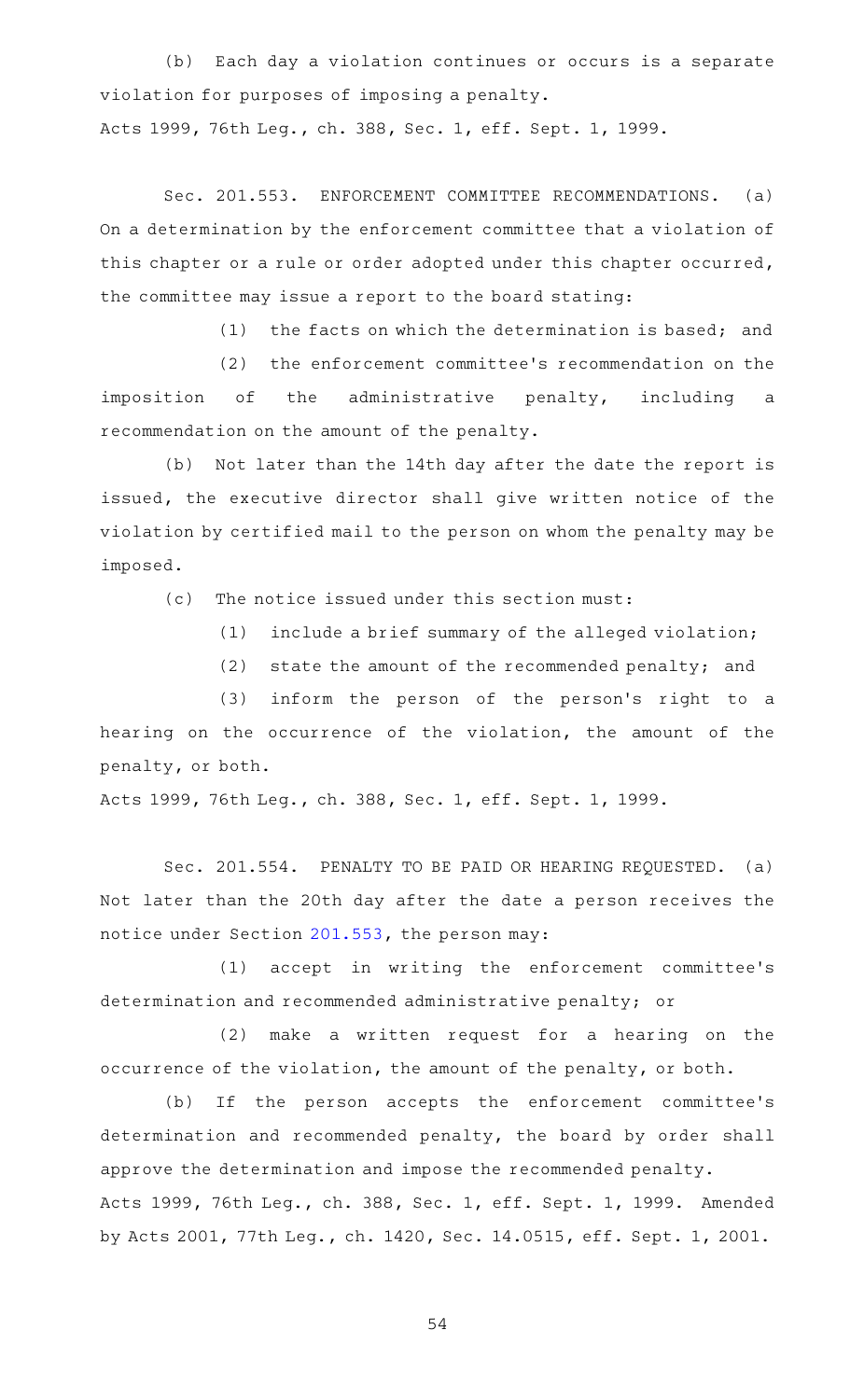(b) Each day a violation continues or occurs is a separate violation for purposes of imposing a penalty. Acts 1999, 76th Leg., ch. 388, Sec. 1, eff. Sept. 1, 1999.

Sec. 201.553. ENFORCEMENT COMMITTEE RECOMMENDATIONS. (a) On a determination by the enforcement committee that a violation of this chapter or a rule or order adopted under this chapter occurred, the committee may issue a report to the board stating:

 $(1)$  the facts on which the determination is based; and

(2) the enforcement committee's recommendation on the imposition of the administrative penalty, including a recommendation on the amount of the penalty.

(b) Not later than the 14th day after the date the report is issued, the executive director shall give written notice of the violation by certified mail to the person on whom the penalty may be imposed.

(c) The notice issued under this section must:

 $(1)$  include a brief summary of the alleged violation;

 $(2)$  state the amount of the recommended penalty; and

(3) inform the person of the person's right to a hearing on the occurrence of the violation, the amount of the penalty, or both.

Acts 1999, 76th Leg., ch. 388, Sec. 1, eff. Sept. 1, 1999.

Sec. 201.554. PENALTY TO BE PAID OR HEARING REQUESTED. (a) Not later than the 20th day after the date a person receives the notice under Section [201.553,](http://www.statutes.legis.state.tx.us/GetStatute.aspx?Code=OC&Value=201.553) the person may:

(1) accept in writing the enforcement committee's determination and recommended administrative penalty; or

(2) make a written request for a hearing on the occurrence of the violation, the amount of the penalty, or both.

(b) If the person accepts the enforcement committee's determination and recommended penalty, the board by order shall approve the determination and impose the recommended penalty. Acts 1999, 76th Leg., ch. 388, Sec. 1, eff. Sept. 1, 1999. Amended by Acts 2001, 77th Leg., ch. 1420, Sec. 14.0515, eff. Sept. 1, 2001.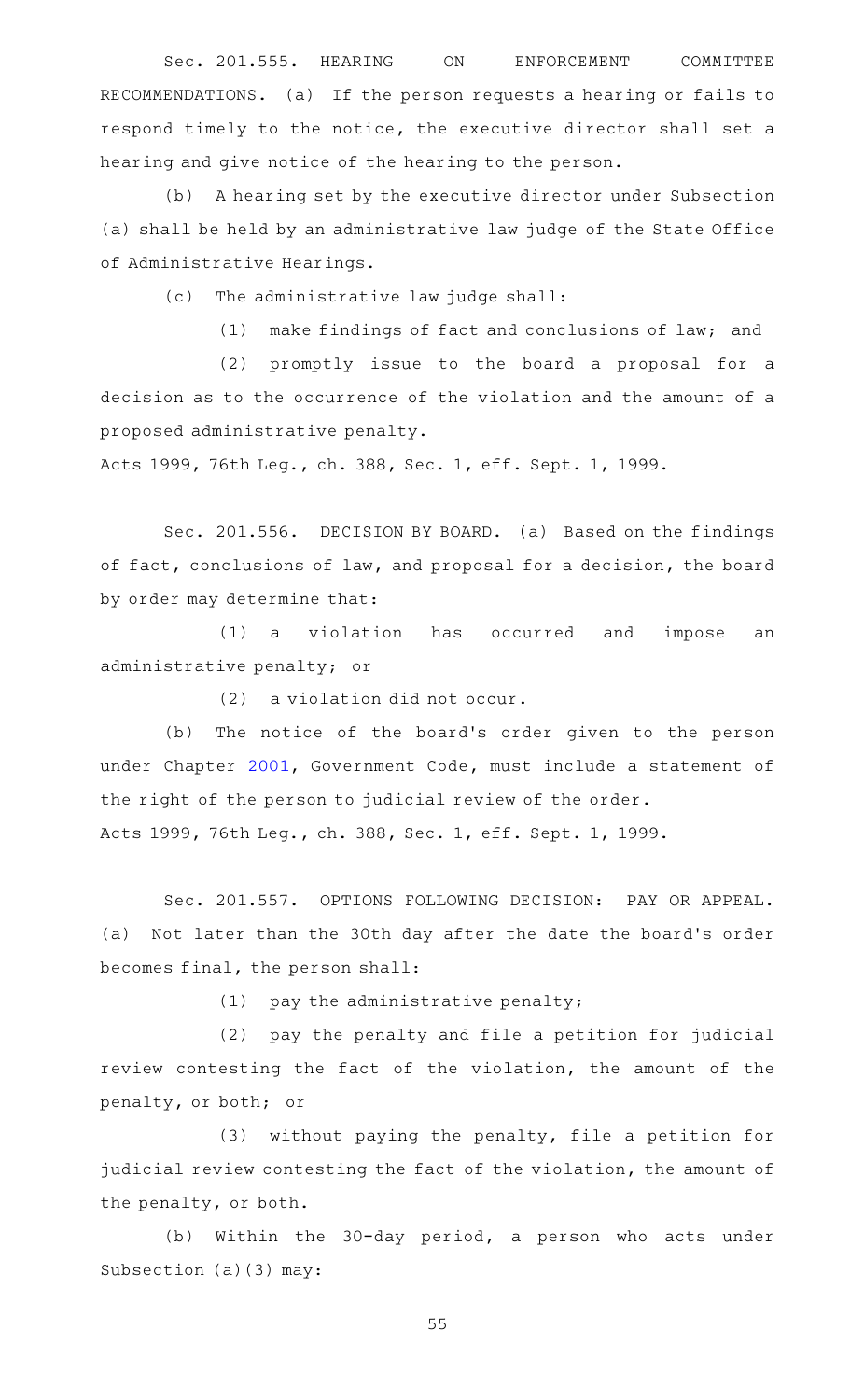Sec. 201.555. HEARING ON ENFORCEMENT COMMITTEE RECOMMENDATIONS. (a) If the person requests a hearing or fails to respond timely to the notice, the executive director shall set a hearing and give notice of the hearing to the person.

(b) A hearing set by the executive director under Subsection (a) shall be held by an administrative law judge of the State Office of Administrative Hearings.

(c) The administrative law judge shall:

 $(1)$  make findings of fact and conclusions of law; and

(2) promptly issue to the board a proposal for a decision as to the occurrence of the violation and the amount of a proposed administrative penalty.

Acts 1999, 76th Leg., ch. 388, Sec. 1, eff. Sept. 1, 1999.

Sec. 201.556. DECISION BY BOARD. (a) Based on the findings of fact, conclusions of law, and proposal for a decision, the board by order may determine that:

(1) a violation has occurred and impose an administrative penalty; or

 $(2)$  a violation did not occur.

(b) The notice of the board's order given to the person under Chapter [2001,](http://www.statutes.legis.state.tx.us/GetStatute.aspx?Code=GV&Value=2001) Government Code, must include a statement of the right of the person to judicial review of the order.

Acts 1999, 76th Leg., ch. 388, Sec. 1, eff. Sept. 1, 1999.

Sec. 201.557. OPTIONS FOLLOWING DECISION: PAY OR APPEAL. (a) Not later than the 30th day after the date the board's order becomes final, the person shall:

 $(1)$  pay the administrative penalty;

(2) pay the penalty and file a petition for judicial review contesting the fact of the violation, the amount of the penalty, or both; or

(3) without paying the penalty, file a petition for judicial review contesting the fact of the violation, the amount of the penalty, or both.

(b) Within the 30-day period, a person who acts under Subsection (a)(3) may: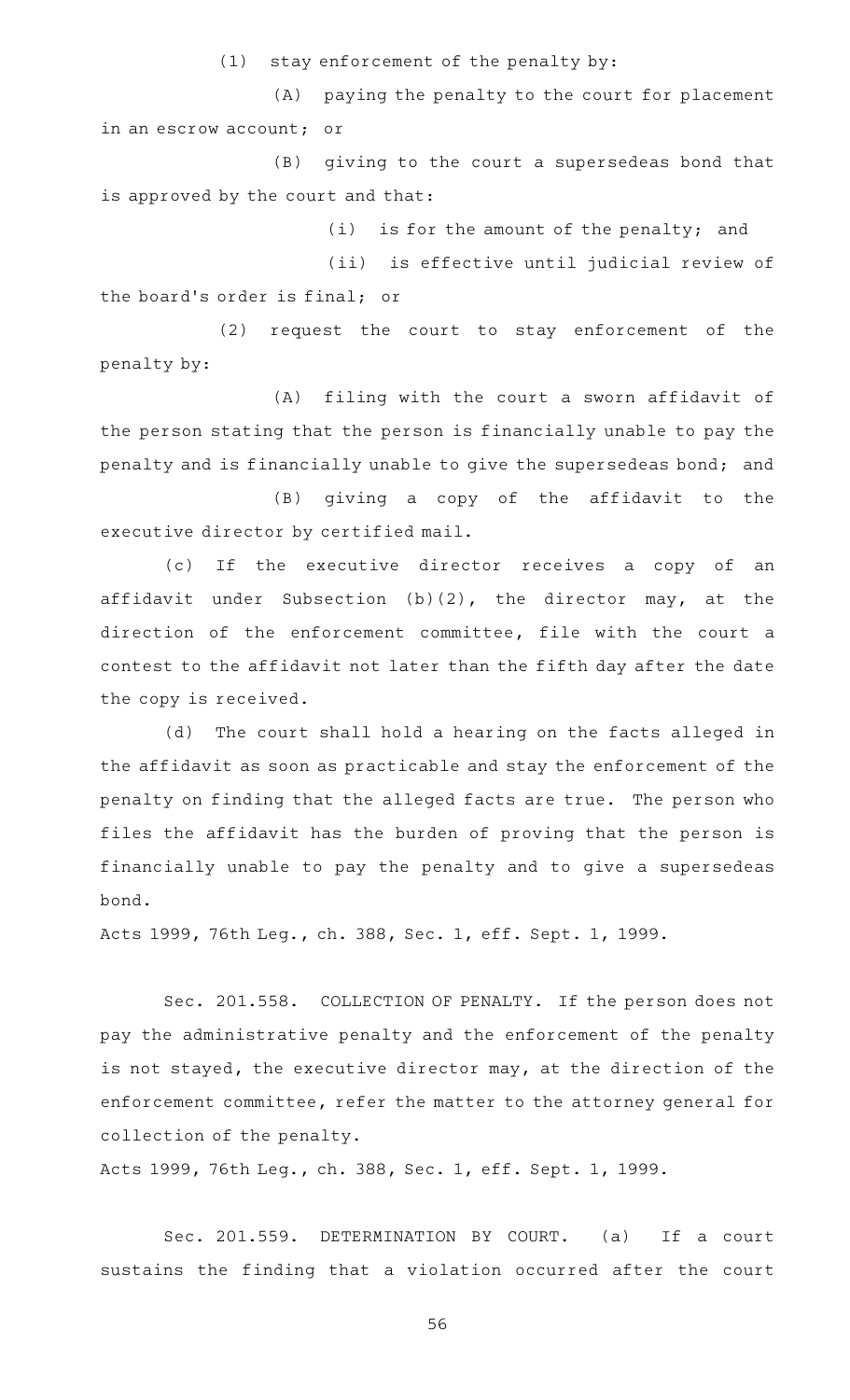$(1)$  stay enforcement of the penalty by:

(A) paying the penalty to the court for placement in an escrow account; or

 $(B)$  giving to the court a supersedeas bond that is approved by the court and that:

 $(i)$  is for the amount of the penalty; and

(ii) is effective until judicial review of the board's order is final; or

 $(2)$  request the court to stay enforcement of the penalty by:

(A) filing with the court a sworn affidavit of the person stating that the person is financially unable to pay the penalty and is financially unable to give the supersedeas bond; and

(B) giving a copy of the affidavit to the executive director by certified mail.

(c) If the executive director receives a copy of an affidavit under Subsection (b)(2), the director may, at the direction of the enforcement committee, file with the court a contest to the affidavit not later than the fifth day after the date the copy is received.

(d) The court shall hold a hearing on the facts alleged in the affidavit as soon as practicable and stay the enforcement of the penalty on finding that the alleged facts are true. The person who files the affidavit has the burden of proving that the person is financially unable to pay the penalty and to give a supersedeas bond.

Acts 1999, 76th Leg., ch. 388, Sec. 1, eff. Sept. 1, 1999.

Sec. 201.558. COLLECTION OF PENALTY. If the person does not pay the administrative penalty and the enforcement of the penalty is not stayed, the executive director may, at the direction of the enforcement committee, refer the matter to the attorney general for collection of the penalty.

Acts 1999, 76th Leg., ch. 388, Sec. 1, eff. Sept. 1, 1999.

Sec. 201.559. DETERMINATION BY COURT. (a) If a court sustains the finding that a violation occurred after the court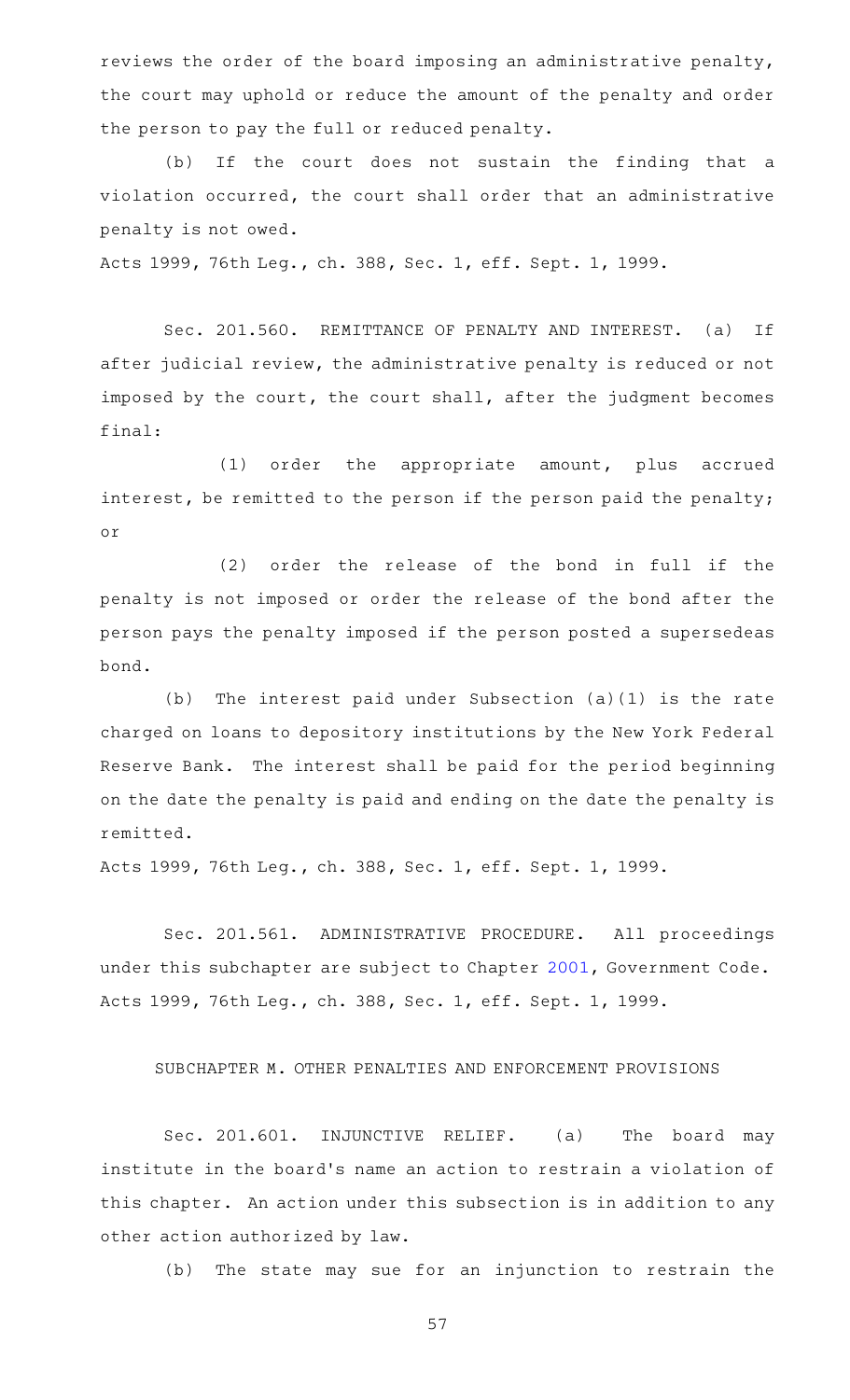reviews the order of the board imposing an administrative penalty, the court may uphold or reduce the amount of the penalty and order the person to pay the full or reduced penalty.

(b) If the court does not sustain the finding that a violation occurred, the court shall order that an administrative penalty is not owed.

Acts 1999, 76th Leg., ch. 388, Sec. 1, eff. Sept. 1, 1999.

Sec. 201.560. REMITTANCE OF PENALTY AND INTEREST. (a) If after judicial review, the administrative penalty is reduced or not imposed by the court, the court shall, after the judgment becomes final:

(1) order the appropriate amount, plus accrued interest, be remitted to the person if the person paid the penalty; or

(2) order the release of the bond in full if the penalty is not imposed or order the release of the bond after the person pays the penalty imposed if the person posted a supersedeas bond.

(b) The interest paid under Subsection  $(a)(1)$  is the rate charged on loans to depository institutions by the New York Federal Reserve Bank. The interest shall be paid for the period beginning on the date the penalty is paid and ending on the date the penalty is remitted.

Acts 1999, 76th Leg., ch. 388, Sec. 1, eff. Sept. 1, 1999.

Sec. 201.561. ADMINISTRATIVE PROCEDURE. All proceedings under this subchapter are subject to Chapter [2001](http://www.statutes.legis.state.tx.us/GetStatute.aspx?Code=GV&Value=2001), Government Code. Acts 1999, 76th Leg., ch. 388, Sec. 1, eff. Sept. 1, 1999.

SUBCHAPTER M. OTHER PENALTIES AND ENFORCEMENT PROVISIONS

Sec. 201.601. INJUNCTIVE RELIEF. (a) The board may institute in the board's name an action to restrain a violation of this chapter. An action under this subsection is in addition to any other action authorized by law.

(b) The state may sue for an injunction to restrain the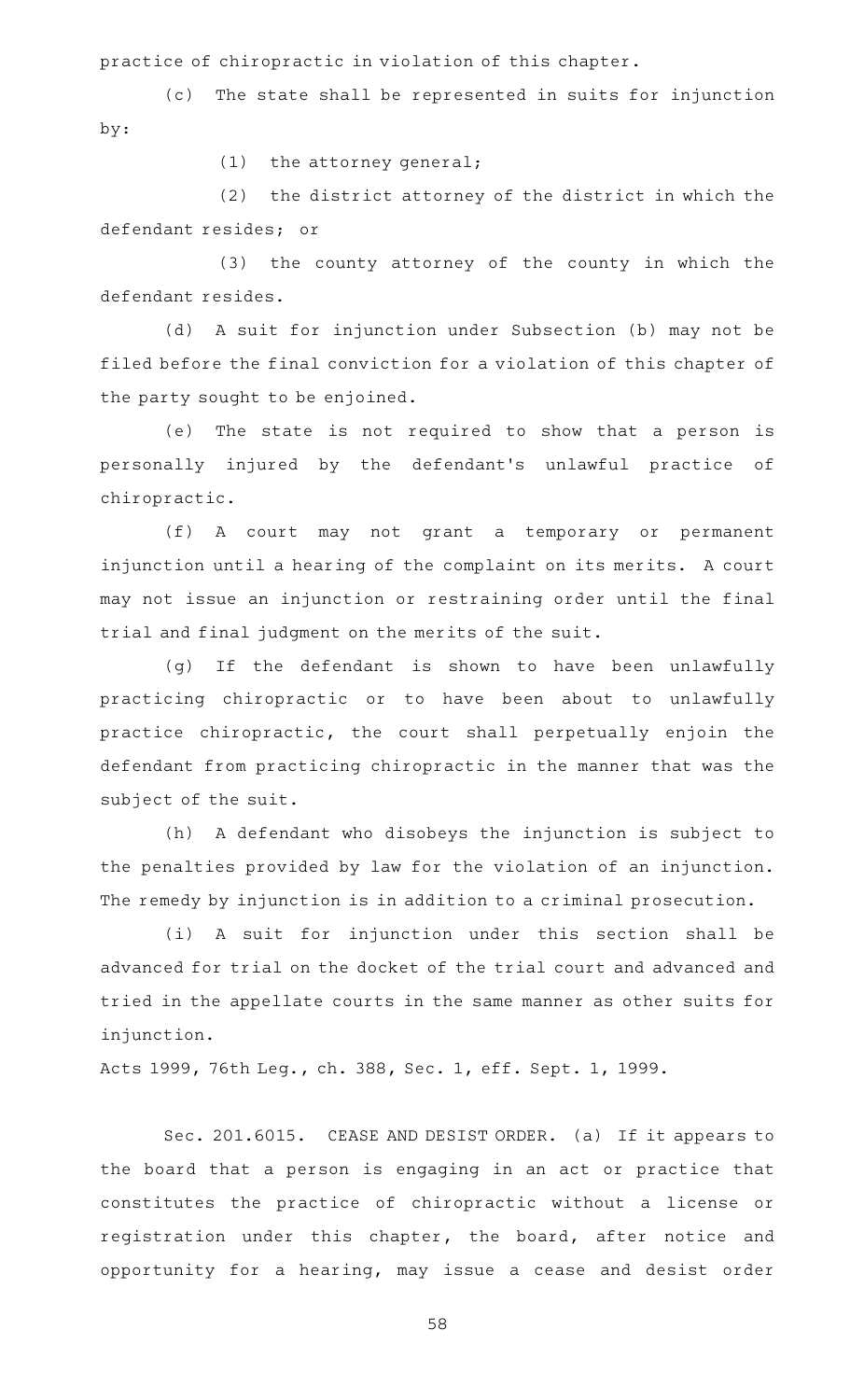practice of chiropractic in violation of this chapter.

(c) The state shall be represented in suits for injunction by:

 $(1)$  the attorney general;

 $(2)$  the district attorney of the district in which the defendant resides; or

(3) the county attorney of the county in which the defendant resides.

(d) A suit for injunction under Subsection (b) may not be filed before the final conviction for a violation of this chapter of the party sought to be enjoined.

(e) The state is not required to show that a person is personally injured by the defendant 's unlawful practice of chiropractic.

(f)AAA court may not grant a temporary or permanent injunction until a hearing of the complaint on its merits. A court may not issue an injunction or restraining order until the final trial and final judgment on the merits of the suit.

(g) If the defendant is shown to have been unlawfully practicing chiropractic or to have been about to unlawfully practice chiropractic, the court shall perpetually enjoin the defendant from practicing chiropractic in the manner that was the subject of the suit.

(h) A defendant who disobeys the injunction is subject to the penalties provided by law for the violation of an injunction. The remedy by injunction is in addition to a criminal prosecution.

(i) A suit for injunction under this section shall be advanced for trial on the docket of the trial court and advanced and tried in the appellate courts in the same manner as other suits for injunction.

Acts 1999, 76th Leg., ch. 388, Sec. 1, eff. Sept. 1, 1999.

Sec. 201.6015. CEASE AND DESIST ORDER. (a) If it appears to the board that a person is engaging in an act or practice that constitutes the practice of chiropractic without a license or registration under this chapter, the board, after notice and opportunity for a hearing, may issue a cease and desist order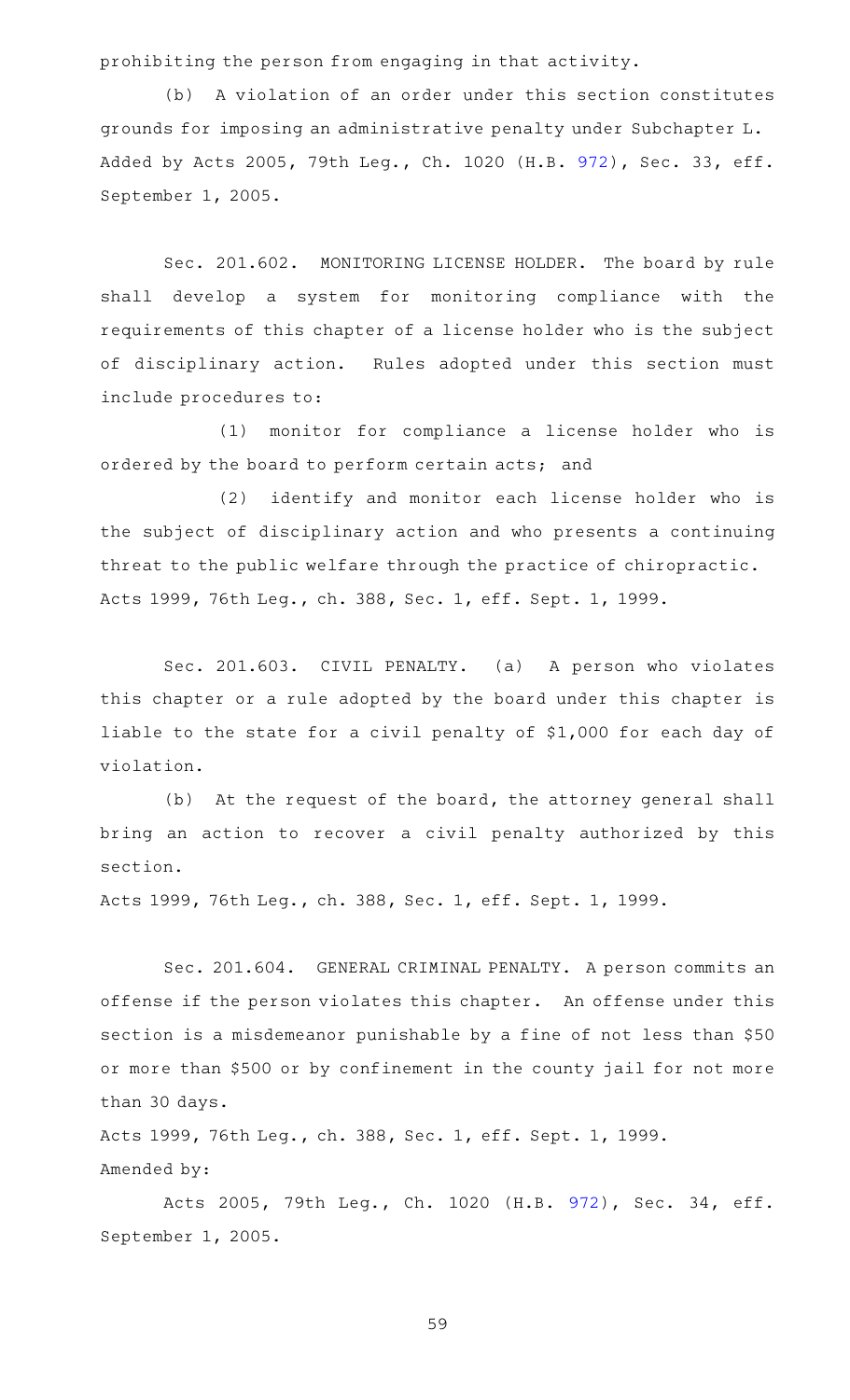prohibiting the person from engaging in that activity.

(b) A violation of an order under this section constitutes grounds for imposing an administrative penalty under Subchapter L. Added by Acts 2005, 79th Leg., Ch. 1020 (H.B. [972](http://www.legis.state.tx.us/tlodocs/79R/billtext/html/HB00972F.HTM)), Sec. 33, eff. September 1, 2005.

Sec. 201.602. MONITORING LICENSE HOLDER. The board by rule shall develop a system for monitoring compliance with the requirements of this chapter of a license holder who is the subject of disciplinary action. Rules adopted under this section must include procedures to:

(1) monitor for compliance a license holder who is ordered by the board to perform certain acts; and

(2) identify and monitor each license holder who is the subject of disciplinary action and who presents a continuing threat to the public welfare through the practice of chiropractic. Acts 1999, 76th Leg., ch. 388, Sec. 1, eff. Sept. 1, 1999.

Sec. 201.603. CIVIL PENALTY. (a) A person who violates this chapter or a rule adopted by the board under this chapter is liable to the state for a civil penalty of \$1,000 for each day of violation.

(b) At the request of the board, the attorney general shall bring an action to recover a civil penalty authorized by this section.

Acts 1999, 76th Leg., ch. 388, Sec. 1, eff. Sept. 1, 1999.

Sec. 201.604. GENERAL CRIMINAL PENALTY. A person commits an offense if the person violates this chapter. An offense under this section is a misdemeanor punishable by a fine of not less than \$50 or more than \$500 or by confinement in the county jail for not more than 30 days.

Acts 1999, 76th Leg., ch. 388, Sec. 1, eff. Sept. 1, 1999. Amended by:

Acts 2005, 79th Leg., Ch. 1020 (H.B. [972\)](http://www.legis.state.tx.us/tlodocs/79R/billtext/html/HB00972F.HTM), Sec. 34, eff. September 1, 2005.